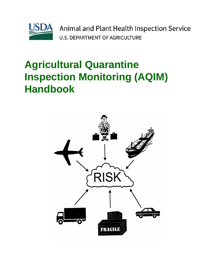

Animal and Plant Health Inspection Service **U.S. DEPARTMENT OF AGRICULTURE** 

# **Agricultural Quarantine Inspection Monitoring (AQIM) Handbook**

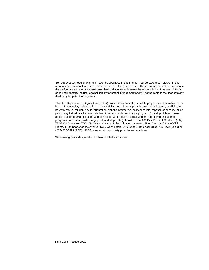Some processes, equipment, and materials described in this manual may be patented. Inclusion in this manual does not constitute permission for use from the patent owner. The use of any patented invention in the performance of the processes described in this manual is solely the responsibility of the user. APHIS does not indemnify the user against liability for patent infringement and will not be liable to the user or to any third party for patent infringement.

The U.S. Department of Agriculture (USDA) prohibits discrimination in all its programs and activities on the basis of race, color, national origin, age, disability, and where applicable, sex, marital status, familial status, parental status, religion, sexual orientation, genetic information, political beliefs, reprisal, or because all or part of any individual's income is derived from any public assistance program. (Not all prohibited bases apply to all programs). Persons with disabilities who require alternative means for communication of program information (Braille, large print, audiotape, etc.) should contact USDA's TARGET Center at (202) 720-2600 (voice and TDD). To file a complaint of discrimination, write to USDA, Director, Office of Civil Rights, 1400 Independence Avenue, SW., Washington, DC 20250-9410, or call (800) 795-3272 (voice) or (202) 720-6382 (TDD). USDA is an equal opportunity provider and employer.

When using pesticides, read and follow all label instructions.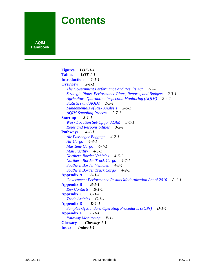# **Contents**

**AQIM Handbook** 

> **[Figures](#page-4-0)** *LOF-1-1* **[Tables](#page-6-0)** *LOT-1-1* **[Introduction](#page-8-0)** *1-1-1* **[Overview](#page-18-0)** *2-1-1 [The Government Performance and Results Act](#page-20-0) 2-2-1 [Strategic Plans, Performance Plans, Reports, and Budgets](#page-24-0) 2-3-1 [Agriculture Quarantine Inspection Monitoring \(AQIM\)](#page-32-0) 2-4-1 [Statistics and AQIM](#page-36-0) 2-5-1 [Fundamentals of Risk Analysis](#page-44-0) 2-6-1 [AQIM Sampling Process](#page-54-0) 2-7-1*  **[Start-up](#page-62-0)** *3-1-1 [Work Location Set-Up for AQIM](#page-62-1) 3-1-1 [Roles and Responsibilities](#page-66-0) 3-2-1*  **[Pathways](#page-70-0)** *4-1-1 [Air Passenger Baggage](#page-72-0) 4-2-1 [Air Cargo](#page-80-0) 4-3-1 [Maritime Cargo](#page-92-0) 4-4-1 [Mail Facility](#page-104-0) 4-5-1 [Northern Border Vehicles](#page-110-0) 4-6-1 [Northern Border Truck Cargo](#page-118-0) 4-7-1 [Southern Border Vehicles](#page-128-0) 4-8-1 [Southern Border Truck Cargo](#page-136-0) 4-9-1*  **[Appendix A](#page-148-0)** *A-1-1 [Government Performance Results Modernization Act of 2010](#page-148-1) A-1-1*  **[Appendix B](#page-150-0)** *B-1-1 [Key Contacts](#page-150-1) B-1-1*  **[Appendix C](#page-152-0)** *C-1-1 [Trade Articles](#page-152-1) C-1-1*  **[Appendix D](#page-162-0)** *D-1-1 [Samples Of Standard Operating Procedures \(SOPs\)](#page-162-1) D-1-1*  **[Appendix E](#page-170-0)** *E-1-1 [Pathway Monitoring](#page-170-1) E-1-1*  **[Glossary](#page-172-0)** *Glossary-1-1* **[Index](#page-176-0)** *Index-1-1*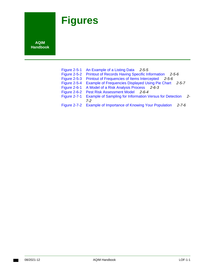# <span id="page-4-0"></span>**Figures**

**AQIM Handbook** 

- [Figure 2-5-1 An Example of a Listing Data](#page-40-0) *2-5-5*
- [Figure 2-5-2 Printout of Records Having Specific Information](#page-41-0) *2-5-6*
- [Figure 2-5-3 Printout of Frequencies of Items Intercepted](#page-41-1) *2-5-6*
- [Figure 2-5-4 Example of Frequencies Displayed Using Pie Chart](#page-42-0) *2-5-7*
- [Figure 2-6-1 A Model of a Risk Analysis Process](#page-46-0) *2-6-3*
- [Figure 2-6-2 Pest Risk Assessment Model](#page-47-0) *2-6-4*
- [Figure 2-7-1 Example of Sampling for Information Versus for Detection](#page-55-0) *2- 7-2*
- [Figure 2-7-2 Example of Importance of Knowing Your Population](#page-59-0) *2-7-6*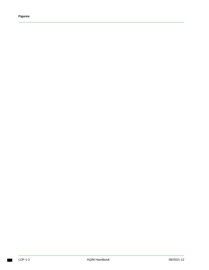#### **Figures**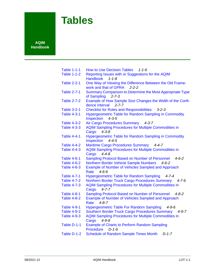# <span id="page-6-0"></span>**Tables**

#### **AQIM Handbook**

| <b>Table 1-1-1</b> | <b>How to Use Decision Tables</b><br>$1 - 1 - 6$                     |
|--------------------|----------------------------------------------------------------------|
| <b>Table 1-1-2</b> | Reporting Issues with or Suggestions for the AQIM                    |
|                    | <b>Handbook</b><br>$1 - 1 - 8$                                       |
| <b>Table 2-2-1</b> | One Way of Viewing the Difference Between the Old Frame-             |
|                    | work and that of GPRA<br>$2 - 2 - 2$                                 |
| <b>Table 2-7-1</b> | Summary Comparison to Determine the Most Appropriate Type            |
|                    | of Sampling<br>$2 - 7 - 3$                                           |
| <b>Table 2-7-2</b> | Example of How Sample Size Changes the Width of the Confi-           |
|                    | dence Interval<br>$2 - 7 - 7$                                        |
| <b>Table 3-2-1</b> | <b>Checklist for Roles and Responsibilities</b><br>$3 - 2 - 3$       |
| <b>Table 4-3-1</b> | Hypergeometric Table for Random Sampling in Commodity                |
|                    | Inspection<br>$4 - 3 - 5$                                            |
| <b>Table 4-3-2</b> | <b>Air Cargo Procedures Summary</b><br>$4 - 3 - 7$                   |
| <b>Table 4-3-3</b> | <b>AQIM Sampling Procedures for Multiple Commodities in</b>          |
|                    | Cargo<br>$4 - 3 - 8$                                                 |
| <b>Table 4-4-1</b> | Hypergeometric Table for Random Sampling in Commodity                |
|                    | Inspection<br>$4 - 4 - 5$                                            |
| <b>Table 4-4-2</b> | Maritime Cargo Procedures Summary 4-4-7                              |
| <b>Table 4-4-3</b> | <b>AQIM Sampling Procedures for Multiple Commodities in</b>          |
|                    | Cargo<br>$4 - 4 - 8$                                                 |
| <b>Table 4-6-1</b> | Sampling Protocol Based on Number of Personnel<br>$4 - 6 - 2$        |
| <b>Table 4-6-2</b> | Northern Border Vehicle Sample Numbers<br>$4 - 6 - 2$                |
| <b>Table 4-6-3</b> | Example of Number of Vehicles Sampled and Approach                   |
|                    | $4 - 6 - 6$<br>Rate                                                  |
| <b>Table 4-7-1</b> | <b>Hypergeometric Table for Random Sampling</b><br>$4 - 7 - 4$       |
| <b>Table 4-7-2</b> | Northern Border Truck Cargo Procedures Summary<br>$4 - 7 - 6$        |
| <b>Table 4-7-3</b> | <b>AQIM Sampling Procedures for Multiple Commodities in</b>          |
|                    | Cargo<br>$4 - 7 - 7$                                                 |
| <b>Table 4-8-1</b> | <b>Sampling Protocol Based on Number of Personnel</b><br>$4 - 8 - 2$ |
| <b>Table 4-8-2</b> | Example of Number of Vehicles Sampled and Approach                   |
|                    | $4 - 8 - 7$<br>Rate                                                  |
| <b>Table 4-9-1</b> | <b>Hypergeometric Table For Random Sampling</b><br>$4 - 9 - 6$       |
| <b>Table 4-9-2</b> | Southern Border Truck Cargo Procedures Summary<br>$4 - 9 - 7$        |
| <b>Table 4-9-3</b> | <b>AQIM Sampling Procedures for Multiple Commodities in</b>          |
|                    | Cargo<br>$4 - 9 - 8$                                                 |
| Table D-1-1        | <b>Example of Charts to Perform Random Sampling</b>                  |
|                    | Procedure<br>$D-1-6$                                                 |
| Table D-1-2        | <b>Schedule of Random Sample Times Month</b><br>$D-1-7$              |
|                    |                                                                      |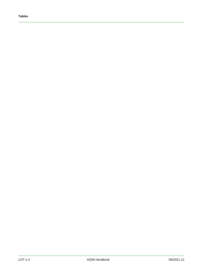#### **Tables**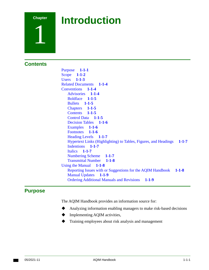

1

# <span id="page-8-0"></span>**Introduction Chapter**

## **Contents**

[Purpose](#page-8-1) **1-1-1**  [Scope](#page-9-0) **1-1-2**  [Users](#page-10-0) **1-1-3**  [Related Documents](#page-11-0) **1-1-4**  [Conventions](#page-11-1) **1-1-4**  [Advisories](#page-11-2) **1-1-4**  [Boldface](#page-12-0) **1-1-5**  [Bullets](#page-12-1) **1-1-5**  [Chapters](#page-12-2) **1-1-5**  [Contents](#page-12-3) **1-1-5**  [Control Data](#page-12-4) **1-1-5**  [Decision Tables](#page-13-1) **1-1-6**  [Examples](#page-13-2) **1-1-6**  [Footnotes](#page-13-3) **1-1-6**  [Heading Levels](#page-14-0) **1-1-7**  [Hypertext Links \(Highlighting\) to Tables, Figures, and Headings](#page-14-1) **1-1-7**  [Indentions](#page-14-2) **1-1-7**  [Italics](#page-14-3) **1-1-7**  [Numbering Scheme](#page-14-4) **1-1-7**  [Transmittal Number](#page-15-1) **1-1-8**  [Using the Manual](#page-15-2) **1-1-8**  [Reporting Issues with or Suggestions for the AQIM Handbook](#page-15-3) **1-1-8**  [Manual Updates](#page-16-0) **1-1-9**  [Ordering Additional Manuals and Revisions](#page-16-1) **1-1-9** 

## <span id="page-8-1"></span>**Purpose**

The AQIM Handbook provides an information source for:

- Analyzing information enabling managers to make risk-based decisions
- Implementing AQIM activities,
- Training employees about risk analysis and management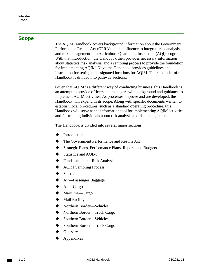## <span id="page-9-0"></span>**Scope**

The AQIM Handbook covers background information about the Government Performance Results Act (GPRA) and its influence to integrate risk analysis and risk management into Agriculture Quarantine Inspection (AQI) program. With that introduction, the Handbook then provides necessary information about statistics, risk analysis, and a sampling process to provide the foundation for implementing AQIM. Next, the Handbook provides guidelines and instruction for setting up designated locations for AQIM. The remainder of the Handbook is divided into pathway sections.

Given that AQIM is a different way of conducting business, this Handbook is an attempt to provide officers and managers with background and guidance to implement AQIM activities. As processes improve and are developed, the Handbook will expand in its scope. Along with specific documents written to establish local procedures, such as a standard operating procedure, this Handbook will serve as the information tool for implementing AQIM activities and for training individuals about risk analysis and risk management.

The Handbook is divided into several major sections:

- Introduction
- The Government Performance and Results Act
- Strategic Plans, Performance Plans, Reports and Budgets
- Statistics and AQIM
- ◆ Fundamentals of Risk Analysis
- AQIM Sampling Process
- Start-Up
- ◆ Air—Passenger Baggage
- ◆ Air—Cargo
- ◆ Maritime—Cargo
- Mail Facility
- Northern Border—Vehicles
- Northern Border—Truck Cargo
- Southern Border—Vehicles
- Southern Border—Truck Cargo
- Glossary
- Appendixes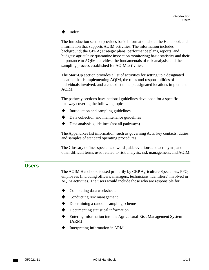Index

The Introduction section provides basic information about the Handbook and information that supports AQIM activities. The information includes background; the GPRA; strategic plans, performance plans, reports, and budgets; agriculture quarantine inspection monitoring; basic statistics and their importance to AQIM activities; the fundamentals of risk analysis; and the sampling process established for AQIM activities.

The Start-Up section provides a list of activities for setting up a designated location that is implementing AQIM, the roles and responsibilities of individuals involved, and a checklist to help designated locations implement AQIM.

The pathway sections have national guidelines developed for a specific pathway covering the following topics:

- $\blacklozenge$  Introduction and sampling guidelines
- Data collection and maintenance guidelines
- Data analysis guidelines (not all pathways)

The Appendixes list information, such as governing Acts, key contacts, duties, and samples of standard operating procedures.

The Glossary defines specialized words, abbreviations and acronyms, and other difficult terms used related to risk analysis, risk management, and AQIM.

## <span id="page-10-0"></span>**Users**

The AQIM Handbook is used primarily by CBP Agriculture Specialists, PPQ employees (including officers, managers, technicians, identifiers) involved in AQIM activities. The users would include those who are responsible for:

- Completing data worksheets
- Conducting risk management
- Determining a random sampling scheme
- Documenting statistical information
- Entering information into the Agricultural Risk Management System (ARM)
- Interpreting information in ARM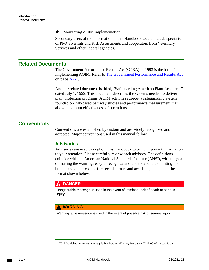#### Monitoring AQIM implementation

Secondary users of the information in this Handbook would include specialists of PPQ's Permits and Risk Assessments and cooperators from Veterinary Services and other Federal agencies.

#### <span id="page-11-0"></span>**Related Documents**

The Government Performance Results Act (GPRA) of 1993 is the basis for implementing AQIM. Refer to [The Government Performance and Results Act](#page-20-1)  [on page 2-2-1.](#page-20-1)

Another related document is titled, "Safeguarding American Plant Resources" dated July 1, 1999. This document describes the systems needed to deliver plant protection programs. AQIM activities support a safeguarding system founded on risk-based pathway studies and performance measurement that allow maximum effectiveness of operations.

## <span id="page-11-1"></span>**Conventions**

Conventions are established by custom and are widely recognized and accepted. Major conventions used in this manual follow.

#### <span id="page-11-2"></span>**Advisories**

Advisories are used throughout this Handbook to bring important information to your attention. Please carefully review each advisory. The definitions coincide with the American National Standards Institute (ANSI), with the goal of making the warnings easy to recognize and understand, thus limiting the human and dollar cost of foreseeable errors and accidents,<sup>1</sup> and are in the format shown below.

#### **! DANGER**

DangerTable message is used in the event of imminent risk of death or serious injury.

#### **! WARNING**

WarningTable message is used in the event of possible risk of serious injury.

<sup>1</sup> TCIF Guideline, *Admonishments (Safety-Related Warning Message)*, TCIF-99-021 Issue 1, p.4.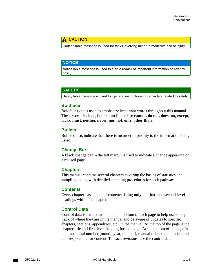#### **! CAUTION**

CautionTable message is used for tasks involving minor to moderate risk of injury.

#### **NOTICE**

 NoticeTable message is used to alert a reader of important information or Agency policy.

#### **SAFETY**

SafetyTable message is used for general instructions or reminders related to safety.

#### <span id="page-12-0"></span>**Boldface**

Boldface type is used to emphasize important words throughout this manual. These words include, but are **not** limited to: **cannot, do not, does not, except, lacks, must, neither, never, nor, not, only, other than**.

#### <span id="page-12-1"></span>**Bullets**

Bulleted lists indicate that there is **no** order of priority to the information being listed.

#### **Change Bar**

A black change bar in the left margin is used to indicate a change appearing on a revised page.

#### <span id="page-12-2"></span>**Chapters**

This manual contains several chapters covering the basics of statistics and sampling, along with detailed sampling procedures for each pathway.

#### <span id="page-12-3"></span>**Contents**

Every chapter has a table of contents listing **only** the first- and second-level headings within the chapter.

#### <span id="page-12-4"></span>**Control Data**

Control data is located at the top and bottom of each page to help users keep track of where they are in the manual and be aware of updates to specific chapters, sections, appendixes, etc., in the manual. At the top of the page is the chapter title and first-level heading for that page. At the bottom of the page is the transmittal number (month, year, number), manual title, page number, and unit responsible for content. To track revisions, use the control data.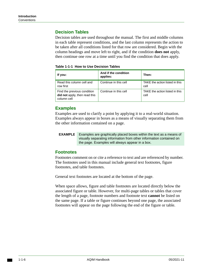#### <span id="page-13-1"></span>**Decision Tables**

Decision tables are used throughout the manual. The first and middle columns in each table represent conditions, and the last column represents the action to be taken after all conditions listed for that row are considered. Begin with the column headings and move left to right, and if the condition **does not** apply, then continue one row at a time until you find the condition that does apply.

<span id="page-13-0"></span>

| Table 1-1-1 How to Use Decision Tables |  |
|----------------------------------------|--|
|----------------------------------------|--|

| If you:                                                                     | And if the condition<br>applies: | Then:                                  |
|-----------------------------------------------------------------------------|----------------------------------|----------------------------------------|
| Read this column cell and<br>row first                                      | Continue in this cell            | TAKE the action listed in this<br>cell |
| Find the previous condition<br>did not apply, then read this<br>column cell | Continue in this cell            | TAKE the action listed in this<br>cell |

#### <span id="page-13-2"></span>**Examples**

Examples are used to clarify a point by applying it to a real-world situation. Examples always appear in boxes as a means of visually separating them from the other information contained on a page.

**EXAMPLE** Examples are graphically placed boxes within the text as a means of visually separating information from other information contained on the page. Examples will always appear in a box.

#### <span id="page-13-3"></span>**Footnotes**

Footnotes comment on or cite a reference to text and are referenced by number. The footnotes used in this manual include general text footnotes, figure footnotes, and table footnotes.

General text footnotes are located at the bottom of the page.

When space allows, figure and table footnotes are located directly below the associated figure or table. However, for multi-page tables or tables that cover the length of a page, footnote numbers and footnote text **cannot** be listed on the same page. If a table or figure continues beyond one page, the associated footnotes will appear on the page following the end of the figure or table.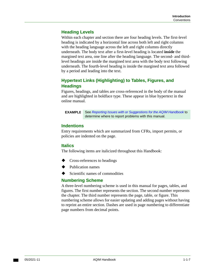### <span id="page-14-0"></span>**Heading Levels**

Within each chapter and section there are four heading levels. The first-level heading is indicated by a horizontal line across both left and right columns with the heading language across the left and right columns directly underneath. The body text after a first-level heading is located **inside** the margined text area, one line after the heading language. The second- and thirdlevel headings are inside the margined text area with the body text following underneath. The fourth-level heading is inside the margined text area followed by a period and leading into the text.

## <span id="page-14-1"></span>**Hypertext Links (Highlighting) to Tables, Figures, and Headings**

Figures, headings, and tables are cross-referenced in the body of the manual and are highlighted in boldface type. These appear in blue hypertext in the online manual.

**EXAMPLE** See *[Reporting Issues with or Suggestions for the AQIM Handbook](#page-15-3)* to determine where to report problems with this manual.

### <span id="page-14-2"></span>**Indentions**

Entry requirements which are summarized from CFRs, import permits, or policies are indented on the page.

#### <span id="page-14-3"></span>**Italics**

The following items are italicized throughout this Handbook:

- Cross-references to headings
- Publication names
- Scientific names of commodities

#### <span id="page-14-4"></span>**Numbering Scheme**

A three-level numbering scheme is used in this manual for pages, tables, and figures. The first number represents the section. The second number represents the chapter. The third number represents the page, table, or figure. This numbering scheme allows for easier updating and adding pages without having to reprint an entire section. Dashes are used in page numbering to differentiate page numbers from decimal points.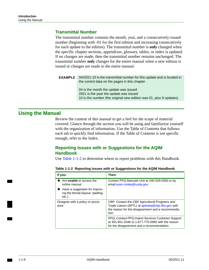#### <span id="page-15-1"></span>**Transmittal Number**

The transmittal number contains the month, year, and a consecutively-issued number (beginning with -01 for the first edition and increasing consecutively for each update to the edition). The transmittal number is **only** changed when the specific chapter sections, appendixes, glossary, tables, or index is updated. If no changes are made, then the transmittal number remains unchanged. The transmittal number **only** changes for the entire manual when a new edition is issued or changes are made to the entire manual.

**EXAMPLE** 04/2021-10 is the transmittal number for this update and is located in the control data on the pages in this chapter 04 is the month the update was issued 2021 is the year the update was issued 10 is the number (the original new edition was 01, plus 9 updates)

## <span id="page-15-2"></span>**Using the Manual**

Review the content of this manual to get a feel for the scope of material covered. Glance through the section you will be using and familiarize yourself with the organization of information. Use the Table of Contents that follows each tab to quickly find information. If the Table of Contents is not specific enough, refer to the Index.

### <span id="page-15-3"></span>**Reporting Issues with or Suggestions for the AQIM Handbook**

Use [Table 1-1-2](#page-15-0) to determine where to report problems with this Handbook.

| If you:                                                                     | Then:                                                                                                                                                             |
|-----------------------------------------------------------------------------|-------------------------------------------------------------------------------------------------------------------------------------------------------------------|
| Are <b>unable</b> to access the<br>online manual                            | Contact PPQ Manuals Unit at 240-529-0350 or by<br>email josie.cooley@usda.gov.                                                                                    |
| Have a suggestion for improv-<br>ing the format (layout, spelling,<br>etc.) |                                                                                                                                                                   |
| Disagree with a policy or proce-<br>dure                                    | CBP: Contact the CBP Agricultural Programs and<br>Trade Liaison (APTL) at aptisida@cbp.dhs.gov with<br>the reason for the disagreement and a recommenda-<br>tion. |
|                                                                             | PPQ: Contact PPQ Import Services Customer Support<br>at 301-851-2046 or 1-877-770-5990 with the reason<br>for the disagreement and a recommendation.              |

<span id="page-15-0"></span> **Table 1-1-2 Reporting Issues with or Suggestions for the AQIM Handbook**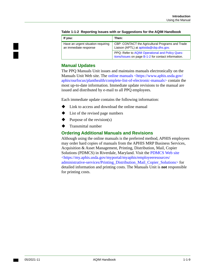| If you:                                                     | Then:                                                                                                  |
|-------------------------------------------------------------|--------------------------------------------------------------------------------------------------------|
| Have an urgent situation requiring<br>an immediate response | CBP: CONTACT the Agricultural Programs and Trade<br>Liaison (APTL) at aptisida@cbp.dhs.gov.            |
|                                                             | PPQ: Refer to AQIM Operational and Policy Ques-<br>tions/Issues on page B-1-2 for contact information. |

#### **Table 1-1-2 Reporting Issues with or Suggestions for the AQIM Handbook**

#### <span id="page-16-0"></span>**Manual Updates**

The PPQ Manuals Unit issues and maintains manuals electronically on the Manuals Unit Web site. The [online manuals <https://www.aphis.usda.gov/](http://www.aphis.usda.gov/import_export/plants/manuals/online_manuals.shtml)  [aphis/ourfocus/planthealth/complete-list-of-electronic-manuals>](http://www.aphis.usda.gov/import_export/plants/manuals/online_manuals.shtml) contain the most up-to-date information. Immediate update revisions to the manual are issued and distributed by e-mail to all PPQ employees.

Each immediate update contains the following information:

- Link to access and download the online manual
- List of the revised page numbers
- Purpose of the revision(s)
- Transmittal number

### <span id="page-16-1"></span>**Ordering Additional Manuals and Revisions**

Although using the online manuals is the preferred method, APHIS employees may order hard copies of manuals from the APHIS MRP Business Services, Acquisition & Asset Management, Printing, Distribution, Mail, Copier Solutions (PDMCS) in Riverdale, Maryland. Visit the [PDMCS Web site](https://my.aphis.usda.gov/myportal/myaphis/employeeresources/administrative-services/Printing_Distribution_Mail_Copier_Solutions)  [<https://my.aphis.usda.gov/myportal/myaphis/employeeresources/](https://my.aphis.usda.gov/myportal/myaphis/employeeresources/administrative-services/Printing_Distribution_Mail_Copier_Solutions)  [administrative-services/Printing\\_Distribution\\_Mail\\_Copier\\_Solutions> f](https://my.aphis.usda.gov/myportal/myaphis/employeeresources/administrative-services/Printing_Distribution_Mail_Copier_Solutions)or detailed information and printing costs. The Manuals Unit is **not** responsible for printing costs.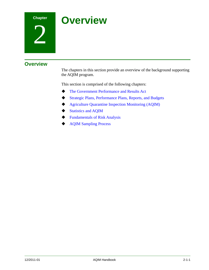2

## <span id="page-18-0"></span>**Chapter CVETVIEW**

## **Overview**

The chapters in this section provide an overview of the background supporting the AQIM program.

This section is comprised of the following chapters:

- [The Government Performance and Results Act](#page-20-1)
- [Strategic Plans, Performance Plans, Reports, and Budgets](#page-24-1)
- [Agriculture Quarantine Inspection Monitoring \(AQIM\)](#page-32-1)
- [Statistics and AQIM](#page-36-1)
- [Fundamentals of Risk Analysis](#page-44-1)
- [AQIM Sampling Process](#page-54-1)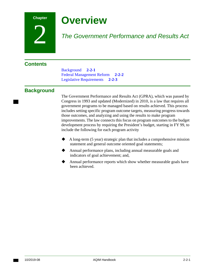**Chapter** 

2

## **Overview**

## <span id="page-20-1"></span><span id="page-20-0"></span>*The Government Performance and Results Act*

## **Contents**

[Background](#page-20-2) **2-2-1**  [Federal Management Reform](#page-21-1) **2-2-2**  [Legislative Requirements](#page-22-0) **2-2-3** 

## <span id="page-20-2"></span>**Background**

The Government Performance and Results Act (GPRA), which was passed by Congress in 1993 and updated (Modernized) in 2010, is a law that requires all government programs to be managed based on results achieved. This process includes setting specific program outcome targets, measuring progress towards those outcomes, and analyzing and using the results to make program improvements. The law connects this focus on program outcomes to the budget development process by requiring the President's budget, starting in FY 99, to include the following for each program activity

- A long-term (5 year) strategic plan that includes a comprehensive mission statement and general outcome oriented goal statements;
- Annual performance plans, including annual measurable goals and indicators of goal achievement; and,
- Annual performance reports which show whether measurable goals have been achieved.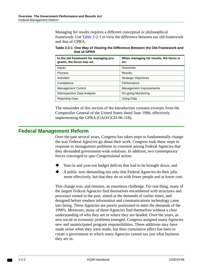Managing for results requires a different conceptual or philosophical framework. Use [Table 2-2-1](#page-21-0) to view the difference between our old framework and that of GPRA.

<span id="page-21-0"></span>

| Table 2-2-1 One Way of Viewing the Difference Between the Old Framework and |
|-----------------------------------------------------------------------------|
| that of GPRA                                                                |

| In the old framework for managing pro-<br>grams, the focus was on: | When managing for results, the focus is<br>on: |
|--------------------------------------------------------------------|------------------------------------------------|
| Inputs                                                             | Outcomes                                       |
| Process                                                            | Results                                        |
| Activities                                                         | <b>Strategic Objectives</b>                    |
| Compliance                                                         | Performance                                    |
| <b>Management Control</b>                                          | Management Improvements                        |
| Retrospective Data Analysis                                        | On-going Monitoring                            |
| Reporting Data                                                     | Using Data                                     |

The remainder of this section of the Introduction contains excerpts from the Comptroller General of the United States dated June 1996, effectively implementing the GPRA (GAO/GGD-96-118).

## <span id="page-21-1"></span>**Federal Management Reform**

Over the past several years, Congress has taken steps to fundamentally change the way Federal Agencies go about their work. Congress took these steps in response to management problems so common among Federal Agencies that they demanded government-wide solutions. In addition, two contemporary forces converged to spur Congressional action:

- Year-in and year-out budget deficits that had to be brought down, and
- A public now demanding not only that Federal Agencies do their jobs more effectively, but that they do so with fewer people and at lower cost.

This change was, and remains, an enormous challenge. For one thing, many of the largest Federal Agencies find themselves encumbered with structures and processes rooted in the past, aimed at the demands of earlier times, and designed before modern information and communications technology came into being. These Agencies are poorly positioned to meet the demands of the 1990's. Moreover, many of these Agencies find themselves without a clear understanding of who they are or where they are headed. Over the years, as new social or economic problems emerged, Congress assigned many Agencies new and unanticipated program responsibilities. These additions may have made sense when they were made, but their cumulative effect has been to create a government in which many Agencies cannot say just what business they are in.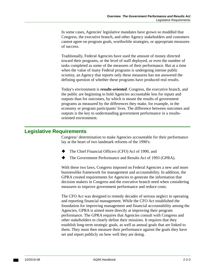In some cases, Agencies' legislative mandates have grown so muddled that Congress, the executive branch, and other Agency stakeholders and customers cannot agree on program goals, worthwhile strategies, or appropriate measures of success.

Traditionally, Federal Agencies have used the amount of money directed toward their programs, or the level of staff deployed, or even the number of tasks completed as some of the measures of their performance. But at a time when the value of many Federal programs is undergoing intense public scrutiny, an Agency that reports only these measures has not answered the defining question of whether these programs have produced real results.

Today's environment is *results-oriented*. Congress, the executive branch, and the public are beginning to hold Agencies accountable less for inputs and outputs than for outcomes, by which is meant the results of government programs as measured by the differences they make, for example, in the economy or program participants' lives. The difference between outcomes and outputs is the key to understanding government performance in a resultsoriented environment.

## <span id="page-22-0"></span>**Legislative Requirements**

Congress' determination to make Agencies accountable for their performance lay at the heart of two landmark reforms of the 1990's:

- The Chief Financial Officers (CFO) Act of 1990, and
- The Government Performance and Results Act of 1993 (GPRA).

With these two laws, Congress imposed on Federal Agencies a new and more businesslike framework for management and accountability. In addition, the GPRA created requirements for Agencies to generate the information that decision makers in Congress and the executive branch need when considering measures to improve government performance and reduce costs.

The CFO Act was designed to remedy decades of serious neglect in operating and reporting financial management. While the CFO Act established the foundation for improving management and financial accountability among the Agencies, GPRA is aimed more directly at improving their program performance. The GPRA requires that Agencies consult with Congress and other stakeholders to clearly define their missions. It requires that they establish long-term strategic goals, as well as annual goals that are linked to them. They must then measure their performance against the goals they have set and report publicly on how well they are doing.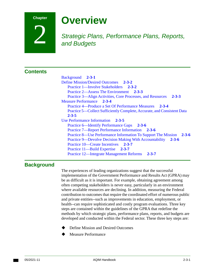#### **Chapter**

2

## **Overview**

## <span id="page-24-1"></span><span id="page-24-0"></span>*Strategic Plans, Performance Plans, Reports, and Budgets*

## **Contents**

| Background 2-3-1<br><b>Define Mission/Desired Outcomes</b> 2-3-2             |
|------------------------------------------------------------------------------|
| <b>Practice 1—Involve Stakeholders</b> 2-3-2                                 |
| Practice 2—Assess The Environment 2-3-3                                      |
| Practice 3—Align Activities, Core Processes, and Resources<br>$2 - 3 - 3$    |
| <b>Measure Performance</b> 2-3-4                                             |
| Practice 4—Produce a Set Of Performance Measures 2-3-4                       |
| Practice 5—Collect Sufficiently Complete, Accurate, and Consistent Data      |
| $2 - 3 - 5$                                                                  |
| Use Performance Information 2-3-5                                            |
| Practice 6—Identify Performance Gaps 2-3-6                                   |
| Practice 7—Report Performance Information 2-3-6                              |
| Practice 8—Use Performance Information To Support The Mission 2-3-6          |
| <b>Practice 9—Devolve Decision Making With Accountability</b><br>$2 - 3 - 6$ |
| Practice 10—Create Incentives 2-3-7                                          |
| Practice 11—Build Expertise 2-3-7                                            |
| <b>Practice 12—Integrate Management Reforms</b><br>$2 - 3 - 7$               |

## <span id="page-24-2"></span>**Background**

The experiences of leading organizations suggest that the successful implementation of the Government Performance and Results Act (GPRA) may be as difficult as it is important. For example, obtaining agreement among often competing stakeholders is never easy, particularly in an environment where available resources are declining. In addition, measuring the Federal contribution to outcomes that require the coordinated effort of numerous public and private entities--such as improvements in education, employment, or health--can require sophisticated and costly program evaluations. Three key steps are contained within the guidelines of the GPRA that redefine the methods by which strategic plans, performance plans, reports, and budgets are developed and conducted within the Federal sector. These three key steps are:

- Define Mission and Desired Outcomes
- Measure Performance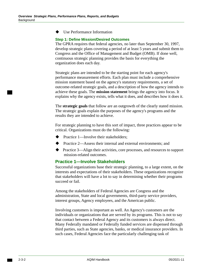#### Use Performance Information

#### <span id="page-25-0"></span>**Step 1: Define Mission/Desired Outcomes**

The GPRA requires that federal agencies, no later than September 30, 1997, develop strategic plans covering a period of at least 5 years and submit them to Congress and the Office of Management and Budget (OMB). If done well, continuous strategic planning provides the basis for everything the organization does each day.

Strategic plans are intended to be the starting point for each agency's performance measurement efforts. Each plan must include a comprehensive mission statement based on the agency's statutory requirements, a set of outcome-related strategic goals, and a description of how the agency intends to achieve these goals. The **mission statement** brings the agency into focus. It explains why the agency exists, tells what it does, and describes how it does it.

The **strategic goals** that follow are an outgrowth of the clearly stated mission. The strategic goals explain the purposes of the agency's programs and the results they are intended to achieve.

For strategic planning to have this sort of impact, three practices appear to be critical. Organizations must do the following:

- ◆ Practice 1—Involve their stakeholders;
- ◆ Practice 2—Assess their internal and external environments; and
- Practice 3—Align their activities, core processes, and resources to support mission-related outcomes.

#### <span id="page-25-1"></span>**Practice 1—Involve Stakeholders**

Successful organizations base their strategic planning, to a large extent, on the interests and expectations of their stakeholders. These organizations recognize that stakeholders will have a lot to say in determining whether their programs succeed or fail.

Among the stakeholders of Federal Agencies are Congress and the administration, State and local governments, third-party service providers, interest groups, Agency employees, and the American public.

Involving customers is important as well. An Agency's customers are the individuals or organizations that are served by its programs. This is not to say that contact between a Federal Agency and its customers is always direct. Many Federally mandated or Federally funded services are dispensed through third parties, such as State agencies, banks, or medical insurance providers. In such cases, Federal Agencies face the particularly challenging task of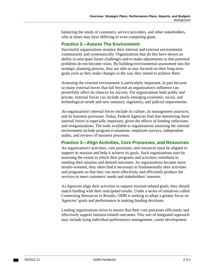balancing the needs of customers, service providers, and other stakeholders, who at times may have differing or even competing goals.

#### <span id="page-26-0"></span>**Practice 2—Assess The Environment**

Successful organizations monitor their internal and external environments continuously and systematically. Organizations that do this have shown an ability to anticipate future challenges and to make adjustments so that potential problems do not become crises. By building environmental assessment into the strategic planning process, they are able to stay focused on their long-term goals even as they make changes in the way they intend to achieve them.

Assessing the external environment is particularly important, in part because so many external forces that fall beyond an organization's influence can powerfully affect its chances for success. For organizations both public and private, external forces can include newly emerging economic, social, and technological trends and new statutory, regulatory, and judicial requirements.

An organization's internal forces include its culture, its management practices, and its business processes. Today, Federal Agencies find that monitoring these internal forces is especially important, given the effects of funding reductions and reorganizations. The tools available to organizations assessing the internal environment include program evaluations, employee surveys, independent audits, and reviews of business processes.

#### <span id="page-26-1"></span>**Practice 3—Align Activities, Core Processes, and Resources**

An organization's activities, core processes, and resources must be aligned to support its mission and help it achieve its goals. Such organizations start by assessing the extent to which their programs and activities contribute to meeting their mission and desired outcomes. As organizations became more results-oriented, they often find it necessary to fundamentally alter activities and programs so that they can more effectively and efficiently produce the services to meet customers' needs and stakeholders' interests.

As Agencies align their activities to support mission-related goals, they should match funding with their anticipated results. Under a series of initiatives called Connecting Resources to Results, OMB is seeking to adopt a greater focus on Agencies' goals and performance in making funding decisions.

Leading organizations strive to ensure that their core processes efficiently and effectively support mission-related outcomes. This sort of integrated approach may include tying individual performance management, career development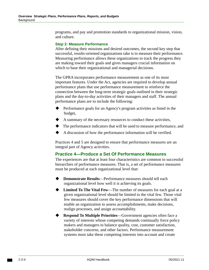programs, and pay and promotion standards to organizational mission, vision, and culture.

#### <span id="page-27-0"></span>**Step 2: Measure Performance**

After defining their missions and desired outcomes, the second key step that successful, results-oriented organizations take is to measure their performance. Measuring performance allows these organizations to track the progress they are making toward their goals and gives managers crucial information on which to base their organizational and managerial decisions.

The GPRA incorporates performance measurement as one of its most important features. Under the Act, agencies are required to develop annual performance plans that use performance measurement to reinforce the connection between the long-term strategic goals outlined in their strategic plans and the day-to-day activities of their managers and staff. The annual performance plans are to include the following:

- Performance goals for an Agency's program activities as listed in the budget,
- A summary of the necessary resources to conduct these activities,
- The performance indicators that will be used to measure performance, and
- A discussion of how the performance information will be verified.

Practices 4 and 5 are designed to ensure that performance measures are an integral part of Agency activities.

#### <span id="page-27-1"></span>**Practice 4—Produce a Set Of Performance Measures**

The experiences are that at least four characteristics are common to successful hierarchies of performance measures. That is, a set of performance measures must be produced at each organizational level that:

- **Demonstrate Results**—Performance measures should tell each organizational level how well it is achieving its goals.
- **Limited To The Vital Few**—The number of measures for each goal at a given organizational level should be limited to the vital few. Those vital few measures should cover the key performance dimensions that will enable an organization to assess accomplishments, make decisions, realign processes, and assign accountability.
- **Respond To Multiple Priorities**—Government agencies often face a variety of interests whose competing demands continually force policy makers and managers to balance quality, cost, customer satisfaction, stakeholder concerns, and other factors. Performance measurement systems must take these competing interests into account and create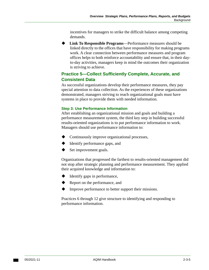incentives for managers to strike the difficult balance among competing demands.

**Link To Responsible Programs**—Performance measures should be linked directly to the offices that have responsibility for making programs work. A clear connection between performance measures and program offices helps to both reinforce accountability and ensure that, in their dayto-day activities, managers keep in mind the outcomes their organization is striving to achieve.

## <span id="page-28-0"></span>**Practice 5—Collect Sufficiently Complete, Accurate, and Consistent Data**

As successful organizations develop their performance measures, they pay special attention to data collection. As the experiences of these organizations demonstrated, managers striving to reach organizational goals must have systems in place to provide them with needed information.

#### <span id="page-28-1"></span>**Step 3: Use Performance Information**

After establishing an organizational mission and goals and building a performance measurement system, the third key step in building successful results-oriented organizations is to put performance information to work. Managers should use performance information to:

- Continuously improve organizational processes,
- Identify performance gaps, and
- Set improvement goals.

Organizations that progressed the farthest to results-oriented management did not stop after strategic planning and performance measurement. They applied their acquired knowledge and information to:

- Identify gaps in performance,
- Report on the performance, and
- Improve performance to better support their missions.

Practices 6 through 12 give structure to identifying and responding to performance information.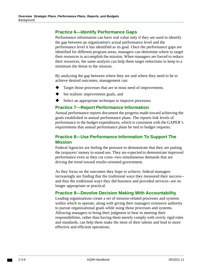### <span id="page-29-0"></span>**Practice 6—Identify Performance Gaps**

Performance information can have real value only if they are used to identify the gap between an organization's actual performance level and the performance level it has identified as its goal. Once the performance gaps are identified for different program areas, managers can determine where to target their resources to accomplish the mission. When managers are forced to reduce their resources, the same analysis can help them target reductions to keep to a minimum the threat to the mission.

By analyzing the gap between where they are and where they need to be to achieve desired outcomes, management can:

- Target those processes that are in most need of improvement,
- Set realistic improvement goals, and
- Select an appropriate technique to improve processes.

#### <span id="page-29-1"></span>**Practice 7—Report Performance Information**

Annual performance reports document the progress made toward achieving the goals established in annual performance plans. The reports link levels of performance to the budget expenditures, which is consistent with the GAPER's requirements that annual performance plans be tied to budget requests.

## <span id="page-29-2"></span>**Practice 8—Use Performance Information To Support The Mission**

Federal Agencies are feeling the pressure to demonstrate that they are putting the taxpayers' money to sound use. They are expected to demonstrate improved performance even as they cut costs--two simultaneous demands that are driving the trend toward results-oriented government.

As they focus on the outcomes they hope to achieve, federal managers increasingly are finding that the traditional ways they measured their success- and thus the traditional ways they did business and provided services--are no longer appropriate or practical.

#### <span id="page-29-3"></span>**Practice 9—Devolve Decision Making With Accountability**

Leading organizations create a set of mission-related processes and systems within which to operate, along with giving their managers extensive authority to pursue organizational goals while using those processes and systems. Allowing managers to bring their judgment to bear in meeting their responsibilities, rather than having them merely comply with overly rigid rules and standards, can help them make the most of their talents and lead to more effective and efficient operations.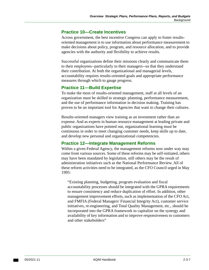### <span id="page-30-0"></span>**Practice 10—Create Incentives**

Across government, the best incentive Congress can apply to foster resultsoriented management is to use information about performance measurement to make decisions about policy, program, and resource allocation, and to provide agencies with the authority and flexibility to achieve results.

Successful organizations define their missions clearly and communicate them to their employees--particularly to their managers--so that they understand their contribution. At both the organizational and managerial levels, accountability requires results-oriented goals and appropriate performance measures through which to gauge progress.

#### <span id="page-30-1"></span>**Practice 11—Build Expertise**

To make the most of results-oriented management, staff at all levels of an organization must be skilled in strategic planning, performance measurement, and the use of performance information in decision making. Training has proven to be an important tool for Agencies that want to change their cultures.

Results-oriented managers view training as an investment rather than an expense. And as experts in human resource management at leading private and public organizations have pointed out, organizational learning must be continuous in order to meet changing customer needs, keep skills up to date, and develop new personal and organizational competencies.

#### <span id="page-30-2"></span>**Practice 12—Integrate Management Reforms**

Within a given Federal Agency, the management reforms now under way may come from various sources. Some of these reforms may be self-initiated, others may have been mandated by legislation, still others may be the result of administration initiatives such as the National Performance Review. All of these reform activities need to be integrated, as the CFO Council urged in May 1995:

"Existing planning, budgeting, program evaluation and fiscal accountability processes should be integrated with the GPRA requirements to ensure consistency and reduce duplication of effort. In addition, other management improvement efforts, such as implementation of the CFO Act, and FMFIA (Federal Managers' Financial Integrity Act), customer service initiatives, re-engineering, and Total Quality Management, etc., should be incorporated into the GPRA framework to capitalize on the synergy and availability of key information and to improve responsiveness to customers and other stakeholders"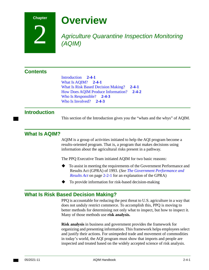

2

## **Overview**

<span id="page-32-1"></span><span id="page-32-0"></span>*Agriculture Quarantine Inspection Monitoring (AQIM)* 

## **Contents**

[Introduction](#page-32-2) **2-4-1**  [What Is AQIM?](#page-32-3) **2-4-1**  [What Is Risk Based Decision Making?](#page-32-4) **2-4-1**  [How Does AQIM Produce Information?](#page-33-0) **2-4-2**  [Who Is Responsible?](#page-34-0) **2-4-3**  [Who Is Involved?](#page-34-1) **2-4-3** 

## <span id="page-32-2"></span>**Introduction**

This section of the Introduction gives you the "whats and the whys" of AQIM.

## <span id="page-32-3"></span>**What Is AQIM?**

AQIM is a group of activities initiated to help the AQI program become a results-oriented program. That is, a program that makes decisions using information about the agricultural risks present in a pathway.

The PPQ Executive Team initiated AQIM for two basic reasons:

- To assist in meeting the requirements of the Government Performance and Results Act (GPRA) of 1993. (*[See The Government Performance and](#page-20-1)  Results Act* [on page 2-2-1](#page-20-1) for an explanation of the GPRA)
- To provide information for risk-based decision-making

## <span id="page-32-4"></span>**What Is Risk Based Decision Making?**

PPQ is accountable for reducing the pest threat to U.S. agriculture in a way that does not unduly restrict commerce. To accomplish this, PPQ is moving to better methods for determining not only what to inspect, but how to inspect it. Many of those methods use **risk analysis.** 

**Risk analysis** in business and government provides the framework for organizing and presenting information. This framework helps employees select and justify their actions. For unimpeded trade and movement of commodities in today's world, the AQI program must show that imports and people are inspected and treated based on the widely accepted science of risk analysis.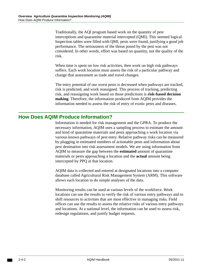Traditionally, the AQI program based work on the quantity of pest interceptions and quarantine material intercepted (QMI). This seemed logical. Inspection tables were filled with QMI, pests were found, justifying a good job performance. The seriousness of the threat posed by the pest was not considered. In other words, effort was based on quantity, not the quality of the risk.

When time is spent on low risk activities, then work on high risk pathways suffers. Each work location must assess the risk of a particular pathway and change that assessment as trade and travel changes.

The entry potential of our worst pests is decreased when pathways are tracked, risk is predicted, and work reassigned. This process of tracking, predicting risk, and reassigning work based on those predictions is **risk-based decision making**. Therefore, the information produced from AQIM provides the information needed to assess the risk of entry of exotic pests and diseases.

## <span id="page-33-0"></span>**How Does AQIM Produce Information?**

Information is needed for risk management and the GPRA. To produce the necessary information, AQIM uses a sampling process to estimate the amount and kind of quarantine materials and pests approaching a work location via various known pathways of pest entry. Relative pathway risks can be measured by plugging in estimated numbers of actionable pests and information about pest destination into risk assessment models. We are using information from AQIM to measure the gap between the **estimated** amount of quarantine materials or pests approaching a location and the **actual** amount being intercepted by PPQ at that location.

AQIM data is collected and entered at designated locations into a computer database called Agricultural Risk Management System (ARM). This software allows each location to do simple analyses of the data.

Monitoring results can be used at various levels of the workforce. Work locations can use the results to verify the risk of various entry pathways and to shift resources to activities that are most effective in managing risks. Field offices can use the results to assess the relative risks of various entry pathways and locations. At a national level, the information can be used to assess risk, redesign regulations, and justify budget requests.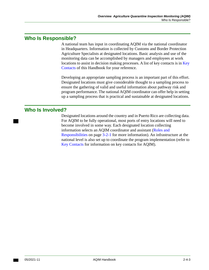## <span id="page-34-0"></span>**Who Is Responsible?**

A national team has input in coordinating AQIM via the national coordinator in Headquarters. Information is collected by Customs and Border Protection Agriculture Specialists at designated locations. Basic analysis and use of the monitoring data can be accomplished by managers and employees at work locations to assist in decision making processes. A list of key contacts is in [Key](#page-150-2)  [Contacts](#page-150-2) of this Handbook for your reference.

Developing an appropriate sampling process is an important part of this effort. Designated locations must give considerable thought to a sampling process to ensure the gathering of valid and useful information about pathway risk and program performance. The national AQIM coordinator can offer help in setting up a sampling process that is practical and sustainable at designated locations.

## <span id="page-34-1"></span>**Who Is Involved?**

Designated locations around the country and in Puerto Rico are collecting data. For AQIM to be fully operational, most ports of entry locations will need to become involved in some way. Each designated location collecting information selects an AQIM coordinator and assistant [\(Roles and](#page-66-1)  [Responsibilities on page 3-2-1](#page-66-1) for more information). An infrastructure at the national level is also set up to coordinate the program implementation (refer to [Key Contacts](#page-150-2) for information on key contacts for AQIM).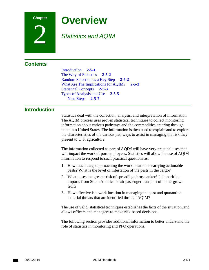### **Chapter**

2

# **Overview**

### <span id="page-36-1"></span>*Statistics and AQIM*

### **Contents**

[Introduction](#page-36-0) **2-5-1**  [The Why of Statistics](#page-37-0) **2-5-2**  [Random Selection as a Key Step](#page-37-1) **2-5-2**  [What Are The Implications for AQIM?](#page-38-0) **2-5-3**  [Statistical Concepts](#page-38-1) **2-5-3**  [Types of Analysis and Use](#page-40-0) **2-5-5**  [Next Steps](#page-42-0) **2-5-7** 

### <span id="page-36-0"></span>**Introduction**

Statistics deal with the collection, analysis, and interpretation of information. The AQIM process uses proven statistical techniques to collect monitoring information about various pathways and the commodities entering through them into United States. The information is then used to explain and to explore the characteristics of the various pathways to assist in managing the risk they present to U.S. agriculture.

The information collected as part of AQIM will have very practical uses that will impact the work of port employees. Statistics will allow the use of AQIM information to respond to such practical questions as:

- 1. How much cargo approaching the work location is carrying actionable pests? What is the level of infestation of the pests in the cargo?
- 2. What poses the greater risk of spreading citrus canker? Is it maritime imports from South America or air passenger transport of home-grown fruit?
- 3. How effective is a work location in managing the pest and quarantine material threats that are identified through AQIM?

The use of valid, statistical techniques establishes the facts of the situation, and allows officers and managers to make risk-based decisions.

The following section provides additional information to better understand the role of statistics in monitoring and PPQ operations.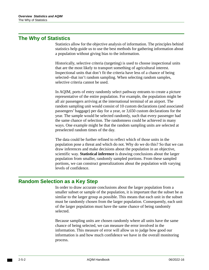### <span id="page-37-0"></span>**The Why of Statistics**

Statistics allow for the objective analysis of information. The principles behind statistics help guide us to use the best methods for gathering information about a population without giving bias to the information.

Historically, selective criteria (targeting) is used to choose inspectional units that are the most likely to transport something of agricultural interest. Inspectional units that don't fit the criteria have less of a chance of being selected--that isn't random sampling. When selecting random samples, selective criteria cannot be used.

In AQIM, ports of entry randomly select pathway entrants to create a picture representative of the entire population. For example, the population might be all air passengers arriving at the international terminal of an airport. The random sampling unit would consist of 10 custom declarations (and associated passengers' baggage) per day for a year, or 3,650 custom declarations for the year. The sample would be selected randomly, such that every passenger had the same chance of selection. The randomness could be achieved in many ways. One example might be that the random sampling units are selected at preselected random times of the day.

The data could be further refined to reflect which of those units in the population pose a threat and which do not. Why do we do this? So that we can draw inferences and make decisions about the population in an objective, scientific way. **Statistical inference** is drawing conclusions about the larger population from smaller, randomly sampled portions. From these sampled portions, we can construct generalizations about the population with varying levels of confidence.

### <span id="page-37-1"></span>**Random Selection as a Key Step**

In order to draw accurate conclusions about the larger population from a smaller subset or sample of the population, it is important that the subset be as similar to the larger group as possible. This means that each unit in the subset must be randomly chosen from the larger population. Consequently, each unit of the larger population must have the same chance of being randomly selected.

Because sampling units are chosen randomly where all units have the same chance of being selected, we can measure the error involved in the information. This measure of error will allow us to judge how good our information is and how much confidence we have in the overall monitoring process.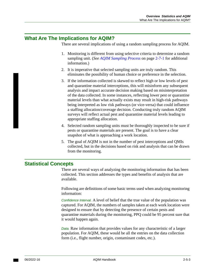### <span id="page-38-0"></span>**What Are The Implications for AQIM?**

There are several implications of using a random sampling process for AQIM.

- 1. Monitoring is different from using selective criteria to determine a random sampling unit. (*[See AQIM Sampling Process](#page-54-0)* on page 2-7-1 for additional information.)
- 2. It is imperative that selected sampling units are truly random. This eliminates the possibility of human choice or preference in the selection.
- 3. If the information collected is skewed to reflect high or low levels of pest and quarantine material interceptions, this will misinform any subsequent analysis and impact accurate decision making based on misinterpretation of the data collected. In some instances, reflecting lower pest or quarantine material levels than what actually exists may result in high-risk pathways being interpreted as low risk pathways (or vice-versa) that could influence a staffing allocation/coverage decision. Conducting truly random AQIM surveys will reflect actual pest and quarantine material levels leading to appropriate staffing allocation.
- 4. Selected random sampling units must be thoroughly inspected to be sure if pests or quarantine materials are present. The goal is to have a clear snapshot of what is approaching a work location.
- 5. The goal of AQIM is not in the number of pest interceptions and QMIs collected, but in the decisions based on risk and analysis that can be drawn from the monitoring.

### <span id="page-38-1"></span>**Statistical Concepts**

There are several ways of analyzing the monitoring information that has been collected. This section addresses the types and benefits of analysis that are available.

Following are definitions of some basic terms used when analyzing monitoring information:

*Confidence Interval.* A level of belief that the true value of the population was captured. For AQIM, the numbers of samples taken at each work location were designed to ensure that by detecting the presence of certain pests and quarantine materials during the monitoring, PPQ could be 95 percent sure that it would happen again.

*Data.* Raw information that provides values for any characteristic of a larger population. For AQIM, these would be all the entries on the data collection form (i.e., flight number, origin, contaminant codes, etc.).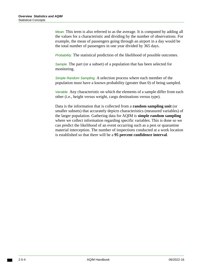*Mean.* This term is also referred to as the average. It is computed by adding all the values for a characteristic and dividing by the number of observations. For example, the mean of passengers going through an airport in a day would be the total number of passengers in one year divided by 365 days.

*Probability.* The statistical prediction of the likelihood of possible outcomes.

*Sample.* The part (or a subset) of a population that has been selected for monitoring.

*Simple Random Sampling.* A selection process where each member of the population must have a known probability (greater than 0) of being sampled.

*Variable.* Any characteristic on which the elements of a sample differ from each other (i.e., height versus weight, cargo destinations versus type).

Data is the information that is collected from a **random sampling unit** (or smaller subsets) that accurately depicts characteristics (measured variables) of the larger population. Gathering data for AQIM is **simple random sampling**  where we collect information regarding specific variables. This is done so we can predict the likelihood of an event occurring such as a pest or quarantine material interception. The number of inspections conducted at a work location is established so that there will be a **95 percent confidence interval**.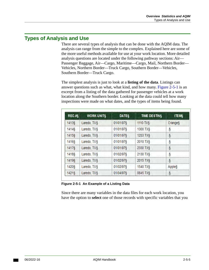### <span id="page-40-0"></span>**Types of Analysis and Use**

There are several types of analysis that can be done with the AQIM data. The analysis can range from the simple to the complex. Explained here are some of the more useful methods available for use at your work location. More detailed analysis questions are located under the following pathway sections: Air— Passenger Baggage, Air—Cargo, Maritime—Cargo, Mail, Northern Border— Vehicles, Northern Border—Truck Cargo, Southern Border—Vehicles, Southern Border—Truck Cargo.

The simplest analysis is just to look at a **listing of the data**. Listings can answer questions such as what, what kind, and how many. [Figure 2-5-1](#page-40-1) is an excerpt from a listing of the data gathered for passenger vehicles at a work location along the Southern border. Looking at the data could tell how many inspections were made on what dates, and the types of items being found.

| REC.HS | <b>WORK UNITS</b> | <b>DATES</b> | TIME DESTING | <b>ITEMS</b> |
|--------|-------------------|--------------|--------------|--------------|
| 1413§  | Laredo, TX§       | 01/01/97§    | 1110 TXS     | Oranges      |
| 1414§  | Laredo, TX§       | 01/01/97§    | 1300 TX§     | -S           |
| 1415§  | Laredo, TX§       | 01/01/97§    | 1253 TXS     | -S           |
| 1416§  | Laredo, TX§       | 01/01/97§    | 2010 TXS     | -S           |
| 1417§  | Laredo, TX§       | 01/01/97§    | 2330 TXS     | -S           |
| 1418§  | Laredo, TX§       | 01/02/97§    | 2130 TXS     | -S           |
| 1419§  | Laredo, TX§       | 01/02/97§    | 2015 TXS     | -S           |
| 1420§  | Laredo, TX§       | 01/02/97§    | 1540 TX§     | Apple§       |
| 1421§  | Laredo, TXS       | 01/04/97§    | 0845 TXS     | : S          |

<span id="page-40-1"></span>**Figure 2-5-1 An Example of a Listing Data** 

Since there are many variables in the data files for each work location, you have the option to **select** one of those records with specific variables that you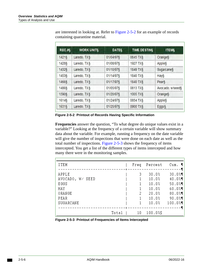| REC.#§ | <b>WORK UNITS</b> | <b>DATES</b>   | TIME DESTING | <b>ITEMS</b>     |
|--------|-------------------|----------------|--------------|------------------|
| 1421§  | Laredo, TXS       | $: 01/04/97$ § | 0845 TXS     | Oranges          |
| 1428§  | Laredo, TX§       | 01/08/97§      | 1927 TX§     | AppleS           |
| 1432§  | Laredo, TX§       | $: 01/10/97$ § | 1849 TXS     | Sugarcanes       |
| 1453§  | Laredo, TXS       | 01/14/97§      | 1840 TX§     | Hay§             |
| 1466§  | Laredo, TX§       | : 01/17/97     | 1840 TX§     | Pears            |
| 1486§  | Laredo, TXS       | 01/05/97§      | 0813 TX§     | Avocado, w/seed§ |
| 1590§  | Laredo, TX§       | : 01/20/97     | 1005 TX§     | Orange§          |
| 1614§  | Laredo, TX§       | 01/24/97§      | 0854 TXS     | AppleS           |
| 1631§  | Laredo, TX§       | : 01/25/97     | 0900 TXS     | Eggs§            |

are interested in looking at. Refer to [Figure 2-5-2](#page-41-0) for an example of records containing quarantine material.

<span id="page-41-0"></span> **Figure 2-5-2 Printout of Records Having Specific Information** 

**Frequencies** answer the question, "To what degree do unique values exist in a variable?" Looking at the frequency of a certain variable will show summary data about the variable. For example, running a frequency on the date variable will give the number of inspections that were done on each date as well as the total number of inspections. [Figure 2-5-3](#page-41-1) shows the frequency of items intercepted. You get a list of the different types of items intercepted and how many there were in the monitoring samples.

| ITEM                                                                    |       | Freq   | Percent                                                     | Cum.                                                                                  |
|-------------------------------------------------------------------------|-------|--------|-------------------------------------------------------------|---------------------------------------------------------------------------------------|
| APPLE<br>AVOCADO, W/ SEED<br>EGGS<br>HAY<br>ORANGE<br>PEAR<br>SUGARCANE |       | 3<br>2 | 30.0%<br>10.0%<br>10.0%<br>10.0%<br>20.0%<br>10.0%<br>10.0% | $30.0\%$<br>$40.0\%$<br>$50.0\%$<br>$60.0\%$ ¶<br>$80.0\%$ ¶<br>$90.0\%$<br>$100.0\%$ |
|                                                                         | Total | 10     | 100.0%\$                                                    |                                                                                       |

<span id="page-41-1"></span> **Figure 2-5-3 Printout of Frequencies of Items Intercepted**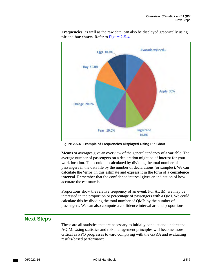

**Frequencies**, as well as the raw data, can also be displayed graphically using **pie** and **bar charts**. Refer to [Figure 2-5-4.](#page-42-1)

<span id="page-42-1"></span>**Figure 2-5-4 Example of Frequencies Displayed Using Pie Chart** 

**Means** or averages give an overview of the general tendency of a variable. The average number of passengers on a declaration might be of interest for your work location. This could be calculated by dividing the total number of passengers in the data file by the number of declarations (or samples). We can calculate the 'error' in this estimate and express it in the form of a **confidence interval**. Remember that the confidence interval gives an indication of how accurate the estimate is.

Proportions show the relative frequency of an event. For AQIM, we may be interested in the proportion or percentage of passengers with a QMI. We could calculate this by dividing the total number of QMIs by the number of passengers. We can also compute a confidence interval around proportions.

### <span id="page-42-0"></span>**Next Steps**

These are all statistics that are necessary to initially conduct and understand AQIM. Using statistics and risk management principles will become more critical as PPQ progresses toward complying with the GPRA and evaluating results-based performance.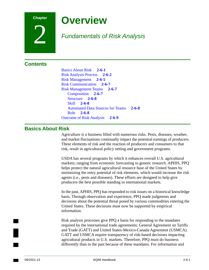### **Chapter**

2

## **Overview**

### *Fundamentals of Risk Analysis*

### **Contents**

[Basics About Risk](#page-44-0) **2-6-1**  [Risk Analysis Process](#page-45-0) **2-6-2**  [Risk Management](#page-48-0) **2-6-5**  [Risk Communication](#page-50-0) **2-6-7**  [Risk Management Teams](#page-50-1) **2-6-7**  [Composition](#page-50-2) **2-6-7**  [Structure](#page-51-0) **2-6-8**  Skill **[2-6-8](#page-51-1)**  [Automated Data Sources for Teams](#page-51-2) **2-6-8**  Role **[2-6-8](#page-51-3)**  [Outcome of Risk Analysis](#page-52-0) **2-6-9** 

### <span id="page-44-0"></span>**Basics About Risk**

Agriculture is a business filled with numerous risks. Pests, diseases, weather, and market fluctuations continually impact the potential earnings of producers. These elements of risk and the reaction of producers and consumers to that risk, result in agricultural policy setting and government programs.

USDA has several programs by which it enhances overall U.S. agricultural markets; ranging from economic forecasting to genetic research. APHIS, PPQ helps protect the natural agricultural resource base of the United States by minimizing the entry potential of risk elements, which would increase the risk agents (i.e., pests and diseases). These efforts are designed to help give producers the best possible standing in international markets.

In the past, APHIS, PPQ has responded to risk issues on a historical knowledge basis. Through observation and experience, PPQ made judgments and decisions about the potential threat posed by various commodities entering the United States. These decisions must now be supported by empirical information.

Risk analysis processes give PPQ a basis for responding to the mandates required by the international trade agreements: General Agreement on Tariffs and Trade (GATT) and United States-Mexico-Canada Agreement (USMCA). GATT and USMCA require transparency of risk-based decisions impacting agricultural products in U.S. markets. Therefore, PPQ must do business differently than in the past because of these mandates. For information and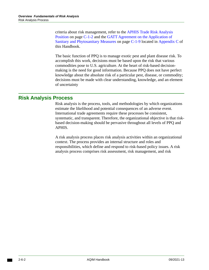criteria about risk management, refer to the [APHIS Trade Risk Analysis](#page-153-0)  [Position on page C-1-2](#page-153-0) and the [GATT Agreement on the Application of](#page-160-0)  [Sanitary and Phytosanitary Measures on page C-1-9](#page-160-0) located in [Appendix C](#page-152-0) of this Handbook.

The basic function of PPQ is to manage exotic pest and plant disease risk. To accomplish this work, decisions must be based upon the risk that various commodities pose to U.S. agriculture. At the heart of risk-based decisionmaking is the need for good information. Because PPQ does not have perfect knowledge about the absolute risk of a particular pest, disease, or commodity; decisions must be made with clear understanding, knowledge, and an element of uncertainty

### <span id="page-45-0"></span>**Risk Analysis Process**

Risk analysis is the process, tools, and methodologies by which organizations estimate the likelihood and potential consequences of an adverse event. International trade agreements require these processes be consistent, systematic, and transparent. Therefore, the organizational objective is that riskbased decision-making should be pervasive throughout all levels of PPQ and APHIS.

A risk analysis process places risk analysis activities within an organizational context. The process provides an internal structure and roles and responsibilities, which define and respond to risk-based policy issues. A risk analysis process comprises risk assessment, risk management, and risk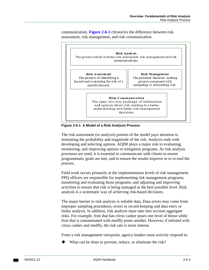communication. **[Figure 2-6-1](#page-46-0)** chronicles the difference between risk assessment, risk management, and risk communication.



<span id="page-46-0"></span> **Figure 2-6-1 A Model of a Risk Analysis Process** 

The risk assessment (or analysis) portion of the model pays attention to estimating the probability and magnitude of the risk. Analysis ends with developing and selecting options. AQIM plays a major role in evaluating, monitoring, and improving options or mitigation programs. As risk analysis processes are used, it is essential to communicate with clients to ensure programmatic goals are met, and to ensure the results improve or to re-tool the process.

Field work occurs primarily at the implementation levels of risk management. PPQ officers are responsible for implementing risk management programs; monitoring and evaluating those programs; and adjusting and improving activities to ensure that risk is being managed at the best possible level. Risk analysis is a systematic way of achieving risk-based decisions.

The major barrier to risk analysis is reliable data. Data errors may come from improper sampling procedures, errors in record-keeping and data entry or faulty analysis. In addition, risk analysis must take into account aggregate risks. For example, fruit that has citrus canker poses one level of threat while fruit that is contaminated with medfly poses another. However, if infested with citrus canker and medfly, the risk rate is more intense.

From a risk management viewpoint, agency leaders must actively respond to:

What can be done to prevent, reduce, or eliminate the risk?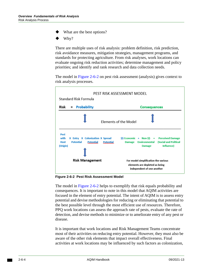- What are the best options?
- Why?

There are multiple uses of risk analysis: problem definition, risk prediction, risk avoidance measures, mitigation strategies, management programs, and standards for protecting agriculture. From risk analyses, work locations can evaluate ongoing risk reduction activities; determine management and policy priorities; and identify and rank research and data collection needs.

The model in [Figure 2-6-2](#page-47-0) on pest risk assessment (analysis) gives context to risk analysis processes.



<span id="page-47-0"></span>**Figure 2-6-2 Pest Risk Assessment Model** 

The model in [Figure 2-6-2](#page-47-0) helps to exemplify that risk equals probability and consequences. It is important to note in this model that AQIM activities are focused in the element of entry potential. The intent of AQIM is to assess entry potential and devise methodologies for reducing or eliminating that potential to the best possible level through the most efficient use of resources. Therefore, PPQ work locations can assess the approach rate of pests, evaluate the rate of detection, and devise methods to minimize or to ameliorate entry of any pest or disease.

It is important that work locations and Risk Management Teams concentrate most of their activities on reducing entry potential. However, they must also be aware of the other risk elements that impact overall effectiveness. Final activities at work locations may be influenced by such factors as colonization,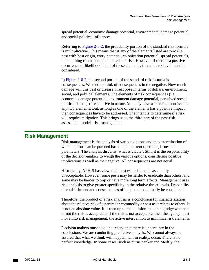spread potential, economic damage potential, environmental damage potential, and social-political influences.

Referring to [Figure 2-6-2,](#page-47-0) the probability portion of the standard risk formula is multiplicative. This means that if any of the elements listed are zero (i.e., pest with host origin, entry potential, colonization potential, spread potential), then nothing can happen and there is no risk. However, if there is a positive occurrence or likelihood in all of these elements, then the risk level must be considered.

In [Figure 2-6-2](#page-47-0), the second portion of the standard risk formula is consequences. We tend to think of consequences in the negative. How much damage will this pest or disease threat pose in terms of dollars, environment, social, and political elements. The elements of risk consequences (i.e., economic damage potential, environment damage potential, perceived socialpolitical damage) are additive in nature. You may have a "zero" or non-issue in any two elements. But, as long as one of the elements has a positive impact, then consequences have to be addressed. The intent is to determine if a risk will require mitigation. This brings us to the third part of the pest risk assessment model--risk management.

### <span id="page-48-0"></span>**Risk Management**

Risk management is the analysis of various options and the determination of which options can be pursued based upon current operating issues and parameters. The analysis discerns 'what is viable'. Still, it is the responsibility of the decision-makers to weigh the various options, considering positive implications as well as the negative. All consequences are not equal.

Historically, APHIS has viewed all pest establishments as equally unacceptable. However, some pests may be harder to eradicate than others, and some may be harder to trap or have more long term effects. Management uses risk analysis to give greater specificity in the relative threat levels. Probability of establishment and consequences of impact must mutually be considered.

Therefore, the product of a risk analysis is a conclusion (or characterization) about the relative risk of a particular commodity or pest as it relates to others. It is not an absolute value. It is then up to the decision-makers to judge whether or not the risk is acceptable. If the risk is not acceptable, then the agency must move into risk management: the active intervention to minimize risk elements.

Decision makers must also understand that there is uncertainty in the conclusions. We are conducting predictive analysis. We cannot always be assured that what we think will happen, will in reality, occur. There is no perfect knowledge. In some cases, such as citrus canker and Medfly, the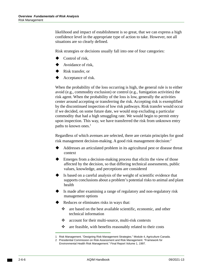likelihood and impact of establishment is so great, that we can express a high confidence level in the appropriate type of action to take. However, not all situations are so clearly defined.

Risk strategies or decisions usually fall into one of four categories:

- Control of risk,
- $\blacklozenge$  Avoidance of risk,
- Risk transfer, or
- Acceptance of risk.

When the probability of the loss occurring is high, the general rule is to either avoid (e.g., commodity exclusion) or control (e.g., fumigation activities) the risk agent. When the probability of the loss is low, generally the activities center around accepting or transferring the risk. Accepting risk is exemplified by the discontinued inspection of low risk pathways. Risk transfer would occur if we decided, on some future date, we would stop excluding a particular commodity that had a high smuggling rate. We would begin to permit entry upon inspection. This way, we have transferred the risk from unknown entry paths to known ones. $<sup>1</sup>$ </sup>

Regardless of which avenues are selected, there are certain principles for good risk management decision-making. A good risk management decision:2

- Addresses an articulated problem in its agricultural pest or disease threat context
- Emerges from a decision-making process that elicits the view of those affected by the decision, so that differing technical assessments, public values, knowledge, and perceptions are considered
- Is based on a careful analysis of the weight of scientific evidence that supports conclusions about a problem's potential risks to animal and plant health
- Is made after examining a range of regulatory and non-regulatory risk management options
- Reduces or eliminates risks in ways that:
	- are based on the best available scientific, economic, and other technical information
	- account for their multi-source, multi-risk contexts
	- are feasible, with benefits reasonably related to their costs

<sup>1</sup> Risk Management. "Designing Risk Management Strategies." Module 4, Agriculture Canada.

<sup>2</sup> Presidential Commission on Risk Assessment and Risk Management. "Framework for

Environmental Health Risk Management." Final Report Volume 1, 1997.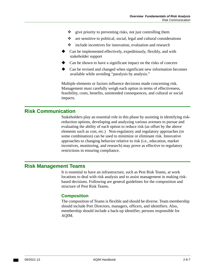- $\triangle$  give priority to preventing risks, not just controlling them
- $\bullet$  are sensitive to political, social, legal and cultural considerations
- $\div$  include incentives for innovation, evaluation and research
- Can be implemented effectively, expeditiously, flexibly, and with stakeholder support
- Can be shown to have a significant impact on the risks of concern
- Can be revised and changed when significant new information becomes available while avoiding "paralysis by analysis."

Multiple elements or factors influence decisions made concerning risk. Management must carefully weigh each option in terms of effectiveness, feasibility, costs, benefits, unintended consequences, and cultural or social impacts.

### <span id="page-50-0"></span>**Risk Communication**

Stakeholders play an essential role in this phase by assisting in identifying riskreduction options, developing and analyzing various avenues to pursue and evaluating the ability of each option to reduce risk (as offset by the above elements such as cost, etc.) Non-regulatory and regulatory approaches (or some combination) can be used to minimize or eliminate risk. Innovative approaches to changing behavior relative to risk (i.e., education, market incentives, monitoring, and research) may prove as effective to regulatory restrictions in ensuring compliance.

### <span id="page-50-1"></span>**Risk Management Teams**

It is essential to have an infrastructure, such as Pest Risk Teams, at work locations to deal with risk analysis and to assist management in making riskbased decisions. Following are general guidelines for the composition and structure of Pest Risk Teams.

#### <span id="page-50-2"></span>**Composition**

The composition of Teams is flexible and should be diverse. Team membership should include Port Directors, managers, officers, and identifiers. Also, membership should include a back-up identifier, persons responsible for AQIM.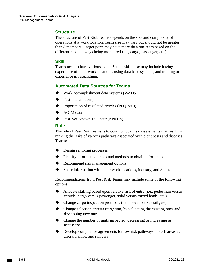### <span id="page-51-0"></span>**Structure**

The structure of Pest Risk Teams depends on the size and complexity of operations at a work location. Team size may vary but should not be greater than 8 members. Larger ports may have more than one team based on the different risk pathways being monitored (i.e., cargo, passenger, etc.).

#### <span id="page-51-1"></span>**Skill**

Teams need to have various skills. Such a skill base may include having experience of other work locations, using data base systems, and training or experience in researching.

### <span id="page-51-2"></span>**Automated Data Sources for Teams**

- ◆ Work accomplishment data systems (WADS),
- $\blacklozenge$  Pest interceptions,
- ◆ Importation of regulated articles (PPQ 280s),
- AQIM data
- ◆ Pest Not Known To Occur (KNOTs)

### <span id="page-51-3"></span>**Role**

The role of Pest Risk Teams is to conduct local risk assessments that result in ranking the risks of various pathways associated with plant pests and diseases. Teams:

- Design sampling processes
- Identify information needs and methods to obtain information
- Recommend risk management options
- Share information with other work locations, industry, and States

Recommendations from Pest Risk Teams may include some of the following options:

- Allocate staffing based upon relative risk of entry (i.e., pedestrian versus vehicle, cargo versus passenger, solid versus mixed loads, etc.)
- Change cargo inspection protocols (i.e., de-van versus tailgate)
- Change selection criteria (targeting) by validating the existing ones and developing new ones;
- Change the number of units inspected, decreasing or increasing as necessary
- Develop compliance agreements for low risk pathways in such areas as aircraft, ships, and rail cars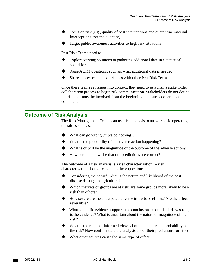- Focus on risk (e.g., quality of pest interceptions and quarantine material interceptions, not the quantity)
- Target public awareness activities to high risk situations

Pest Risk Teams need to:

- Explore varying solutions to gathering additional data in a statistical sound format
- Raise AQIM questions, such as, what additional data is needed
- Share successes and experiences with other Pest Risk Teams

Once these teams set issues into context, they need to establish a stakeholder collaboration process to begin risk communication. Stakeholders do not define the risk, but must be involved from the beginning to ensure cooperation and compliance.

### <span id="page-52-0"></span>**Outcome of Risk Analysis**

The Risk Management Teams can use risk analysis to answer basic operating questions such as:

- What can go wrong (if we do nothing)?
- What is the probability of an adverse action happening?
- What is or will be the magnitude of the outcome of the adverse action?
- How certain can we be that our predictions are correct?

The outcome of a risk analysis is a risk characterization. A risk characterization should respond to these questions:

- Considering the hazard, what is the nature and likelihood of the pest disease damage to agriculture?
- Which markets or groups are at risk: are some groups more likely to be a risk than others?
- How severe are the anticipated adverse impacts or effects? Are the effects reversible?
- What scientific evidence supports the conclusions about risk? How strong is the evidence? What is uncertain about the nature or magnitude of the risk?
- What is the range of informed views about the nature and probability of the risk? How confident are the analysts about their predictions for risk?
- What other sources cause the same type of effect?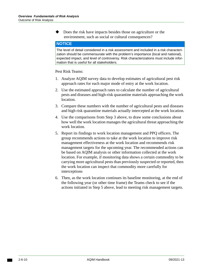Does the risk have impacts besides those on agriculture or the environment, such as social or cultural consequences?

### **NOTICE**

 zation should be commensurate with the problem's importance (local and national), The level of detail considered in a risk assessment and included in a risk characteriexpected impact, and level of controversy. Risk characterizations must include information that is useful for all stakeholders.

Pest Risk Teams:

- 1. Analyze AQIM survey data to develop estimates of agricultural pest risk approach rates for each major mode of entry at the work location.
- 2. Use the estimated approach rates to calculate the number of agricultural pests and diseases and high-risk quarantine materials approaching the work location.
- 3. Compare these numbers with the number of agricultural pests and diseases and high risk quarantine materials actually intercepted at the work location.
- 4. Use the comparisons from Step 3 above, to draw some conclusions about how well the work location manages the agricultural threat approaching the work location.
- 5. Report its findings to work location management and PPQ officers. The group recommends actions to take at the work location to improve risk management effectiveness at the work location and recommends risk management targets for the upcoming year. The recommended actions can be based on AQIM analysis or other information collected at the work location. For example, if monitoring data shows a certain commodity to be carrying more agricultural pests than previously suspected or reported, then the work location can inspect that commodity more carefully for interceptions
- 6. Then, as the work location continues its baseline monitoring, at the end of the following year (or other time frame) the Teams check to see if the actions initiated in Step 5 above, lead to meeting risk management targets.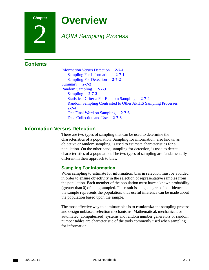### **Chapter**

2

# **Overview**

### <span id="page-54-0"></span>*AQIM Sampling Process*

### **Contents**

[Information Versus Detection](#page-54-1) **2-7-1**  [Sampling For Information](#page-54-2) **2-7-1**  [Sampling For Detection](#page-55-0) **2-7-2**  [Summary](#page-55-1) **2-7-2**  [Random Sampling](#page-56-0) **2-7-3**  [Sampling](#page-56-1) **2-7-3**  [Statistical Criteria For Random Sampling](#page-57-0) **2-7-4**  [Random Sampling Contrasted to Other APHIS Sampling Processes](#page-57-1)  **[2-7-4](#page-57-1)**  [One Final Word on Sampling](#page-59-0) **2-7-6**  [Data Collection and Use](#page-61-0) **2-7-8** 

### <span id="page-54-1"></span>**Information Versus Detection**

There are two types of sampling that can be used to determine the characteristics of a population. Sampling for information, also known as objective or random sampling, is used to estimate characteristics for a population. On the other hand, sampling for detection, is used to detect characteristics of a population. The two types of sampling are fundamentally different in their approach to bias.

### <span id="page-54-2"></span>**Sampling For Information**

When sampling to estimate for information, bias in selection must be avoided in order to ensure objectivity in the selection of representative samples from the population. Each member of the population must have a known probability (greater than 0) of being sampled. The result is a high degree of confidence that the sample represents the population, thus useful inference can be made about the population based upon the sample.

The most effective way to eliminate bias is to **randomize** the sampling process and design unbiased selection mechanisms. Mathematical, mechanical, or automated (computerized) systems and random number generators or random number tables are characteristic of the tools commonly used when sampling for information.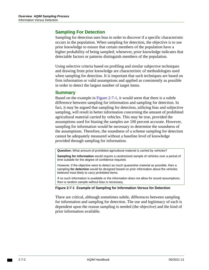### <span id="page-55-0"></span>**Sampling For Detection**

Sampling for detection uses bias in order to discover if a specific characteristic occurs in the population. When sampling for detection, the objective is to use prior knowledge to ensure that certain members of the population have a higher probability of being sampled; whenever, prior knowledge indicates that detectable factors or patterns distinguish members of the population.

Using selective criteria based on profiling and similar subjective techniques and drawing from prior knowledge are characteristic of methodologies used when sampling for detection. It is important that such techniques are based on firm information or valid assumptions and applied as consistently as possible in order to detect the largest number of target items.

### <span id="page-55-1"></span>**Summary**

Based on the example in [Figure 2-7-1](#page-55-2), it would seem that there is a subtle difference between sampling for information and sampling for detection. In fact, it may be argued that sampling for detection, utilizing bias and subjective sampling, will result in better information concerning the amount of prohibited agricultural material carried by vehicles. This may be true, provided the assumptions used for biasing the samples are 100 percent accurate. However, sampling for information would be necessary to determine the soundness of the assumptions. Therefore, the soundness of a scheme sampling for detection cannot be adequately measured without a baseline level of knowledge provided through sampling for information.

**Question:** What amount of prohibited agricultural material is carried by vehicles?

 **Sampling for information** would require a randomized sample of vehicles over a period of time suitable for the degree of confidence required.

 sampling **for detection** would be designed based on prior information about the vehicles However, if the objective were to detect as much quarantine material as possible, then a believed most likely to carry prohibited items.

If no such information is available or the information does not allow for sound assumptions, then a random sample without bias is necessary.

#### <span id="page-55-2"></span> **Figure 2-7-1 Example of Sampling for Information Versus for Detection**

There are critical, although sometimes subtle, differences between sampling for information and sampling for detection. The use and legitimacy of each is dependent upon the reason sampling is needed (the objective) and the kind of prior information available.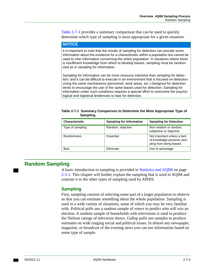[Table 2-7-1](#page-56-2) provides a summary comparison that can be used to quickly determine which type of sampling is most appropriate for a given situation.

#### **NOTICE**

 It is important to note that the results of sampling for detection can provide some information about the existence for a characteristic within a population but cannot be used to infer information concerning the entire population. In situations where there is insufficient knowledge from which to develop biases, sampling must be randomized as in sampling for information.

 Using the same mechanisms (personnel, work areas, etc.) Designed for detection information under such conditions requires a special effort to overcome the psycho-Sampling for information can be more resource intensive than sampling for detection; and it can be difficult to execute in an environment that is focused on detection. tends to encourage the use of the same biases used for detection. Sampling for logical and logistical tendencies to bias for detection.

<span id="page-56-2"></span>

| Table 2-7-1 Summary Comparison to Determine the Most Appropriate Type of |  |  |
|--------------------------------------------------------------------------|--|--|
| Sampling                                                                 |  |  |

| <b>Characteristic</b> | <b>Sampling for Information</b> | <b>Sampling for Detection</b>                                                        |
|-----------------------|---------------------------------|--------------------------------------------------------------------------------------|
| Type of sampling      | Random, objective               | Non-random or random;<br>subjective or objective                                     |
| Randomness            | Essential                       | Not important unless a lack<br>of knowledge prevents sam-<br>pling from being biased |
| <b>Bias</b>           | <b>Eliminate</b>                | Use to advantage                                                                     |

### <span id="page-56-0"></span>**Random Sampling**

A basic introduction to sampling is provided in [Statistics and AQIM on page](#page-36-1)  [2-5-1.](#page-36-1) This chapter will further explain the sampling that is used in AQIM and contrast it to the other types of sampling used by APHIS.

### <span id="page-56-1"></span>**Sampling**

First, sampling consists of selecting some part of a larger population to observe so that you can estimate something about the whole population. Sampling is used in a wide variety of situations, some of which you may be very familiar with. Political polls use a random sample of voters to predict who will win an election. A random sample of households with televisions is used to produce the Nielson ratings of television shows. Gallup polls use samples to produce estimates on wide ranging social and political issues. In almost any newspaper, magazine, or broadcast of the evening news you can see information based on some type of sample.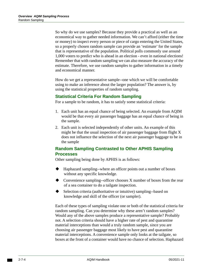So why do we use samples? Because they provide a practical as well as an economical way to gather needed information. We can't afford (either the time or money) to inspect every person or piece of cargo entering the United States, so a properly chosen random sample can provide an 'estimate' for the sample that is representative of the population. Political polls commonly use around 1,000 voters to predict who is ahead in an election - even in national elections! Remember that with random sampling we can also measure the accuracy of the estimate. Therefore, we use random samples to gather information in a timely and economical manner.

How do we get a representative sample--one which we will be comfortable using to make an inference about the larger population? The answer is, by using the statistical properties of random sampling.

### <span id="page-57-0"></span>**Statistical Criteria For Random Sampling**

For a sample to be random, it has to satisfy some statistical criteria:

- 1. Each unit has an equal chance of being selected. An example from AQIM would be that every air passenger baggage has an equal chance of being in the sample.
- 2. Each unit is selected independently of other units. An example of this might be that the usual inspection of air passenger baggage from flight X does not influence the selection of the next air passenger baggage to be in the sample

### <span id="page-57-1"></span>**Random Sampling Contrasted to Other APHIS Sampling Processes**

Other sampling being done by APHIS is as follows:

- Haphazard sampling--where an officer points out a number of boxes without any specific knowledge.
- $\blacklozenge$  Convenience sampling--officer chooses X number of boxes from the rear of a sea container to do a tailgate inspection.
- Selection criteria (authoritative or intuitive) sampling--based on knowledge and skill of the officer (or sampler).

Each of these types of sampling violate one or both of the statistical criteria for random sampling. Can you determine why these aren't random samples? Would any of the above samples produce a representative sample? Probably not. A selection criteria should have a higher rate of pest and quarantine material interceptions than would a truly random sample, since you are choosing air passenger baggage most likely to have pest and quarantine material interceptions. A convenience sample only looks at the tailgate, so boxes at the front of a container would have no chance of selection. Haphazard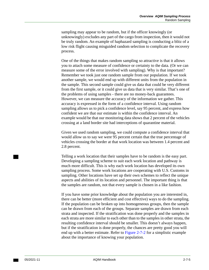sampling may appear to be random, but if the officer knowingly (or unknowingly) excludes any part of the cargo from inspection, then it would not be truly random. An example of haphazard sampling is conducting a blitz of a low risk flight causing misguided random selection to complicate the recovery process.

One of the things that makes random sampling so attractive is that it allows you to attach some measure of confidence or certainty to the data. (Or we can measure some of the error involved with sampling). Why is that important? Remember we took just one random sample from our population. If we took another sample, we would end up with different units from the population in the sample. This second sample could give us data that could be very different from the first sample, or it could give us data that is very similar. That's one of the problems of using samples - there are no money-back guarantees. However, we can measure the accuracy of the information we gather. This accuracy is expressed in the form of a confidence interval. Using random sampling allows us to pick a confidence level, say 95 percent, and express how confident we are that our estimate is within the confidence interval. An example would be that our monitoring data shows that 2 percent of the vehicles crossing at a land border site had interceptions of quarantine material.

Given we used random sampling, we could compute a confidence interval that would allow us to say we were 95 percent certain that the true percentage of vehicles crossing the border at that work location was between 1.4 percent and 2.8 percent.

Telling a work location that their samples have to be random is the easy part. Developing a sampling scheme to suit each work location and pathway is much more difficult. This is why each work location has developed its own sampling process. Some work locations are cooperating with U.S. Customs in sampling. Other locations have set up their own schemes to reflect the unique aspects and abilities of its location and personnel. The important thing is that the samples are random, not that every sample is chosen in a like fashion.

If you have some prior knowledge about the population you are interested in, there can be better (more efficient and cost effective) ways to do the sampling. If the population can be broken up into homogeneous groups, then the sample can be drawn from each of the groups. Separate samples are drawn from each strata and inspected. If the stratification was done properly and the samples in each strata are more similar to each other than to the samples in other strata, the resulting confidence interval should be smaller. This doesn't always happen, but if the stratification is done properly, the chances are pretty good you will end up with a better estimate. Refer to [Figure 2-7-2](#page-59-1) for a simplistic example about the importance of knowing your population.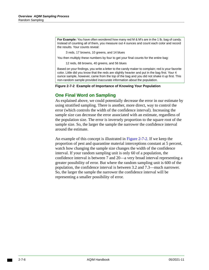**For Example:** You have often wondered how many red M & M's are in the 1 lb. bag of candy. Instead of counting all of them, you measure out 4 ounces and count each color and record the results. Your counts reveal:

3 reds, 17 browns, 10 greens, and 14 blues

You then multiply these numbers by four to get your final counts for the entire bag:

12 reds, 68 browns, 40 greens, and 56 blues

Based on your findings, you write a letter to the candy maker to complain; red is your favorite color. Little did you know that the reds are slightly heavier and put in the bag first. Your 4 ounce sample, however, came from the top of the bag and you did not shake it up first. This non-random sample provided inaccurate information about the population.

<span id="page-59-1"></span>**Figure 2-7-2 Example of Importance of Knowing Your Population** 

### <span id="page-59-0"></span>**One Final Word on Sampling**

As explained above, we could potentially decrease the error in our estimate by using stratified sampling. There is another, more direct, way to control the error (which controls the width of the confidence interval). Increasing the sample size can decrease the error associated with an estimate, regardless of the population size. The error is inversely proportion to the square root of the sample size. So, the larger the sample the narrower the confidence interval around the estimate.

An example of this concept is illustrated in [Figure 2-7-2.](#page-60-0) If we keep the proportion of pest and quarantine material interceptions constant at 5 percent, watch how changing the sample size changes the width of the confidence interval. If your random sampling unit is only 60 of a population, the confidence interval is between 7 and 20—a very broad interval representing a greater possibility of error. But where the random sampling unit is 600 of the population, the confidence interval is between 3.2 and 7.3—much narrower. So, the larger the sample the narrower the confidence interval will be representing a smaller possibility of error.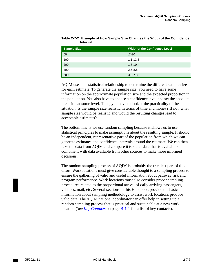| <b>Sample Size</b> | <b>Width of the Confidence Level</b> |
|--------------------|--------------------------------------|
| 60                 | $.7 - 20$                            |
| 100                | $1.1 - 13.5$                         |
| 200                | $1.8 - 10.4$                         |
| 400                | $2.6 - 8.5$                          |
| 600                | $3.2 - 7.3$                          |

<span id="page-60-0"></span>**Table 2-7-2 Example of How Sample Size Changes the Width of the Confidence Interval** 

AQIM uses this statistical relationship to determine the different sample sizes for each estimate. To generate the sample size, you need to have some information on the approximate population size and the expected proportion in the population. You also have to choose a confidence level and set the absolute precision at some level. Then, you have to look at the practicality of the situation. Is the sample size realistic in terms of time and money? If not, what sample size would be realistic and would the resulting changes lead to acceptable estimates?

The bottom line is we use random sampling because it allows us to use statistical principles to make assumptions about the resulting sample. It should be an independent, representative part of the population from which we can generate estimates and confidence intervals around the estimate. We can then take the data from AQIM and compare it to other data that is available or combine it with data available from other sources to make more informed decisions.

The random sampling process of AQIM is probably the trickiest part of this effort. Work locations must give considerable thought to a sampling process to ensure the gathering of valid and useful information about pathway risk and program performance. Work locations must also consider proper sampling procedures related to the proportional arrival of daily arriving passengers, vehicles, mail, etc. Several sections in this Handbook provide the basic information about sampling methodology to assist work locations produce valid data. The AQIM national coordinator can offer help in setting up a random sampling process that is practical and sustainable at a new work location (*[See Key Contacts](#page-150-0)* on page B-1-1 for a list of key contacts).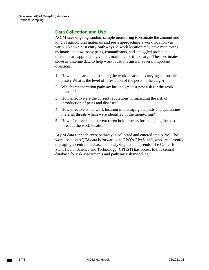### <span id="page-61-0"></span>**Data Collection and Use**

AQIM uses ongoing random sample monitoring to estimate the amount and kind of agricultural materials and pests approaching a work location via various known pest entry **pathways**. A work location may have monitoring estimates on how many pests, contaminants, and smuggled prohibited materials are approaching via air, maritime, or truck cargo. These estimates serve as baseline data to help work locations answer several important questions:

- 1. How much cargo approaching the work location is carrying actionable pests? What is the level of infestation of the pests in the cargo?
- 2. Which transportation pathway has the greatest pest risk for the work location?
- 3. How effective are the current regulations in managing the risk of introduction of pests and diseases?
- 4. How effective is the work location in managing the pests and quarantine material threats which were identified in the monitoring?
- 5. How effective is the current cargo hold process for managing the pest threat at the work location?

AQIM data for each entry pathway is collected and entered into ARM. The work location AQIM data is forwarded to PPQ's QPAS staff, who are currently managing a central database and analyzing national trends. The Center for Plant Health Science and Technology (CPHST) has access to this central database for risk assessments and pathway risk modeling.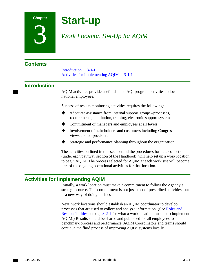### **Chapter**

3

**Start-up** 

### *Work Location Set-Up for AQIM*

<span id="page-62-0"></span>

| <b>Contents</b> |                                                                        |         |
|-----------------|------------------------------------------------------------------------|---------|
|                 | Introduction<br>$3 - 1 - 1$<br><b>Activities for Implementing AQIM</b> | $3-1-1$ |
| Introduction    |                                                                        |         |
|                 | AQIM activities provide useful data on AQI<br>national employees.      |         |
|                 |                                                                        |         |

tivities provide useful data on AQI program activities to local and mployees.

Success of results monitoring activities requires the following:

- Adequate assistance from internal support groups--processes, requirements, facilitation, training, electronic support systems
- Commitment of managers and employees at all levels
- Involvement of stakeholders and customers including Congressional views and co-providers
- Strategic and performance planning throughout the organization

The activities outlined in this section and the procedures for data collection (under each pathway section of the Handbook) will help set up a work location to begin AQIM. The process selected for AQIM at each work site will become part of the ongoing operational activities for that location.

### <span id="page-62-1"></span>**Activities for Implementing AQIM**

Initially, a work location must make a commitment to follow the Agency's strategic course. This commitment is not just a set of prescribed activities, but is a new way of doing business.

Next, work locations should establish an AQIM coordinator to develop processes that are used to collect and analyze information. (See [Roles and](#page-66-0)  [Responsibilities on page 3-2-1](#page-66-0) for what a work location must do to implement AQIM.) Results should be shared and published for all employees to benchmark process and performance. AQIM Coordinators and teams should continue the fluid process of improving AQIM systems locally.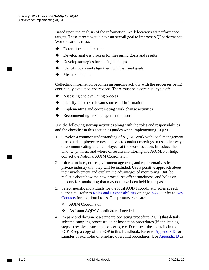Based upon the analysis of the information, work locations set performance targets. These targets would have an overall goal to improve AQI performance. Work locations must:

- Determine actual results
- Develop analysis process for measuring goals and results
- Develop strategies for closing the gaps
- $\blacklozenge$  Identify goals and align them with national goals
- Measure the gaps

Collecting information becomes an ongoing activity with the processes being continually evaluated and revised. There must be a continual cycle of:

- Assessing and evaluating process
- Identifying other relevant sources of information
- Implementing and coordinating work change activities
- Recommending risk management options

Use the following start-up activities along with the roles and responsibilities and the checklist in this section as guides when implementing AQIM.

- 1. Develop a common understanding of AQIM. Work with local management teams and employee representatives to conduct meetings or use other ways of communicating to all employees at the work location. Introduce the who, why, when, and where of results monitoring and AQIM. For help, contact the National AQIM Coordinator.
- 2. Inform brokers, other government agencies, and representatives from private industry that they will be included. Use a positive approach about their involvement and explain the advantages of monitoring. But, be realistic about how the new procedures affect timeliness, and holds on imports for monitoring that may not have been held in the past.
- 3. Select specific individuals for the local AQIM coordinator roles at each work site. Refer to [Roles and Responsibilities on page 3-2-1](#page-66-0). Refer to [Key](#page-150-0)  [Contacts](#page-150-0) for additional roles. The primary roles are:
	- AQIM Coordinator
	- Assistant AQIM Coordinator, if needed
- 4. Prepare and document a standard operating procedure (SOP) that details selected sampling processes, joint inspection procedures (if applicable), steps to resolve issues and concerns, etc. Document these details in the SOP. Keep a copy of the SOP in this Handbook. Refer to [Appendix D](#page-162-0) for samples or examples of standard operating procedures. Use [Appendix D](#page-162-0) as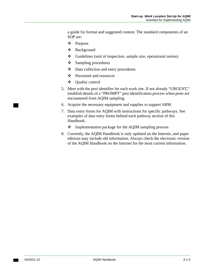a guide for format and suggested content. The standard components of an SOP are:

- Purpose
- Background
- Guidelines (unit of inspection, sample size, operational norms)
- Sampling procedures
- Data collection and entry procedures
- Personnel and resources
- Quality control
- 5. Meet with the pest identifier for each work site. If not already "URGENT," establish details of a "PROMPT" pest identification process when pests are encountered from AQIM sampling.
- 6. Acquire the necessary equipment and supplies to support ARM.
- 7. Data entry forms for AQIM with instructions for specific pathways. See examples of data entry forms behind each pathway section of this Handbook.
	- $\triangleleft$  Implementation package for the AQIM sampling process
- 8. Currently, the AQIM Handbook is only updated on the Internet, and paper editions may include old information. Always check the electronic version of the AQIM Handbook on the Internet for the most current information.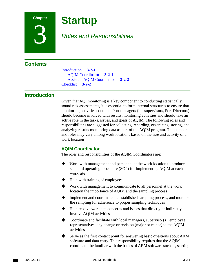

**Startup** 

### <span id="page-66-0"></span>*Roles and Responsibilities*

### **Contents**

[Introduction](#page-66-2) **3-2-1**  [AQIM Coordinator](#page-66-1) **3-2-1**  [Assistant AQIM Coordinator](#page-67-0) **3-2-2**  [Checklist](#page-67-1) **3-2-2** 

### <span id="page-66-2"></span>**Introduction**

Given that AQI monitoring is a key component to conducting statistically sound risk assessments, it is essential to form internal structures to ensure that monitoring activities continue. Port managers (i.e. supervisors, Port Directors) should become involved with results monitoring activities and should take an active role in the tasks, issues, and goals of AQIM. The following roles and responsibilities are suggested for collecting, recording, organizing, storing, and analyzing results monitoring data as part of the AQIM program. The numbers and roles may vary among work locations based on the size and activity of a work location

### <span id="page-66-1"></span>**AQIM Coordinator**

The roles and responsibilities of the AQIM Coordinators are:

- Work with management and personnel at the work location to produce a standard operating procedure (SOP) for implementing AQIM at each work site
- Help with training of employees
- Work with management to communicate to all personnel at the work location the importance of AQIM and the sampling process
- Implement and coordinate the established sampling process, and monitor the sampling for adherence to proper sampling techniques
- Help resolve work site concerns and issues that directly or indirectly involve AQIM activities
- representatives, any change or revision (major or minor) to the AQIM Coordinate and facilitate with local managers, supervisor(s), employee activities
- Serve as the first contact point for answering basic questions about ARM software and data entry. This responsibility requires that the AQIM coordinator be familiar with the basics of ARM software such as, starting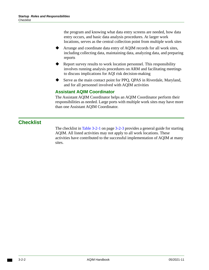the program and knowing what data entry screens are needed, how data entry occurs, and basic data analysis procedures. At larger work locations, serves as the central collection point from multiple work sites

- Arrange and coordinate data entry of AQIM records for all work sites, including collecting data, maintaining data, analyzing data, and preparing reports
- Report survey results to work location personnel. This responsibility involves running analysis procedures on ARM and facilitating meetings to discuss implications for AQI risk decision-making
- Serve as the main contact point for PPQ, QPAS in Riverdale, Maryland, and for all personnel involved with AQIM activities

### <span id="page-67-0"></span>**Assistant AQIM Coordinator**

The Assistant AQIM Coordinator helps an AQIM Coordinator perform their responsibilities as needed. Large ports with multiple work sites may have more than one Assistant AQIM Coordinator.

### <span id="page-67-1"></span>**Checklist**

The checklist in [Table 3-2-1 on page 3-2-3](#page-68-0) provides a general guide for starting AQIM. All listed activities may not apply to all work locations. These activities have contributed to the successful implementation of AQIM at many sites.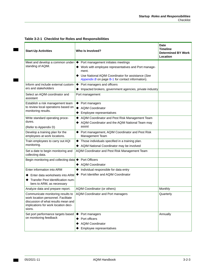| <b>Start-Up Activities</b>                                                                                                                                        | Who Is Involved?                                                                                      | <b>Date</b><br><b>Timeline</b><br><b>Determined BY Work</b><br>Location |
|-------------------------------------------------------------------------------------------------------------------------------------------------------------------|-------------------------------------------------------------------------------------------------------|-------------------------------------------------------------------------|
| Meet and develop a common under-                                                                                                                                  | ♦ Port management initiates meetings                                                                  |                                                                         |
| standing of AQIM.                                                                                                                                                 | Work with employee representatives and Port manage-<br>ment.                                          |                                                                         |
|                                                                                                                                                                   | Use National AQIM Coordinator for assistance (See<br>Appendix B on page B-1 for contact information). |                                                                         |
| Inform and include external custom-                                                                                                                               | ♦ Port managers and officers                                                                          |                                                                         |
| ers and stakeholders                                                                                                                                              | Impacted brokers, government agencies, private industry                                               |                                                                         |
| Select an AQIM coordinator and<br>assistant                                                                                                                       | Port management                                                                                       |                                                                         |
| Establish a risk management team                                                                                                                                  | ♦ Port managers                                                                                       |                                                                         |
| to review local operations based on                                                                                                                               | <b>AQIM Coordinator</b>                                                                               |                                                                         |
| monitoring results.                                                                                                                                               | Employee representatives                                                                              |                                                                         |
| Write standard operating proce-                                                                                                                                   | AQIM Coordinator and Pest Risk Management Team                                                        |                                                                         |
| dures.                                                                                                                                                            | AQIM Coordinator and the AQIM National Team may                                                       |                                                                         |
| (Refer to Appendix D)                                                                                                                                             | assist                                                                                                |                                                                         |
| Develop a training plan for the<br>employees at work locations.                                                                                                   | Port management, AQIM Coordinator and Pest Risk<br>Management Team                                    |                                                                         |
| Train employees to carry out AQI                                                                                                                                  | Those individuals specified in a training plan.                                                       |                                                                         |
| monitoring.                                                                                                                                                       | AQIM National Coordinator may be involved                                                             |                                                                         |
| Set a date to begin monitoring and<br>collecting data.                                                                                                            | AQIM Coordinator and Pest Risk Management Team                                                        |                                                                         |
| Begin monitoring and collecting data                                                                                                                              | Port Officers<br>$\bullet$                                                                            |                                                                         |
|                                                                                                                                                                   | <b>AQIM Coordinator</b><br>◆                                                                          |                                                                         |
| Enter information into ARM                                                                                                                                        | Individual responsible for data entry<br>◆                                                            |                                                                         |
| Enter data worksheets into ARM                                                                                                                                    | Port Identifier and AQIM Coordinator                                                                  |                                                                         |
| Transfer Pest Identification num-<br>bers to ARM, as necessary                                                                                                    |                                                                                                       |                                                                         |
| Analyze data and prepare report.                                                                                                                                  | AQIM Coordinator (or others)                                                                          | Monthly                                                                 |
| Communicate monitoring results to<br>work location personnel. Facilitate<br>discussion of what results mean and<br>implications for work location deci-<br>sions. | <b>AQIM Coordinator and Port managers</b>                                                             | Quarterly                                                               |
| Set port performance targets based                                                                                                                                | Port managers<br>$\bullet$                                                                            | Annually                                                                |
| on monitoring feedback                                                                                                                                            | Port officers                                                                                         |                                                                         |
|                                                                                                                                                                   | <b>AQIM Coordinator</b>                                                                               |                                                                         |
|                                                                                                                                                                   | Employee representatives                                                                              |                                                                         |

#### <span id="page-68-0"></span> **Table 3-2-1 Checklist for Roles and Responsibilities**

**The Co**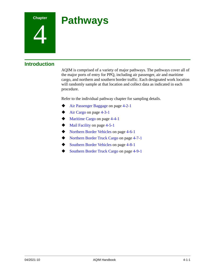

4

# **Pathways**

**Introduction** 

AQIM is comprised of a variety of major pathways. The pathways cover all of the major ports of entry for PPQ, including air passenger, air and maritime cargo, and northern and southern border traffic. Each designated work location will randomly sample at that location and collect data as indicated in each procedure.

Refer to the individual pathway chapter for sampling details.

- [Air Passenger Baggage on page 4-2-1](#page-72-0)
- [Air Cargo on page 4-3-1](#page-80-0)
- [Maritime Cargo on page 4-4-1](#page-92-0)
- Mail Facility on page 4-5-1
- ◆ [Northern Border Vehicles on page 4-6-1](#page-110-0)
- [Northern Border Truck Cargo on page 4-7-1](#page-118-0)
- ◆ [Southern Border Vehicles on page 4-8-1](#page-128-0)
- ◆ [Southern Border Truck Cargo on page 4-9-1](#page-136-0)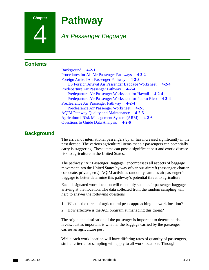

**Contents** 

4

# **Pathway**

[Background](#page-72-0) **4-2-1** 

## *Air Passenger Baggage*

[Procedures for All Air Passenger Pathways](#page-73-0) **4-2-2**  [Foreign Arrival Air Passenger Pathway](#page-74-0) **4-2-3** 

[US Foreign Arrival Air Passenger Baggage Worksheet](#page-75-0) **4-2-4** 

<span id="page-72-0"></span>

|                   | Predeparture Air Passenger Pathway 4-2-4<br>Predeparture Air Passenger Worksheet for Hawaii<br>$4 - 2 - 4$<br>Predeparture Air Passenger Worksheet for Puerto Rico<br>$4 - 2 - 4$<br>Preclearance Air Passenger Pathway<br>$4 - 2 - 4$<br><b>Preclearance Air Passenger Worksheet</b><br>$4 - 2 - 5$<br><b>AQIM Pathway Quality and Maintenance</b><br>$4 - 2 - 5$<br><b>Agricultural Risk Management System (ARM)</b><br>$4 - 2 - 6$<br><b>Questions to Guide Data Analysis</b><br>$4 - 2 - 6$ |  |
|-------------------|-------------------------------------------------------------------------------------------------------------------------------------------------------------------------------------------------------------------------------------------------------------------------------------------------------------------------------------------------------------------------------------------------------------------------------------------------------------------------------------------------|--|
| <b>Background</b> |                                                                                                                                                                                                                                                                                                                                                                                                                                                                                                 |  |
|                   | The arrival of international passengers by air has increased significantly in the<br>past decade. The various agricultural items that air passengers can potentially<br>carry is staggering. These items can pose a significant pest and exotic disease<br>risk to agriculture in the United States.                                                                                                                                                                                            |  |
|                   | The pathway "Air Passenger Baggage" encompasses all aspects of baggage<br>movement into the United States by way of various aircraft (passenger, charter,<br>corporate, private, etc.). AQIM activities randomly samples air passenger's<br>baggage to better determine this pathway's potential threat to agriculture.                                                                                                                                                                         |  |
|                   | Each designated work location will randomly sample air passenger baggage<br>arriving at that location. The data collected from the random sampling will<br>help to answer the following questions                                                                                                                                                                                                                                                                                               |  |
|                   | 1. What is the threat of agricultural pests approaching the work location?                                                                                                                                                                                                                                                                                                                                                                                                                      |  |
|                   | 2. How effective is the AQI program at managing this threat?                                                                                                                                                                                                                                                                                                                                                                                                                                    |  |
|                   | The origin and destination of the passenger is important to determine risk<br>levels. Just as important is whether the baggage carried by the passenger<br>carries an agriculture pest.                                                                                                                                                                                                                                                                                                         |  |
|                   | While each work location will have differing rates of quantity of passengers,<br>similar criteria for sampling will apply to all work locations. Through                                                                                                                                                                                                                                                                                                                                        |  |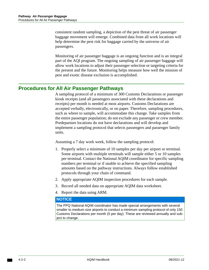consistent random sampling, a depiction of the pest threat of air passenger baggage movement will emerge. Combined data from all work locations will help determine the pest risk for baggage carried by the universe of air passengers.

Monitoring of air passenger baggage is an ongoing function and is an integral part of the AQI program. The ongoing sampling of air passenger baggage will allow work locations to adjust their passenger selection or targeting criteria for the present and the future. Monitoring helps measure how well the mission of pest and exotic disease exclusion is accomplished.

## <span id="page-73-0"></span>**Procedures for All Air Passenger Pathways**

A sampling protocol of a minimum of 300 Customs Declarations or passenger kiosk receipts (and all passengers associated with these declarations and receipts) per month is needed at most airports. Customs Declarations are accepted verbally, electronically, or on paper. Therefore, sampling procedures, such as where to sample, will accommodate this change. Take samples from the entire passenger population; do not exclude any passenger or crew member. Predeparture locations do not have declarations and will develop and implement a sampling protocol that selects passengers and passenger family units.

Assuming a 7 day work week, follow the sampling protocol:

- 1. Properly select a minimum of 10 samples per day per airport or terminal. Some airports with multiple terminals will sample either 5 or 10 samples per terminal. Contact the National AQIM coordinator for specific sampling numbers per terminal or if unable to achieve the specified sampling amounts based on the pathway instructions. Always follow established protocols through your chain of command.
- 2. Apply appropriate AQIM inspection procedures for each sample.
- 3. Record all needed data on appropriate AQIM data worksheet.
- 4. Report the data using ARM.

### **NOTICE**

 The PPQ National AQIM coordinator has made special arrangements with several smaller to medium size airports to conduct a minimum sampling protocol of only 150 Customs Declarations per month (5 per day). These are reviewed annually and subject to change.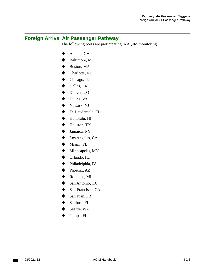## <span id="page-74-0"></span>**Foreign Arrival Air Passenger Pathway**

The following ports are participating in AQIM monitoring

- ◆ Atlanta, GA
- Baltimore, MD
- Boston, MA
- Charlotte, NC
- ◆ Chicago, IL
- Dallas, TX
- ◆ Denver, CO
- Dulles, VA
- ◆ Newark, NJ
- ◆ Ft. Lauderdale, FL
- Honolulu, HI
- Houston, TX
- Jamaica, NY
- Los Angeles, CA
- $\blacklozenge$  Miami, FL
- Minneapolis, MN
- ◆ Orlando, FL
- ◆ Philadelphia, PA
- Phoenix, AZ
- ◆ Romulus, MI
- San Antonio, TX
- San Francisco, CA
- San Juan, PR
- Sanford, FL
- Seattle, WA
- Tampa, FL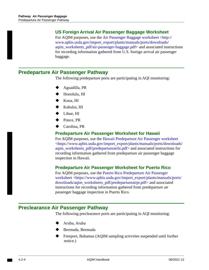### <span id="page-75-0"></span>**US Foreign Arrival Air Passenger Baggage Worksheet**

For AOIM purposes, use the [Air Passenger Baggage worksheet](http://www.aphis.usda.gov/import_export/plants/manuals/ports/downloads/aqim_worksheets_pdf/air-passenger-baggage.pdf) <http:// [www.aphis.usda.gov/import\\_export/plants/manuals/ports/downloads/](http://www.aphis.usda.gov/import_export/plants/manuals/ports/downloads/aqim_worksheets_pdf/air-passenger-baggage.pdf)  agim\_worksheets\_pdf/air-passenger-baggage.pdf> and associated instructions for recording information gathered from U.S. foreign arrival air passenger baggage.

## <span id="page-75-1"></span>**Predeparture Air Passenger Pathway**

The following predeparture ports are participating in AQI monitoring:

- Aguadilla, PR
- Honolulu, HI
- Kona, HI
- Kahului, HI
- Lihue, HI
- Ponce, PR
- Carolina, PR

### <span id="page-75-2"></span>**Predeparture Air Passenger Worksheet for Hawaii**

For AQIM purposes, use th[e Hawaii Predeparture Air Passenger worksheet](http://www.aphis.usda.gov/import_export/plants/manuals/ports/downloads/aqim_worksheets_pdf/predepartureairhi.pdf)  <[https://www.aphis.usda.gov/import\\_export/plants/manuals/ports/downloads/](https://www.aphis.usda.gov/import_export/plants/manuals/ports/downloads/aqim_worksheets_pdf/predepartureairhi.pdf)  [aqim\\_worksheets\\_pdf/predepartureairhi.pdf>](https://www.aphis.usda.gov/import_export/plants/manuals/ports/downloads/aqim_worksheets_pdf/predepartureairhi.pdf) and associated instructions for recording information gathered from predeparture air passenger baggage inspection in Hawaii.

### <span id="page-75-3"></span>**Predeparture Air Passenger Worksheet for Puerto Rico**

For AQIM purposes, use the [Puerto Rico Predeparture Air Passenger](http://www.aphis.usda.gov/import_export/plants/manuals/ports/downloads/aqim_worksheets_pdf/predepartureairpr.pdf)  [worksheet](http://www.aphis.usda.gov/import_export/plants/manuals/ports/downloads/aqim_worksheets_pdf/predepartureairpr.pdf) [<https://www.aphis.usda.gov/import\\_export/plants/manuals/ports/](https://www.aphis.usda.gov/import_export/plants/manuals/ports/downloads/aqim_worksheets_pdf/predepartureairpr.pdf)  [downloads/aqim\\_worksheets\\_pdf/predepartureairpr.pdf](https://www.aphis.usda.gov/import_export/plants/manuals/ports/downloads/aqim_worksheets_pdf/predepartureairpr.pdf)> and associated instructions for recording information gathered from predeparture air passenger baggage inspection in Puerto Rico.

## <span id="page-75-4"></span>**Preclearance Air Passenger Pathway**

The following preclearance ports are participating in AQI monitoring:

- Aruba, Aruba
- Bermuda, Bermuda
- Freeport, Bahamas (AQIM sampling activities suspended until further notice.)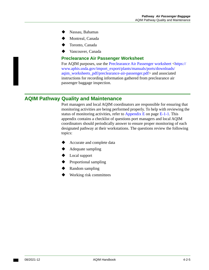- Nassau, Bahamas
- Montreal, Canada
- Toronto, Canada
- Vancouver, Canada

### <span id="page-76-0"></span>**Preclearance Air Passenger Worksheet**

For AQIM purposes, use the [Preclearance Air Passenger worksheet](http://www.aphis.usda.gov/import_export/plants/manuals/ports/downloads/aqim_worksheets_pdf/preclearance-air-passenger.pdf) <https:// [www.aphis.usda.gov/import\\_export/plants/manuals/ports/downloads/](https://www.aphis.usda.gov/import_export/plants/manuals/ports/downloads/aqim_worksheets_pdf/preclearance-air-passenger.pdf)  [aqim\\_worksheets\\_pdf/preclearance-air-passenger.pdf>](https://www.aphis.usda.gov/import_export/plants/manuals/ports/downloads/aqim_worksheets_pdf/preclearance-air-passenger.pdf) and associated instructions for recording information gathered from preclearance air passenger baggage inspection.

## <span id="page-76-1"></span>**AQIM Pathway Quality and Maintenance**

 monitoring activities are being performed properly. To help with reviewing the Port managers and local AQIM coordinators are responsible for ensuring that status of monitoring activities, refer to [Appendix E on page E-1-1](#page-170-0). This appendix contains a checklist of questions port managers and local AQIM coordinators should periodically answer to ensure proper monitoring of each designated pathway at their workstations. The questions review the following topics:

- Accurate and complete data
- Adequate sampling
- Local support
- Proportional sampling
- Random sampling
- Working risk committees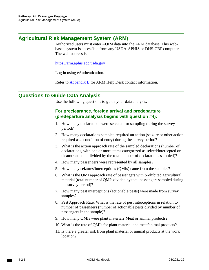## <span id="page-77-0"></span>**Agricultural Risk Management System (ARM)**

Authorized users must enter AQIM data into the ARM database. This webbased system is accessible from any USDA-APHIS or DHS-CBP computer. The web address is:

<https://arm.aphis.edc.usda.gov>

Log in using eAuthentication.

Refer to [Appendix B](#page-150-0) for ARM Help Desk contact information.

## <span id="page-77-1"></span>**Questions to Guide Data Analysis**

Use the following questions to guide your data analysis:

## **For preclearance, foreign arrival and predeparture (predeparture analysis begins with question #4):**

- 1. How many declarations were selected for sampling during the survey period?
- 2. How many declarations sampled required an action (seizure or other action required as a condition of entry) during the survey period?
- 3. What is the action approach rate of the sampled declarations (number of declarations, with one or more items categorized as seized/intercepted or clean/treatment, divided by the total number of declarations sampled)?
- 4. How many passengers were represented by all samples?
- 5. How many seizures/interceptions (QMIs) came from the samples?
- 6. What is the QMI approach rate of passengers with prohibited agricultural material (total number of QMIs divided by total passengers sampled during the survey period)?
- 7. How many pest interceptions (actionable pests) were made from survey samples?
- 8. Pest Approach Rate: What is the rate of pest interceptions in relation to number of passengers (number of actionable pests divided by number of passengers in the sample)?
- 9. How many QMIs were plant material? Meat or animal products?
- 10. What is the rate of QMIs for plant material and meat/animal products?
- 11. Is there a greater risk from plant material or animal products at the work location?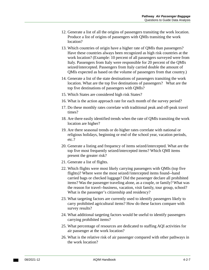- 12. Generate a list of all the origins of passengers transiting the work location. Produce a list of origins of passengers with QMIs transiting the work location?
- 13. Which countries of origin have a higher rate of QMIs than passengers? Have these countries always been recognized as high risk countries at the work location? (Example: 10 percent of all passengers surveyed were from Italy. Passengers from Italy were responsible for 20 percent of the QMIs seized/intercepted. Passengers from Italy carried double the amount of QMIs expected as based on the volume of passengers from that country.)
- 14. Generate a list of the state destinations of passengers transiting the work location. What are the top five destinations of passengers? What are the top five destinations of passengers with QMIs?
- 15. Which States are considered high risk States?
- 16. What is the action approach rate for each month of the survey period?
- 17. Do these monthly rates correlate with traditional peak and off-peak travel times?
- 18. Are there easily identified trends when the rate of QMIs transiting the work location are higher?
- 19. Are there seasonal trends or do higher rates correlate with national or religious holidays, beginning or end of the school year, vacation periods, etc.?
- 20. Generate a listing and frequency of items seized/intercepted. What are the top five most frequently seized/intercepted items? Which QMI items present the greater risk?
- 21. Generate a list of flights.
- 22. Which flights were most likely carrying passengers with QMIs (top five flights)? Where were the most seized//intercepted items found--hand carried bags or checked luggage? Did the passenger declare all prohibited items? Was the passenger traveling alone, as a couple, or family? What was the reason for travel--business, vacation, visit family, tour group, school? What is the passenger's citizenship and residency?
- 23. What targeting factors are currently used to identify passengers likely to carry prohibited agricultural items? How do these factors compare with survey results?
- 24. What additional targeting factors would be useful to identify passengers carrying prohibited items?
- 25. What percentage of resources are dedicated to staffing AQI activities for air passenger at the work location?
- 26. What is the relative risk of air passenger compared with other pathways in the work location?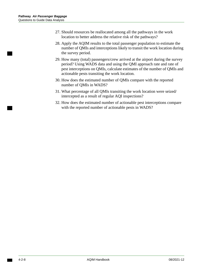- 27. Should resources be reallocated among all the pathways in the work location to better address the relative risk of the pathways?
- 28. Apply the AQIM results to the total passenger population to estimate the number of QMIs and interceptions likely to transit the work location during the survey period.
- 29. How many (total) passengers/crew arrived at the airport during the survey period? Using WADS data and using the QMI approach rate and rate of pest interceptions on QMIs, calculate estimates of the number of QMIs and actionable pests transiting the work location.
- 30. How does the estimated number of QMIs compare with the reported number of QMIs in WADS?
- 31. What percentage of all QMIs transiting the work location were seized/ intercepted as a result of regular AQI inspections?
- 32. How does the estimated number of actionable pest interceptions compare with the reported number of actionable pests in WADS?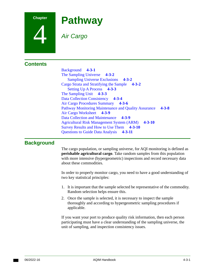

# **Pathway**

## *Air Cargo*

## **Contents**

[Background](#page-80-0) **4-3-1**  [The Sampling Universe](#page-81-0) **4-3-2**  [Sampling Universe Exclusions](#page-81-2) **4-3-2**  [Cargo Strata and Stratifying the Sample](#page-81-1) **4-3-2**  [Setting Up A Process](#page-82-1) **4-3-3**  [The Sampling Unit](#page-82-0) **4-3-3**  [Data Collection Consistency](#page-83-0) **4-3-4**  [Air Cargo Procedures Summary](#page-85-0) **4-3-6**  [Pathway Monitoring Maintenance and Quality Assurance](#page-87-0) **4-3-8**  [Air Cargo Worksheet](#page-88-0) **4-3-9**  [Data Collection and Maintenance](#page-88-1) **4-3-9**  [Agricultural Risk Management System \(ARM\)](#page-89-0) **4-3-10**  [Survey Results and How to Use Them](#page-89-1) **4-3-10**  [Questions to Guide Data Analysis](#page-90-0) **4-3-11** 

## <span id="page-80-0"></span>**Background**

The cargo population, or sampling universe, for AQI monitoring is defined as **perishable agricultural cargo**. Take random samples from this population with more intensive (hypergeometric) inspections and record necessary data about these commodities.

In order to properly monitor cargo, you need to have a good understanding of two key statistical principles:

- 1. It is important that the sample selected be representative of the commodity. Random selection helps ensure this.
- 2. Once the sample is selected, it is necessary to inspect the sample thoroughly and according to hypergeometric sampling procedures if applicable.

If you want your port to produce quality risk information, then each person participating must have a clear understanding of the sampling universe, the unit of sampling, and inspection consistency issues.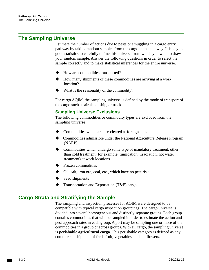## <span id="page-81-0"></span>**The Sampling Universe**

Estimate the number of actions due to pests or smuggling in a cargo entry pathway by taking random samples from the cargo in the pathway. It is key to good statistics to carefully define this universe from which you want to draw your random sample. Answer the following questions in order to select the sample correctly and to make statistical inferences for the entire universe.

- How are commodities transported?
- $\blacklozenge$  How many shipments of these commodities are arriving at a work location?
- What is the seasonality of the commodity?

For cargo AQIM, the sampling universe is defined by the mode of transport of the cargo such as airplane, ship, or truck.

### <span id="page-81-2"></span>**Sampling Universe Exclusions**

The following commodities or commodity types are excluded from the sampling universe

- Commodities which are pre-cleared at foreign sites
- Commodities admissible under the National Agriculture Release Program (NARP)
- Commodities which undergo some type of mandatory treatment, other than cold treatment (for example, fumigation, irradiation, hot water treatment) at work locations
- Frozen commodities
- Oil, salt, iron ore, coal, etc., which have no pest risk
- Seed shipments
- Transportation and Exportation (T&E) cargo

## <span id="page-81-1"></span>**Cargo Strata and Stratifying the Sample**

The sampling and inspection processes for AQIM were designed to be compatible with typical cargo inspection groupings. The cargo universe is divided into several homogeneous and distinctly separate groups. Each group contains commodities that will be sampled in order to estimate the action and pest approach rates in each group. A port may be sampling one or more of the commodities in a group or across groups. With air cargo, the sampling universe is **perishable agricultural cargo**. This perishable category is defined as any commercial shipment of fresh fruit, vegetables, and cut flowers.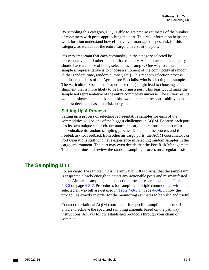By sampling this category, PPQ is able to get precise estimates of the number of containers with pests approaching the port. This risk information helps the work location understand how effectively it manages the pest risk for this category, as well as for the entire cargo universe at the port.

It's very important that each commodity in the category selected be representative of all other units of that category. All shipments of a category should have a chance of being selected as a sample. One way to ensure that the sample is representative is to choose a shipment of the commodity at random (either random time, random number, etc.). This random selection process eliminates the bias of the Agriculture Specialist who is selecting the sample. The Agriculture Specialist's experience (bias) might lead to choosing a shipment that is more likely to be harboring a pest. This bias would make the sample not representative of the entire commodity universe. The survey results would be skewed and this kind of bias would hamper the port's ability to make the best decisions based on risk analysis.

### <span id="page-82-1"></span>**Setting Up A Process**

Setting up a process of selecting representative samples for each of the commodities will be one of the biggest challenges in AQIM. Because each port has its own unique set of circumstances in cargo operations, the port must individualize its random sampling process. Document the process and if needed, ask for feedback from other air cargo ports, the AQIM coordinator , or Port Operations staff who have experience in selecting random samples in the cargo environment. The port may even decide that the Port Risk Management Team determine and review the random sampling process on a regular basis.

## <span id="page-82-0"></span>**The Sampling Unit**

For air cargo, the sample unit is the air waybill. It is crucial that the sample unit is inspected closely enough to detect any actionable pests and mismanifested items. Air cargo sampling and inspection procedures are detailed in [Table](#page-86-0)  [4-3-2 on page 4-3-7.](#page-86-0) Procedures for sampling multiple commodities within the selected air waybill are detailed in [Table 4-3-3 on page 4-3-8](#page-87-1). Follow the procedures exactly in order for the monitoring estimates to be valid and useful.

Contact the National AQIM coordinator for specific sampling numbers if unable to achieve the specified sampling amounts based on the pathway instructions. Always follow established protocols through your chain of command.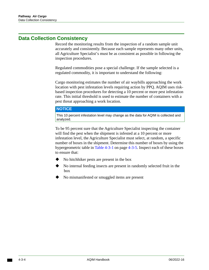## <span id="page-83-0"></span>**Data Collection Consistency**

Record the monitoring results from the inspection of a random sample unit accurately and consistently. Because each sample represents many other units, all Agriculture Specialist's must be as consistent as possible in following the inspection procedures.

Regulated commodities pose a special challenge. If the sample selected is a regulated commodity, it is important to understand the following:

Cargo monitoring estimates the number of air waybills approaching the work location with pest infestation levels requiring action by PPQ. AQIM uses riskbased inspection procedures for detecting a 10 percent or more pest infestation rate. This initial threshold is used to estimate the number of containers with a pest threat approaching a work location.

### **NOTICE**

This 10 percent infestation level may change as the data for AQIM is collected and analyzed.

To be 95 percent sure that the Agriculture Specialist inspecting the container will find the pest when the shipment is infested at a 10 percent or more infestation level, the Agriculture Specialist must select, at random, a specific number of boxes in the shipment. Determine this number of boxes by using the hypergeometric table in [Table 4-3-1 on page 4-3-5.](#page-84-0) Inspect each of these boxes to ensure that:

- No hitchhiker pests are present in the box
- No internal feeding insects are present in randomly selected fruit in the box
- No mismanifested or smuggled items are present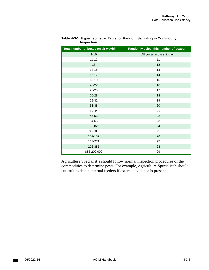| Total number of boxes on air waybill: | Randomly select this number of boxes: |  |
|---------------------------------------|---------------------------------------|--|
| $1 - 10$                              | All boxes in the shipment             |  |
| $11 - 12$                             | 11                                    |  |
| 13                                    | 12                                    |  |
| $14 - 15$                             | 13                                    |  |
| $16 - 17$                             | 14                                    |  |
| 18-19                                 | 15                                    |  |
| $20 - 22$                             | 16                                    |  |
| 23-25                                 | 17                                    |  |
| 26-28                                 | 18                                    |  |
| 29-32                                 | 19                                    |  |
| 33-38                                 | 20                                    |  |
| 39-44                                 | 21                                    |  |
| 45-53                                 | 22                                    |  |
| 54-65                                 | 23                                    |  |
| 66-82                                 | 24                                    |  |
| 83-108                                | 25                                    |  |
| 109-157                               | 26                                    |  |
| 158-271                               | 27                                    |  |
| 272-885                               | 28                                    |  |
| 886-200,000                           | 29                                    |  |

### <span id="page-84-0"></span>**Table 4-3-1 Hypergeometric Table for Random Sampling in Commodity Inspection**

Agriculture Specialist's should follow normal inspection procedures of the commodities to determine pests. For example, Agriculture Specialist's should cut fruit to detect internal feeders if external evidence is present.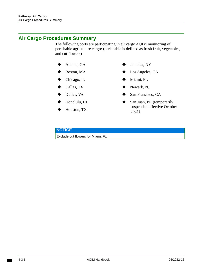## <span id="page-85-0"></span>**Air Cargo Procedures Summary**

The following ports are participating in air cargo AQIM monitoring of perishable agriculture cargo: (perishable is defined as fresh fruit, vegetables, and cut flowers)

- 
- 
- 
- 
- 
- 
- 
- Atlanta, GA Jamaica, NY
- ◆ Boston, MA → Los Angeles, CA
- $\blacklozenge$  Chicago, IL  $\blacklozenge$  Miami, FL
- $\bullet$  Dallas, TX  $\bullet$  Newark, NJ
	- Dulles, VA San Francisco, CA
	- Honolulu, HI San Juan, PR (temporarily suspended effective October Houston, TX 2021)

### **NOTICE**

Exclude cut flowers for Miami, FL.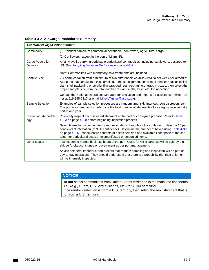| AIR CARGO AQIM PROCEDURES      |                                                                                                                                                                                                                                                                                                                                                                                                 |  |
|--------------------------------|-------------------------------------------------------------------------------------------------------------------------------------------------------------------------------------------------------------------------------------------------------------------------------------------------------------------------------------------------------------------------------------------------|--|
| Commodity                      | (1) Random sample of commercial perishable (non-frozen) agricultural cargo                                                                                                                                                                                                                                                                                                                      |  |
|                                | (2) Cut flowers, except in the port of Miami, FL                                                                                                                                                                                                                                                                                                                                                |  |
| Cargo Population<br>Definition | All air waybills carrying perishable agricultural commodities, including cut flowers, destined to<br>US. See Sampling Universe Exclusions on page 4-3-2.                                                                                                                                                                                                                                        |  |
|                                | Note: Commodities with mandatory cold treatments are included.                                                                                                                                                                                                                                                                                                                                  |  |
| Sample Size                    | 2-4 samples taken from a minimum of two different air waybills (AWBs) per week per airport at<br>ALL ports that can sustain this sampling. If the consignment consists of smaller retail units like<br>clam shell packaging or smaller film-wrapped retail packaging or trays in boxes, then select the<br>proper sample size from the total number of clam shells, trays, etc. for inspection. |  |
|                                | Contact the National Operations Manager for Exclusion and Imports for assistance (Mikell Tan-<br>ner at 919-855-7317 or email Mikell. Tanner@usda.gov).                                                                                                                                                                                                                                         |  |
| Sample Selection               | Examples of sample selection processes are random time, skip intervals, port discretion, etc.<br>The port may need to first determine the total number of shipments of a category received at a<br>port in one year.                                                                                                                                                                            |  |
| Inspection Methodol-<br>ogy    | Physically inspect each selected shipment at the port or consignee premise. Refer to Table<br>4-3-3 on page 4-3-8 before beginning inspection process.                                                                                                                                                                                                                                          |  |
|                                | Select boxes for inspection from random locations throughout the container to detect a 10 per-<br>cent level of infestation (at 95% confidence). Determine the number of boxes using Table 4-3-1<br>on page 4-3-5. Inspect entire contents of boxes selected and available floor space of the con-<br>tainer for agricultural pests or mismanifested or smuggled items.                         |  |
| Other Issues                   | Inspect during normal business hours at the port. Costs for OT clearance will be paid by the<br>shipper/broker/consignee or government as per port management.                                                                                                                                                                                                                                  |  |
|                                | Advise shippers, importers, and brokers that random sampling and inspection will be part of<br>day-to-day operations. They should understand that there is a probability that their shipment<br>will be intensely inspected.                                                                                                                                                                    |  |

### <span id="page-86-0"></span>**Table 4-3-2 Air Cargo Procedures Summary**

## **NOTICE**

 U.S. (e.g., Guam, U.S. Virgin Islands, etc.) for AQIM sampling. Do **not** select commodities from United States territories to the mainland continental If the random selection is from a U.S. territory, then select the next shipment that is not from a U.S. territory.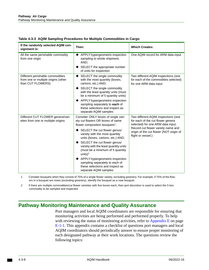| If the randomly selected AQIM con-<br>signment is:                                           | Then:                                                                                                                                                                                                                                                                                                                                                                                                                                                                                     | <b>Which Creates:</b>                                                                                                                                                                                                |
|----------------------------------------------------------------------------------------------|-------------------------------------------------------------------------------------------------------------------------------------------------------------------------------------------------------------------------------------------------------------------------------------------------------------------------------------------------------------------------------------------------------------------------------------------------------------------------------------------|----------------------------------------------------------------------------------------------------------------------------------------------------------------------------------------------------------------------|
| All the same perishable commodity<br>from one origin                                         | APPLY hypergeometric inspection<br>sampling to whole shipment,<br>AND;<br>SELECT the appropriate number<br>of units for inspection                                                                                                                                                                                                                                                                                                                                                        | One AQIM record for ARM data input                                                                                                                                                                                   |
| Different perishable commodities<br>from one or multiple origins (other<br>than CUT FLOWERS) | SELECT the single commodity<br>with the most quantity (boxes,<br>cartons, etc.) AND;<br>SELECT the single commodity<br>with the least quantity units (must<br>be a minimum of 5 quantity units)<br>APPLY hypergeometric inspection<br>sampling separately to each of<br>these selections and inspect as<br>separate AQIM samples                                                                                                                                                          | Two different AQIM inspections (one<br>for each of the commodities selected)<br>for one ARM data input                                                                                                               |
| Different CUT FLOWER genera/vari-<br>eties from one or multiple origins                      | Consider ONLY boxes of single vari-<br>ety cut flowers OR boxes of same<br>flower composition bouquets <sup>1</sup> :<br>SELECT the cut flower genus/<br>variety with the most quantity<br>units (boxes, cartons, etc.) AND;<br>SELECT the cut flower genus/<br>variety with the least quantity units<br>(must be a minimum of 5 quantity<br>units $)^2$<br>APPLY hypergeometric inspection<br>sampling separately to each of<br>these selections and inspect as<br>separate AQIM samples | Two different AQIM inspections (one<br>for each of the cut flower genera<br>selected) for one ARM data input.<br>Record cut flower variety name and<br>origin of the cut flower (NOT origin of<br>flight or vessel.) |

#### <span id="page-87-1"></span>**Table 4-3-3 AQIM Sampling Procedures for Multiple Commodities in Cargo**

1 Consider bouquets when they consist of 75% of a single flower variety, excluding greenery. For example, if 75% of the flowers in a bouquet are roses (excluding greenery), identify the bouquet as a rose bouquet.

2 If there are multiple commodities/cut flower varieties with five boxes each, then port discretion is used to select the 5 box commodity to be sampled and inspected.

## <span id="page-87-0"></span>**Pathway Monitoring Maintenance and Quality Assurance**

Port managers and local AQIM coordinators are responsible for ensuring that monitoring activities are being performed and performed properly. To help with reviewing the status of monitoring activities, refer to Appendix  $E$  on page [E-1-1](#page-170-0). This appendix contains a checklist of questions port managers and local AQIM coordinators should periodically answer to ensure proper monitoring of each designated pathway at their work locations. The questions review the following topics: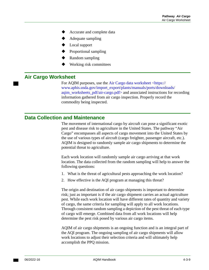- Accurate and complete data
- Adequate sampling
- Local support
- Proportional sampling
- Random sampling
- Working risk committees

### <span id="page-88-0"></span>**Air Cargo Worksheet**

For AQIM purposes, use the [Air Cargo data worksheet](http://www.aphis.usda.gov/import_export/plants/manuals/ports/downloads/aqim_worksheets_pdf/air-cargo.pdf) <https:// [www.aphis.usda.gov/import\\_export/plants/manuals/ports/downloads/](https://www.aphis.usda.gov/import_export/plants/manuals/ports/downloads/aqim_worksheets_pdf/air-cargo.pdf)  agim worksheets pdf/air-cargo.pdf> and associated instructions for recording information gathered from air cargo inspection. Properly record the commodity being inspected.

## <span id="page-88-1"></span>**Data Collection and Maintenance**

The movement of international cargo by aircraft can pose a significant exotic pest and disease risk to agriculture in the United States. The pathway "Air Cargo" encompasses all aspects of cargo movement into the United States by the use of various types of aircraft (cargo freighter, passenger aircraft, etc.). AQIM is designed to randomly sample air cargo shipments to determine the potential threat to agriculture.

Each work location will randomly sample air cargo arriving at that work location. The data collected from the random sampling will help to answer the following questions:

- 1. What is the threat of agricultural pests approaching the work location?
- 2. How effective is the AQI program at managing this threat?

The origin and destination of air cargo shipments is important to determine risk; just as important is if the air cargo shipment carries an actual agriculture pest. While each work location will have different rates of quantity and variety of cargo, the same criteria for sampling will apply to all work locations. Through consistent random sampling a depiction of the pest threat of each type of cargo will emerge. Combined data from all work locations will help determine the pest risk posed by various air cargo items.

AQIM of air cargo shipments is an ongoing function and is an integral part of the AQI program. The ongoing sampling of air cargo shipments will allow work locations to adjust their selection criteria and will ultimately help accomplish the PPQ mission.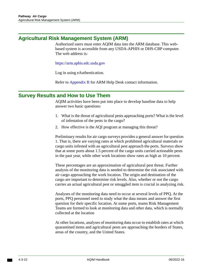## <span id="page-89-0"></span>**Agricultural Risk Management System (ARM)**

Authorized users must enter AQIM data into the ARM database. This webbased system is accessible from any USDA-APHIS or DHS-CBP computer. The web address is:

<https://arm.aphis.edc.usda.gov>

Log in using eAuthentication.

Refer to [Appendix B](#page-150-0) for ARM Help Desk contact information.

## <span id="page-89-1"></span>**Survey Results and How to Use Them**

AQIM activities have been put into place to develop baseline data to help answer two basic questions:

- 1. What is the threat of agricultural pests approaching ports? What is the level of infestation of the pests in the cargo?
- 2. How effective is the AQI program at managing this threat?

Preliminary results for air cargo surveys provides a general answer for question 1. That is, there are varying rates at which prohibited agricultural materials or cargo units infested with an agricultural pest approach the ports. Surveys show that at some ports about 1.5 percent of the cargo units carried actionable pests in the past year, while other work locations show rates as high as 10 percent.

These percentages are an approximation of agricultural pest threat. Further analysis of the monitoring data is needed to determine the risk associated with air cargo approaching the work location. The origin and destination of the cargo are important to determine risk levels. Also, whether or not the cargo carries an actual agricultural pest or smuggled item is crucial in analyzing risk.

Analyses of the monitoring data need to occur at several levels of PPQ. At the ports, PPQ personnel need to study what the data means and answer the first question for their specific location. At some ports, teams Risk Management Teams are formed to look at monitoring data and other data, which is normally collected at the location

At other locations, analyses of monitoring data occur to establish rates at which quarantined items and agricultural pests are approaching the borders of States, areas of the country, and the United States.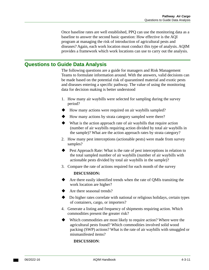Once baseline rates are well established, PPQ can use the monitoring data as a baseline to answer the second basic question: How effective is the AQI program at managing the risk of introduction of agricultural pests and diseases? Again, each work location must conduct this type of analysis. AQIM provides a framework which work locations can use to carry out the analysis.

## <span id="page-90-0"></span>**Questions to Guide Data Analysis**

The following questions are a guide for managers and Risk Management Teams to formulate information around. With the answers, valid decisions can be made based on the potential risk of quarantined material and exotic pests and diseases entering a specific pathway. The value of using the monitoring data for decision making is better understood

- 1. How many air waybills were selected for sampling during the survey period?
- $\blacklozenge$  How many actions were required on air waybills sampled?
- How many actions by strata category sampled were there?
- $\blacklozenge$  What is the action approach rate of air waybills that require action (number of air waybills requiring action divided by total air waybills in the sample)? What are the action approach rates by strata category?
- 2. How many pest interceptions (actionable pests) were made from survey samples?
- Pest Approach Rate: What is the rate of pest interceptions in relation to the total sampled number of air waybills (number of air waybills with actionable pests divided by total air waybills in the sample)?
- 3. Compare the rate of actions required for each month of the survey

### **DISCUSSION:**

- Are there easily identified trends when the rate of QMIs transiting the work location are higher?
- Are there seasonal trends?
- $\blacklozenge$  Do higher rates correlate with national or religious holidays, certain types of containers, cargo, or importers?
- 4. Generate a listing and frequency of shipments requiring action. Which commodities present the greater risk?
- Which commodities are most likely to require action? Where were the agricultural pests found? Which commodities involved solid wood packing (SWP) actions? What is the rate of air waybills with smuggled or mismanifested items?

### **DISCUSSION**: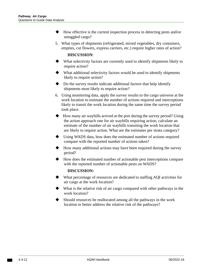- $\blacklozenge$  How effective is the current inspection process in detecting pests and/or smuggled cargo?
- 5. What types of shipments (refrigerated, mixed vegetables, dry containers, empties, cut flowers, express carriers, etc.) require higher rates of action?

### **DISCUSSION**:

- What selectivity factors are currently used to identify shipments likely to require action?
- What additional selectivity factors would be used to identify shipments likely to require action?
- Do the survey results indicate additional factors that help identify shipments most likely to require action?
- 6. Using monitoring data, apply the survey results to the cargo universe at the work location to estimate the number of actions required and interceptions likely to transit the work location during the same time the survey period took place.
- $\blacklozenge$  How many air waybills arrived at the port during the survey period? Using the action approach rate for air waybills requiring action, calculate an estimate of the number of air waybills transiting the work location that are likely to require action. What are the estimates per strata category?
- Using WADS data, how does the estimated number of actions required compare with the reported number of actions taken?
- How many additional actions may have been required during the survey period?
- How does the estimated number of actionable pest interceptions compare with the reported number of actionable pests on WADS?

### **DISCUSSION:**

- What percentage of resources are dedicated to staffing AQI activities for air cargo at the work location?
- What is the relative risk of air cargo compared with other pathways in the work location?
- Should resources be reallocated among all the pathways in the work location to better address the relative risk of the pathways?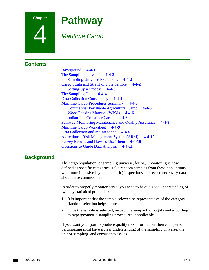

4

# **Pathway**

## *Maritime Cargo*

## **Contents**

[Background](#page-92-0) **4-4-1**  [The Sampling Universe](#page-93-0) **4-4-2**  [Sampling Universe Exclusions](#page-93-2) **4-4-2**  [Cargo Strata and Stratifying the Sample](#page-93-1) **4-4-2**  [Setting Up a Process](#page-94-0) **4-4-3**  [The Sampling Unit](#page-95-0) **4-4-4**  [Data Collection Consistency](#page-95-1) **4-4-4**  [Maritime Cargo Procedures Summary](#page-96-0) **4-4-5**  [Commercial Perishable Agricultural Cargo](#page-96-1) **4-4-5**  [Wood Packing Material \(WPM\)](#page-97-0) **4-4-6**  [Italian Tile Container Cargo](#page-97-1) **4-4-6**  [Pathway Monitoring Maintenance and Quality Assurance](#page-100-0) **4-4-9**  [Maritime Cargo Worksheet](#page-100-1) **4-4-9**  [Data Collection and Maintenance](#page-100-2) **4-4-9**  [Agricultural Risk Management System \(ARM\)](#page-101-0) **4-4-10**  [Survey Results and How To Use Them](#page-101-1) **4-4-10**  [Questions to Guide Data Analysis](#page-102-0) **4-4-11** 

## <span id="page-92-0"></span>**Background**

The cargo population, or sampling universe, for AQI monitoring is now defined as specific categories. Take random samples from these populations with more intensive (hypergeometric) inspections and record necessary data about these commodities

In order to properly monitor cargo, you need to have a good understanding of two key statistical principles:

- 1. It is important that the sample selected be representative of the category. Random selection helps ensure this.
- 2. Once the sample is selected, inspect the sample thoroughly and according to hypergeometric sampling procedures if applicable.

If you want your port to produce quality risk information, then each person participating must have a clear understanding of the sampling universe, the unit of sampling, and consistency issues.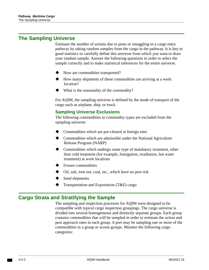## <span id="page-93-0"></span>**The Sampling Universe**

Estimate the number of actions due to pests or smuggling in a cargo entry pathway by taking random samples from the cargo in the pathway. It is key to good statistics to carefully define this universe from which you want to draw your random sample. Answer the following questions in order to select the sample correctly and to make statistical inferences for the entire universe.

- How are commodities transported?
- $\blacklozenge$  How many shipments of these commodities are arriving at a work location?
- What is the seasonality of the commodity?

For AQIM, the sampling universe is defined by the mode of transport of the cargo such as airplane, ship, or truck.

### <span id="page-93-2"></span>**Sampling Universe Exclusions**

The following commodities or commodity types are excluded from the sampling universe:

- Commodities which are pre-cleared at foreign sites
- Commodities which are admissible under the National Agriculture Release Program (NARP)
- Commodities which undergo some type of mandatory treatment, other than cold treatment (for example, fumigation, irradiation, hot water treatment) at work locations
- Frozen commodities
- Oil, salt, iron ore, coal, etc., which have no pest risk
- Seed shipments
- Transportation and Exportation (T&E) cargo

## <span id="page-93-1"></span>**Cargo Strata and Stratifying the Sample**

The sampling and inspection processes for AQIM were designed to be compatible with typical cargo inspection groupings. The cargo universe is divided into several homogeneous and distinctly separate groups. Each group contains commodities that will be sampled in order to estimate the action and pest approach rates in each group. A port may be sampling one or more of the commodities in a group or across groups. Monitor the following cargo categories: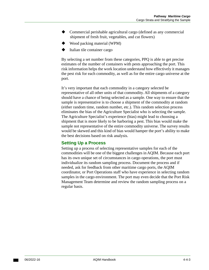- Commercial perishable agricultural cargo (defined as any commercial shipment of fresh fruit, vegetables, and cut flowers)
- Wood packing material (WPM)
- Italian tile container cargo

By selecting a set number from these categories, PPQ is able to get precise estimates of the number of containers with pests approaching the port. This risk information helps the work location understand how effectively it manages the pest risk for each commodity, as well as for the entire cargo universe at the port.

It's very important that each commodity in a category selected be representative of all other units of that commodity. All shipments of a category should have a chance of being selected as a sample. One way to ensure that the sample is representative is to choose a shipment of the commodity at random (either random time, random number, etc.). This random selection process eliminates the bias of the Agriculture Specialist who is selecting the sample. The Agriculture Specialist's experience (bias) might lead to choosing a shipment that is more likely to be harboring a pest. This bias would make the sample not representative of the entire commodity universe. The survey results would be skewed and this kind of bias would hamper the port's ability to make the best decisions based on risk analysis.

### <span id="page-94-0"></span>**Setting Up a Process**

Setting up a process of selecting representative samples for each of the commodities will be one of the biggest challenges in AQIM. Because each port has its own unique set of circumstances in cargo operations, the port must individualize its random sampling process. Document the process and if needed, ask for feedback from other maritime cargo ports, the AQIM coordinator, or Port Operations staff who have experience in selecting random samples in the cargo environment. The port may even decide that the Port Risk Management Team determine and review the random sampling process on a regular basis.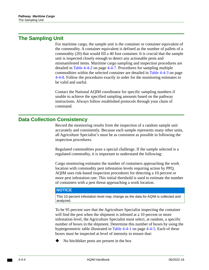## <span id="page-95-0"></span>**The Sampling Unit**

For maritime cargo, the sample unit is the container or container equivalent of the commodity. A container equivalent is defined as the number of pallets of a commodity (20) that would fill a 40 foot container. It is crucial that the sample unit is inspected closely enough to detect any actionable pests and mismanifested items. Maritime cargo sampling and inspection procedures are detailed in [Table 4-4-2 on page 4-4-7](#page-98-0). Procedures for sampling multiple commodities within the selected container are detailed in [Table 4-4-3 on page](#page-99-0)  [4-4-8.](#page-99-0) Follow the procedures exactly in order for the monitoring estimates to be valid and useful.

Contact the National AQIM coordinator for specific sampling numbers if unable to achieve the specified sampling amounts based on the pathway instructions. Always follow established protocols through your chain of command.

## <span id="page-95-1"></span>**Data Collection Consistency**

Record the monitoring results from the inspection of a random sample unit accurately and consistently. Because each sample represents many other units, all Agriculture Specialist's must be as consistent as possible in following the inspection procedures.

Regulated commodities pose a special challenge. If the sample selected is a regulated commodity, it is important to understand the following:

Cargo monitoring estimates the number of containers approaching the work location with commodity pest infestation levels requiring action by PPQ. AQIM uses risk-based inspection procedures for detecting a 10 percent or more pest infestation rate. This initial threshold is used to estimate the number of containers with a pest threat approaching a work location.

### **NOTICE**

This 10 percent infestation level may change as the data for AQIM is collected and analyzed.

To be 95 percent sure that the Agriculture Specialist inspecting the container will find the pest when the shipment is infested at a 10 percent or more infestation level, the Agriculture Specialist must select, at random, a specific number of boxes in the shipment. Determine this number of boxes by using the hypergeometric table illustrated in [Table 4-4-1 on page 4-4-5.](#page-96-2) Each of these boxes must be inspected at level of intensity to ensure that:

No hitchhiker pests are present in the box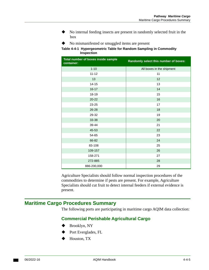- No internal feeding insects are present in randomly selected fruit in the box
- No mismanifested or smuggled items are present
- <span id="page-96-2"></span>**Table 4-4-1 Hypergeometric Table for Random Sampling in Commodity Inspection**

| Total number of boxes inside sample<br>container: | Randomly select this number of boxes: |  |
|---------------------------------------------------|---------------------------------------|--|
| $1 - 10$                                          | All boxes in the shipment             |  |
| $11 - 12$                                         | 11                                    |  |
| 13                                                | 12                                    |  |
| $14 - 15$                                         | 13                                    |  |
| $16 - 17$                                         | 14                                    |  |
| 18-19                                             | 15                                    |  |
| $20 - 22$                                         | 16                                    |  |
| 23-25                                             | 17                                    |  |
| 26-28                                             | 18                                    |  |
| 29-32                                             | 19                                    |  |
| 33-38                                             | 20                                    |  |
| 39-44                                             | 21                                    |  |
| 45-53                                             | 22                                    |  |
| 54-65                                             | 23                                    |  |
| 66-82                                             | 24                                    |  |
| 83-108                                            | 25                                    |  |
| 109-157                                           | 26                                    |  |
| 158-271                                           | 27                                    |  |
| 272-885                                           | 28                                    |  |
| 886-200,000                                       | 29                                    |  |

Agriculture Specialists should follow normal inspection procedures of the commodities to determine if pests are present. For example, Agriculture Specialists should cut fruit to detect internal feeders if external evidence is present.

## <span id="page-96-0"></span>**Maritime Cargo Procedures Summary**

The following ports are participating in maritime cargo AQIM data collection:

## <span id="page-96-1"></span>**Commercial Perishable Agricultural Cargo**

- Brooklyn, NY
- Port Everglades, FL
- Houston, TX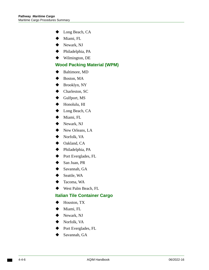- Long Beach, CA
- Miami, FL
- Newark, NJ
- Philadelphia, PA
- Wilmington, DE

### <span id="page-97-0"></span>**Wood Packing Material (WPM)**

- ◆ Baltimore, MD
- Boston, MA
- ◆ Brooklyn, NY
- ◆ Charleston, SC
- ◆ Gulfport, MS
- ◆ Honolulu, HI
- Long Beach, CA
- ◆ Miami, FL
- Newark, NJ
- New Orleans, LA
- ◆ Norfolk, VA
- ◆ Oakland, CA
- ◆ Philadelphia, PA
- ◆ Port Everglades, FL
- San Juan, PR
- ◆ Savannah, GA
- Seattle, WA
- ◆ Tacoma, WA
- West Palm Beach, FL

### <span id="page-97-1"></span>**Italian Tile Container Cargo**

- Houston, TX
- Miami, FL
- Newark, NJ
- Norfolk, VA
- Port Everglades, FL
- Savannah, GA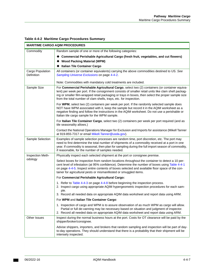| <b>MARITIME CARGO AQIM PROCEDURES</b> |                                                                                                                                                                                                                                                                                                                                                                                  |  |
|---------------------------------------|----------------------------------------------------------------------------------------------------------------------------------------------------------------------------------------------------------------------------------------------------------------------------------------------------------------------------------------------------------------------------------|--|
| Commodity                             | Random sample of one or more of the following categories:                                                                                                                                                                                                                                                                                                                        |  |
|                                       | <b>Commercial Perishable Agricultural Cargo (fresh fruit, vegetables, and cut flowers)</b>                                                                                                                                                                                                                                                                                       |  |
|                                       | <b>Wood Packing Material (WPM)</b>                                                                                                                                                                                                                                                                                                                                               |  |
|                                       | <b>Italian Tile Container Cargo</b>                                                                                                                                                                                                                                                                                                                                              |  |
| Cargo Population<br>Definition        | All containers (or container equivalents) carrying the above commodities destined to US. See<br>Sampling Universe Exclusions on page 4-4-2.                                                                                                                                                                                                                                      |  |
|                                       | Note: Commodities with mandatory cold treatments are included.                                                                                                                                                                                                                                                                                                                   |  |
| Sample Size                           | For Commercial Perishable Agricultural Cargo, select two (2) containers (or container equiva-<br>lent) per week per port. If the consignment consists of smaller retail units like clam shell packag-<br>ing or smaller film-wrapped retail packaging or trays in boxes, then select the proper sample size<br>from the total number of clam shells, trays, etc. for inspection. |  |
|                                       | For WPM, select two (2) containers per week per port. If the randomly selected sample does<br>NOT have WPM associated with it, keep the sample but record it in the AQIM worksheet as a<br>negative finding and follow the instructions in the AQIM worksheet. Do not use a perishable or<br>Italian tile cargo sample for the WPM sample.                                       |  |
|                                       | For Italian Tile Container Cargo, select two (2) containers per week per port required (and as<br>tile seasonality allows.)                                                                                                                                                                                                                                                      |  |
|                                       | Contact the National Operations Manager for Exclusion and Imports for assistance (Mikell Tanner<br>at 919-855-7317 or email Mikell. Tanner@usda.gov).                                                                                                                                                                                                                            |  |
| Sample Selection                      | Examples of sample selection processes are random time, port discretion, etc. The port may<br>need to first determine the total number of shipments of a commodity received at a port in one<br>year. If commodity is seasonal, then plan for sampling during the full import season of commodity,<br>if reasonable, for the number of samples needed.                           |  |
| Inspection Meth-                      | Physically inspect each selected shipment at the port or consignee premise.                                                                                                                                                                                                                                                                                                      |  |
| odology                               | Select boxes for inspection from random locations throughout the container to detect a 10 per-<br>cent level of infestation (at 95% confidence). Determine the number of boxes using Table 4-4-1<br>on page 4-4-5. Inspect entire contents of boxes selected and available floor space of the con-<br>tainer for agricultural pests or mismanifested or smuggled items.          |  |
|                                       | For Commercial Perishable Agricultural Cargo:                                                                                                                                                                                                                                                                                                                                    |  |
|                                       | 1. Refer to Table 4-4-3 on page 4-4-8 before beginning the inspection process.<br>2. Inspect cargo using appropriate AQIM hypergeometric inspection procedures for each sam-<br>ple.                                                                                                                                                                                             |  |
|                                       | 3. Record all needed data on appropriate AQIM data worksheet and report data using ARM.                                                                                                                                                                                                                                                                                          |  |
|                                       | For WPM and Italian Tile Container Cargo:                                                                                                                                                                                                                                                                                                                                        |  |
|                                       | 1. Inspection of cargo and WPM is to assure observation of as much WPM as cargo will allow.<br>Partial or full de-vanning may be necessary based on situation and judgment of inspector.<br>2. Record all needed data on appropriate AQIM data worksheet and report data using ARM.                                                                                              |  |
| Other Issues                          | Inspect during the normal business hours at the port. Costs for OT clearance will be paid by the<br>shipper/broker/consignee.                                                                                                                                                                                                                                                    |  |
|                                       | Advise shippers, importers, and brokers that random sampling and inspection will be part of day-<br>to-day operations. They should understand that there is a probability that their shipment will be<br>intensely inspected.                                                                                                                                                    |  |

### <span id="page-98-0"></span>**Table 4-4-2 Maritime Cargo Procedures Summary**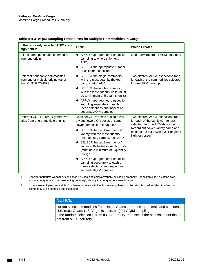| If the randomly selected AQIM con-<br>signment is:                                           | Then:                                                                                                                                                                                                                                                                                                                                                                                                                                                                                    | <b>Which Creates:</b>                                                                                                                                                                                                |
|----------------------------------------------------------------------------------------------|------------------------------------------------------------------------------------------------------------------------------------------------------------------------------------------------------------------------------------------------------------------------------------------------------------------------------------------------------------------------------------------------------------------------------------------------------------------------------------------|----------------------------------------------------------------------------------------------------------------------------------------------------------------------------------------------------------------------|
| All the same perishable commodity<br>from one origin                                         | APPLY hypergeometric inspection<br>sampling to whole shipment,<br>AND;<br>SELECT the appropriate number<br>of units for inspection                                                                                                                                                                                                                                                                                                                                                       | One AQIM record for ARM data input                                                                                                                                                                                   |
| Different perishable commodities<br>from one or multiple origins (other<br>than CUT FLOWERS) | SELECT the single commodity<br>with the most quantity (boxes,<br>cartons, etc.) AND;<br>SELECT the single commodity<br>with the least quantity units (must<br>be a minimum of 5 quantity units)<br>APPLY hypergeometric inspection<br>sampling separately to each of<br>these selections and inspect as<br>separate AQIM samples                                                                                                                                                         | Two different AQIM inspections (one<br>for each of the commodities selected)<br>for one ARM data input                                                                                                               |
| Different CUT FLOWER genera/vari-<br>eties from one or multiple origins                      | Consider ONLY boxes of single vari-<br>ety cut flowers OR boxes of same<br>flower composition bouquets <sup>1</sup> :<br>SELECT the cut flower genus/<br>variety with the most quantity<br>units (boxes, cartons, etc.) AND;<br>SELECT the cut flower genus/<br>variety with the least quantity units<br>(must be a minimum of 5 quantity<br>units) $2$<br>APPLY hypergeometric inspection<br>sampling separately to each of<br>these selections and inspect as<br>separate AQIM samples | Two different AQIM inspections (one<br>for each of the cut flower genera<br>selected) for one ARM data input.<br>Record cut flower variety name and<br>origin of the cut flower (NOT origin of<br>flight or vessel.) |

#### <span id="page-99-0"></span>**Table 4-4-3 AQIM Sampling Procedures for Multiple Commodities in Cargo**

1 Consider bouquets when they consist of 75% of a single flower variety, excluding greenery. For example, if 75% of the flowers in a bouquet are roses (excluding greenery), identify the bouquet as a rose bouquet.

2 If there are multiple commodities/cut flower varieties with five boxes each, then port discretion is used to select the five box commodity to be sampled and inspected.

### **NOTICE**

 U.S. (e.g., Guam, U.S. Virgin Islands, etc.) for AQIM sampling. Do **not** select commodities from United States territories to the mainland continental If the random selection is from a U.S. territory, then select the next shipment that is not from a U.S. territory.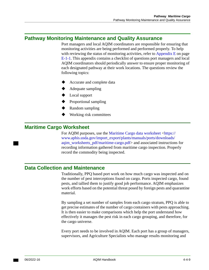## <span id="page-100-0"></span>**Pathway Monitoring Maintenance and Quality Assurance**

Port managers and local AQIM coordinators are responsible for ensuring that monitoring activities are being performed and performed properly. To help with reviewing the status of monitoring activities, refer to Appendix E on page [E-1-1](#page-170-0). This appendix contains a checklist of questions port managers and local AQIM coordinators should periodically answer to ensure proper monitoring of each designated pathway at their work locations. The questions review the following topics:

- Accurate and complete data
- Adequate sampling
- ◆ Local support
- Proportional sampling
- **◆** Random sampling
- Working risk committees

## <span id="page-100-1"></span>**Maritime Cargo Worksheet**

For AQIM purposes, use the [Maritime Cargo data worksheet](http://www.aphis.usda.gov/import_export/plants/manuals/ports/downloads/aqim_worksheets_pdf/maritime-cargo.pdf) <https:// [www.aphis.usda.gov/import\\_export/plants/manuals/ports/downloads/](https://www.aphis.usda.gov/import_export/plants/manuals/ports/downloads/aqim_worksheets_pdf/maritime_cargo.pdf)  agim\_worksheets\_pdf/maritime-cargo.pdf> and associated instructions for recording information gathered from maritime cargo inspection. Properly record the commodity being inspected.

## <span id="page-100-2"></span>**Data Collection and Maintenance**

Traditionally, PPQ based port work on how much cargo was inspected and on the number of pest interceptions found on cargo. Ports inspected cargo, found pests, and tallied them to justify good job performance. AQIM emphasizes work efforts based on the potential threat posed by foreign pests and quarantine material.

By sampling a set number of samples from each cargo stratum, PPQ is able to get precise estimates of the number of cargo containers with pests approaching. It is then easier to make comparisons which help the port understand how effectively it manages the pest risk in each cargo grouping, and therefore, for the cargo universe.

Every port needs to be involved in AQIM. Each port has a group of managers, supervisors, and Agriculture Specialists who manage results monitoring and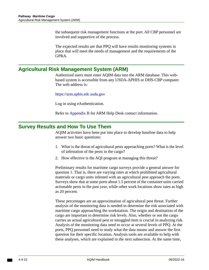the subsequent risk management functions at the port. All CBP personnel are involved and supportive of the process.

The expected results are that PPQ will have results monitoring systems in place that will meet the needs of management and the requirements of the GPRA.

## <span id="page-101-0"></span>**Agricultural Risk Management System (ARM)**

Authorized users must enter AQIM data into the ARM database. This webbased system is accessible from any USDA-APHIS or DHS-CBP computer. The web address is:

<https://arm.aphis.edc.usda.gov>

Log in using eAuthentication.

Refer to [Appendix B](#page-150-0) for ARM Help Desk contact information.

## <span id="page-101-1"></span>**Survey Results and How To Use Them**

AQIM activities have been put into place to develop baseline data to help answer two basic questions:

- 1. What is the threat of agricultural pests approaching ports? What is the level of infestation of the pests in the cargo?
- 2. How effective is the AQI program at managing this threat?

Preliminary results for maritime cargo surveys provide a general answer for question 1. That is, there are varying rates at which prohibited agricultural materials or cargo units infested with an agricultural pest approach the ports. Surveys show that at some ports about 1.5 percent of the container units carried actionable pests in the past year, while other work locations show rates as high as 20 percent.

These percentages are an approximation of agricultural pest threat. Further analysis of the monitoring data is needed to determine the risk associated with maritime cargo approaching the workstation. The origin and destination of the cargo are important to determine risk levels. Also, whether or not the cargo carries an actual agricultural pest or smuggled item is crucial in analyzing risk. Analysis of the monitoring data need to occur at several levels of PPQ. At the ports, PPQ personnel need to study what the data means and answer the first question for their specific location. Analysis tools are available to help with these analyses, which are explained in the next subsection. At the same time,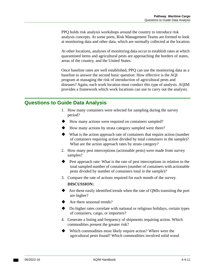PPQ holds risk analysis workshops around the country to introduce risk analysis concepts. At some ports, Risk Management Teams are formed to look at monitoring data and other data, which are normally collected at the location.

At other locations, analyses of monitoring data occur to establish rates at which quarantined items and agricultural pests are approaching the borders of states, areas of the country, and the United States.

Once baseline rates are well established, PPQ can use the monitoring data as a baseline to answer the second basic question: How effective is the AQI program at managing the risk of introduction of agricultural pests and diseases? Again, each work location must conduct this type of analysis. AQIM provides a framework which work locations can use to carry out the analysis.

## <span id="page-102-0"></span>**Questions to Guide Data Analysis**

- 1. How many containers were selected for sampling during the survey period?
- How many actions were required on containers sampled?
- How many actions by strata category sampled were there?
- What is the action approach rate of containers that require action (number of containers requiring action divided by total containers in the sample)? What are the action approach rates by strata category?
- 2. How many pest interceptions (actionable pests) were made from survey samples?
- Pest approach rate: What is the rate of pest interceptions in relation to the total sampled number of containers (number of containers with actionable pests divided by number of containers total in the sample)?
- 3. Compare the rate of actions required for each month of the survey.

### **DISCUSSION:**

- Are these easily identified trends when the rate of QMIs transiting the port are higher?
- Are there seasonal trends?
- Do higher rates correlate with national or religious holidays, certain types of containers, cargo, or importers?
- 4. Generate a listing and frequency of shipments requiring action. Which commodities present the greater risk?
- Which commodities most likely require action? Where were the agricultural pests found? Which commodities involved solid wood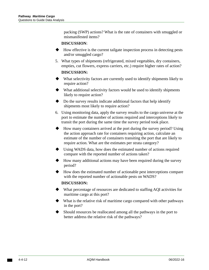packing (SWP) actions? What is the rate of containers with smuggled or mismanifested items?

### **DISCUSSION**:

- How effective is the current tailgate inspection process in detecting pests and/or smuggled cargo?
- 5. What types of shipments (refrigerated, mixed vegetables, dry containers, empties, cut flowers, express carriers, etc.) require higher rates of action?

### **DISCUSSION:**

- What selectivity factors are currently used to identify shipments likely to require action?
- $\blacklozenge$  What additional selectivity factors would be used to identify shipments likely to require action?
- $\blacklozenge$  Do the survey results indicate additional factors that help identify shipments most likely to require action?
- 6. Using monitoring data, apply the survey results to the cargo universe at the port to estimate the number of actions required and interceptions likely to transit the port during the same time the survey period took place.
- How many containers arrived at the port during the survey period? Using the action approach rate for containers requiring action, calculate an estimate of the number of containers transiting the port that are likely to require action. What are the estimates per strata category?
- Using WADS data, how does the estimated number of actions required compare with the reported number of actions taken?
- How many additional actions may have been required during the survey period?
- How does the estimated number of actionable pest interceptions compare with the reported number of actionable pests on WADS?

### **DISCUSSION:**

- What percentage of resources are dedicated to staffing AQI activities for maritime cargo at this port?
- What is the relative risk of maritime cargo compared with other pathways in the port?
- Should resources be reallocated among all the pathways in the port to better address the relative risk of the pathways?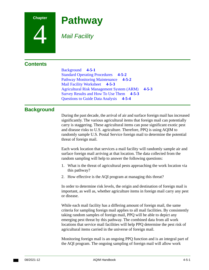

4

**Pathway** 

*Mail Facility* 

## **Contents**

[Background](#page-104-0) **4-5-1**  [Standard Operating Procedures](#page-105-1) **4-5-2**  [Pathway Monitoring Maintenance](#page-105-0) **4-5-2**  [Mail Facility Worksheet](#page-106-0) **4-5-3**  [Agricultural Risk Management System \(ARM\)](#page-106-1) **4-5-3**  [Survey Results and How To Use Them](#page-106-2) **4-5-3**  [Questions to Guide Data Analysis](#page-107-0) **4-5-4** 

## <span id="page-104-0"></span>**Background**

During the past decade, the arrival of air and surface foreign mail has increased significantly. The various agricultural items that foreign mail can potentially carry is staggering. These agricultural items can pose significant exotic pest and disease risks to U.S. agriculture. Therefore, PPQ is using AQIM to randomly sample U.S. Postal Service foreign mail to determine the potential threat of foreign mail.

Each work location that services a mail facility will randomly sample air and surface foreign mail arriving at that location. The data collected from the random sampling will help to answer the following questions:

- 1. What is the threat of agricultural pests approaching the work location via this pathway?
- 2. How effective is the AQI program at managing this threat?

In order to determine risk levels, the origin and destination of foreign mail is important, as well as, whether agriculture items in foreign mail carry any pest or disease.

While each mail facility has a differing amount of foreign mail, the same criteria for sampling foreign mail applies to all mail facilities. By consistently taking random samples of foreign mail, PPQ will be able to depict any emerging pest threat by this pathway. The combined data from all work locations that service mail facilities will help PPQ determine the pest risk of agricultural items carried in the universe of foreign mail.

Monitoring foreign mail is an ongoing PPQ function and is an integral part of the AQI program. The ongoing sampling of foreign mail will allow work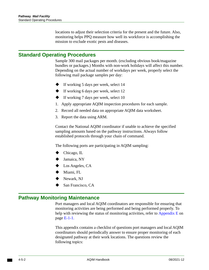locations to adjust their selection criteria for the present and the future. Also, monitoring helps PPQ measure how well its workforce is accomplishing the mission to exclude exotic pests and diseases.

## <span id="page-105-1"></span>**Standard Operating Procedures**

Sample 300 mail packages per month. (excluding obvious book/magazine bundles or packages.) Months with non-work holidays will affect this number. Depending on the actual number of workdays per week, properly select the following mail package samples per day:

- If working 5 days per week, select 14
- If working 6 days per week, select 12
- $\blacklozenge$  If working 7 days per week, select 10
- 1. Apply appropriate AQIM inspection procedures for each sample.
- 2. Record all needed data on appropriate AQIM data worksheet.
- 3. Report the data using ARM.

Contact the National AQIM coordinator if unable to achieve the specified sampling amounts based on the pathway instructions. Always follow established protocols through your chain of command.

The following ports are participating in AQIM sampling:

- Chicago, IL
- Jamaica, NY
- ◆ Los Angeles, CA
- Miami, FL
- Newark, NJ
- San Francisco, CA

## <span id="page-105-0"></span>**Pathway Monitoring Maintenance**

 monitoring activities are being performed and being performed properly. To Port managers and local AQIM coordinators are responsible for ensuring that help with reviewing the status of monitoring activities, refer to [Appendix E on](#page-170-0)  [page E-1-1.](#page-170-0)

This appendix contains a checklist of questions port managers and local AQIM coordinators should periodically answer to ensure proper monitoring of each designated pathway at their work locations. The questions review the following topics: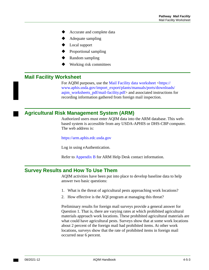- Accurate and complete data
- Adequate sampling
- Local support
- Proportional sampling
- Random sampling
- Working risk committees

### <span id="page-106-0"></span>**Mail Facility Worksheet**

For AQIM purposes, use the [Mail Facility data worksheet](http://www.aphis.usda.gov/import_export/plants/manuals/ports/downloads/aqim_worksheets_pdf/mail_facility.pdf) <https:// [www.aphis.usda.gov/import\\_export/plants/manuals/ports/downloads/](https://www.aphis.usda.gov/import_export/plants/manuals/ports/downloads/aqim_worksheets_pdf/mail-facility.pdf)  [aqim\\_worksheets\\_pdf/mail-facility.pdf>](https://www.aphis.usda.gov/import_export/plants/manuals/ports/downloads/aqim_worksheets_pdf/mail-facility.pdf) and associated instructions for recording information gathered from foreign mail inspection.

## <span id="page-106-1"></span>**Agricultural Risk Management System (ARM)**

Authorized users must enter AQIM data into the ARM database. This webbased system is accessible from any USDA-APHIS or DHS-CBP computer. The web address is:

<https://arm.aphis.edc.usda.gov>

Log in using eAuthentication.

Refer to [Appendix B](#page-150-0) for ARM Help Desk contact information.

### <span id="page-106-2"></span>**Survey Results and How To Use Them**

AQIM activities have been put into place to develop baseline data to help answer two basic questions:

- 1. What is the threat of agricultural pests approaching work locations?
- 2. How effective is the AQI program at managing this threat?

Preliminary results for foreign mail surveys provide a general answer for Question 1. That is, there are varying rates at which prohibited agricultural materials approach work locations. These prohibited agricultural materials are what could have agricultural pests. Surveys show that at some work locations about 2 percent of the foreign mail had prohibited items. At other work locations, surveys show that the rate of prohibited items in foreign mail occurred near 6 percent.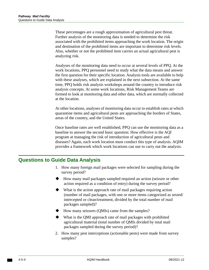These percentages are a rough approximation of agricultural pest threat. Further analysis of the monitoring data is needed to determine the risk associated with the prohibited items approaching the work location. The origin and destination of the prohibited items are important to determine risk levels. Also, whether or not the prohibited item carries an actual agricultural pest is analyzing risk.

Analyses of the monitoring data need to occur at several levels of PPQ. At the work locations, PPQ personnel need to study what the data means and answer the first question for their specific location. Analysis tools are available to help with these analyses, which are explained in the next subsection. At the same time, PPQ holds risk analysis workshops around the country to introduce risk analysis concepts. At some work locations, Risk Management Teams are formed to look at monitoring data and other data, which are normally collected at the location.

At other locations, analyses of monitoring data occur to establish rates at which quarantine items and agricultural pests are approaching the borders of States, areas of the country, and the United States.

Once baseline rates are well established, PPQ can use the monitoring data as a baseline to answer the second basic question: How effective is the AQI program at managing the risk of introduction of agricultural pests and diseases? Again, each work location must conduct this type of analysis. AQIM provides a framework which work locations can use to carry out the analysis.

## <span id="page-107-0"></span>**Questions to Guide Data Analysis**

- 1. How many foreign mail packages were selected for sampling during the survey period?
- How many mail packages sampled required an action (seizure or other action required as a condition of entry) during the survey period?
- What is the action approach rate of mail packages requiring action (number of mail packages, with one or more items categorized as seized/ intercepted or clean/treatment, divided by the total number of mail packages sampled)?
- How many seizures (QMIs) came from the samples?
- What is the QMI approach rate of mail packages with prohibited agricultural material (total number of QMIs divided by total mail packages sampled during the survey period)?
- 2. How many pest interceptions (actionable pests) were made from survey samples?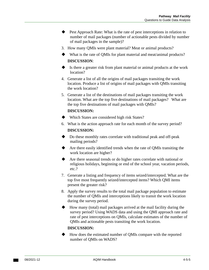- Pest Approach Rate: What is the rate of pest interceptions in relation to number of mail packages (number of actionable pests divided by number of mail packages in the sample)?
- 3. How many QMIs were plant material? Meat or animal products?
- What is the rate of QMIs for plant material and meat/animal products? **DISCUSSION**:
- $\blacklozenge$  Is there a greater risk from plant material or animal products at the work location?
- 4. Generate a list of all the origins of mail packages transiting the work location. Produce a list of origins of mail packages with QMIs transiting the work location?
- 5. Generate a list of the destinations of mail packages transiting the work location. What are the top five destinations of mail packages? What are the top five destinations of mail packages with QMIs?

### **DISCUSSION:**

- Which States are considered high risk States?
- 6. What is the action approach rate for each month of the survey period?

#### **DISCUSSION:**

- Do these monthly rates correlate with traditional peak and off-peak mailing periods?
- Are there easily identified trends when the rate of QMIs transiting the work location are higher?
- Are there seasonal trends or do higher rates correlate with national or religious holidays, beginning or end of the school year, vacation periods, etc.?
- 7. Generate a listing and frequency of items seized/intercepted. What are the top five most frequently seized/intercepted items? Which QMI items present the greater risk?
- 8. Apply the survey results to the total mail package population to estimate the number of QMIs and interceptions likely to transit the work location during the survey period.
- How many (total) mail packages arrived at the mail facility during the survey period? Using WADS data and using the QMI approach rate and rate of pest interceptions on QMIs, calculate estimates of the number of QMIs and actionable pests transiting the work location.

### **DISCUSSION:**

How does the estimated number of QMIs compare with the reported number of QMIs on WADS?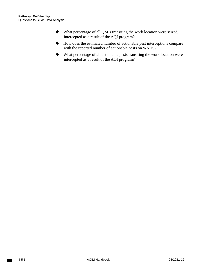- What percentage of all QMIs transiting the work location were seized/ intercepted as a result of the AQI program?
- How does the estimated number of actionable pest interceptions compare with the reported number of actionable pests on WADS?
- What percentage of all actionable pests transiting the work location were intercepted as a result of the AQI program?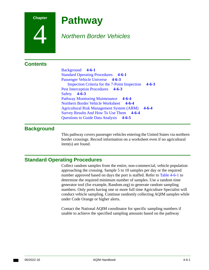

4

# **Pathway**

## *Northern Border Vehicles*

## **Contents**

[Background](#page-110-1) **4-6-1**  [Standard Operating Procedures](#page-110-0) **4-6-1**  [Passenger Vehicle Universe](#page-112-0) **4-6-3**  [Inspection Criteria for the 7-Point Inspection](#page-112-1)  [Pest Interception Procedures](#page-112-2) **4-6-3**  [Safety](#page-112-3) **4-6-3**  [Pathway Monitoring Maintenance](#page-113-0) **4-6-4**  [Northern Border Vehicle Worksheet](#page-113-1) **4-6-4 4-6-3**  [Agricultural Risk Management System \(ARM\)](#page-113-2)  [Survey Results And How To Use Them](#page-113-3) **4-6-4**  [Questions to Guide Data Analysis](#page-114-0) **4-6-5 4-6-4** 

### <span id="page-110-1"></span>**Background**

This pathway covers passenger vehicles entering the United States via northern border crossings. Record information on a worksheet even if no agricultural item(s) are found.

## <span id="page-110-0"></span>**Standard Operating Procedures**

Collect random samples from the entire, non-commercial, vehicle population approaching the crossing. Sample 5 to 10 samples per day or the required number approved based on days the port is staffed. Refer to [Table 4-6-1](#page-111-0) to determine the required minimum number of samples. Use a random time generator tool (for example, [Random.org\)](https://Random.org) to generate random sampling numbers. Only ports having one or more full time Agriculture Specialist will conduct vehicle sampling. Continue randomly collecting AQIM samples while under Code Orange or higher alerts.

Contact the National AQIM coordinator for specific sampling numbers if unable to achieve the specified sampling amounts based on the pathway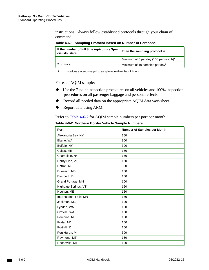instructions. Always follow established protocols through your chain of command.

<span id="page-111-0"></span> **Table 4-6-1 Sampling Protocol Based on Number of Personnel** 

| If the number of full time Agriculture Spe-<br>cialists is/are: | Then the sampling protocol is:                    |
|-----------------------------------------------------------------|---------------------------------------------------|
|                                                                 | Minimum of 5 per day (100 per month) <sup>1</sup> |
| 2 or more                                                       | Minimum of 10 samples per day <sup>1</sup>        |

1 Locations are encouraged to sample more than the minimum

For each AQIM sample:

- Use the 7-point inspection procedures on all vehicles and 100% inspection procedures on all passenger baggage and personal effects.
- Record all needed data on the appropriate AQIM data worksheet.
- Report data using ARM.

Refer to [Table 4-6-2](#page-111-1) for AQIM sample numbers per port per month.

<span id="page-111-1"></span>**Table 4-6-2 Northern Border Vehicle Sample Numbers** 

| Port                    | <b>Number of Samples per Month</b> |
|-------------------------|------------------------------------|
| Alexandria Bay, NY      | 150                                |
| Blaine, WA              | 300                                |
| Buffalo, NY             | 300                                |
| Calais, ME              | 150                                |
| Champlain, NY           | 150                                |
| Derby Line, VT          | 150                                |
| Detroit, MI             | 300                                |
| Dunseith, ND            | 100                                |
| Eastport, ID            | 150                                |
| Grand Portage, MN       | 100                                |
| Highgate Springs, VT    | 150                                |
| Houlton, ME             | 150                                |
| International Falls, MN | 150                                |
| Jackman, ME             | 100                                |
| Lynden, WA              | 100                                |
| Oroville, WA            | 150                                |
| Pembina, ND             | 150                                |
| Portal, ND              | 150                                |
| Porthill, ID            | 100                                |
| Port Huron, MI          | 300                                |
| Raymond, MT             | 150                                |
| Rooseville, MT          | 100                                |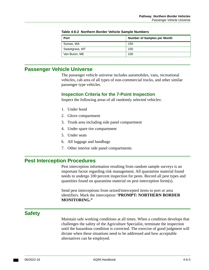| Port           | <b>Number of Samples per Month</b> |
|----------------|------------------------------------|
| Sumas, WA      | 150                                |
| Sweetgrass, MT | 150                                |
| Van Buren, ME  | 100                                |

**Table 4-6-2 Northern Border Vehicle Sample Numbers** 

### <span id="page-112-0"></span>**Passenger Vehicle Universe**

The passenger vehicle universe includes automobiles, vans, recreational vehicles, cab area of all types of non-commercial trucks, and other similar passenger type vehicles.

### <span id="page-112-1"></span>**Inspection Criteria for the 7-Point Inspection**

Inspect the following areas of all randomly selected vehicles:

- 1. Under hood
- 2. Glove compartment
- 3. Trunk area including side panel compartment
- 4. Under spare tire compartment
- 5. Under seats
- 6. All luggage and handbags
- 7. Other interior side panel compartments

### <span id="page-112-2"></span>**Pest Interception Procedures**

Pest interception information resulting from random sample surveys is an important factor regarding risk management. All quarantine material found needs to undergo 100 percent inspection for pests. Record all pest types and quantities found on quarantine material on pest interception form(s).

Send pest interceptions from seized/intercepted items to port or area identifiers. Mark the interception "**PROMPT: NORTHERN BORDER MONITORING."** 

## <span id="page-112-3"></span>**Safety**

Maintain safe working conditions at all times. When a condition develops that challenges the safety of the Agriculture Specialist, terminate the inspection until the hazardous condition is corrected. The exercise of good judgment will dictate when these situations need to be addressed and how acceptable alternatives can be employed.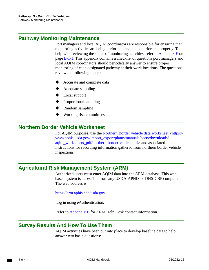## <span id="page-113-0"></span>**Pathway Monitoring Maintenance**

 monitoring activities are being performed and being performed properly. To Port managers and local AQIM coordinators are responsible for ensuring that help with reviewing the status of monitoring activities, refer to [Appendix E on](#page-170-0)  [page E-1-1.](#page-170-0) This appendix contains a checklist of questions port managers and local AQIM coordinators should periodically answer to ensure proper monitoring of each designated pathway at their work locations. The questions review the following topics:

- Accurate and complete data
- Adequate sampling
- **Local support**
- Proportional sampling
- Random sampling
- Working risk committees

### <span id="page-113-1"></span>**Northern Border Vehicle Worksheet**

For AQIM purposes, use the [Northern Border vehicle data worksheet](http://www.aphis.usda.gov/import_export/plants/manuals/ports/downloads/aqim_worksheets_pdf/northern-border-vehicle.pdf) <https:// [www.aphis.usda.gov/import\\_export/plants/manuals/ports/downloads/](https://www.aphis.usda.gov/import_export/plants/manuals/ports/downloads/aqim_worksheets_pdf/northern-border-vehicle.pdf)  agim\_worksheets\_pdf/northern-border-vehicle.pdf> and associated instructions for recording information gathered from northern border vehicle inspections.

### <span id="page-113-2"></span>**Agricultural Risk Management System (ARM)**

Authorized users must enter AQIM data into the ARM database. This webbased system is accessible from any USDA-APHIS or DHS-CBP computer. The web address is:

<https://arm.aphis.edc.usda.gov>

Log in using eAuthentication.

Refer to [Appendix B](#page-150-0) for ARM Help Desk contact information.

### <span id="page-113-3"></span>**Survey Results And How To Use Them**

AQIM activities have been put into place to develop baseline data to help answer two basic questions: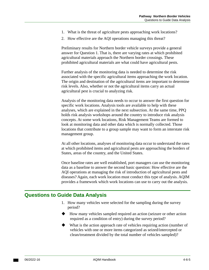- 1. What is the threat of agriculture pests approaching work locations?
- 2. How effective are the AQI operations managing this threat?

Preliminary results for Northern border vehicle surveys provide a general answer for Question 1. That is, there are varying rates at which prohibited agricultural materials approach the Northern border crossings. These prohibited agricultural materials are what could have agricultural pests.

Further analysis of the monitoring data is needed to determine the risk associated with the specific agricultural items approaching the work location. The origin and destination of the agricultural items are important to determine risk levels. Also, whether or not the agricultural items carry an actual agricultural pest is crucial to analyzing risk.

Analysis of the monitoring data needs to occur to answer the first question for specific work locations. Analysis tools are available to help with these analyses, which are explained in the next subsection. At the same time, PPQ holds risk analysis workshops around the country to introduce risk analysis concepts. At some work locations, Risk Management Teams are formed to look at monitoring data and other data which is normally collected. Those locations that contribute to a group sample may want to form an interstate risk management group.

At all other locations, analyses of monitoring data occur to understand the rates at which prohibited items and agricultural pests are approaching the borders of States, areas of the country, and the United States.

Once baseline rates are well established, port managers can use the monitoring data as a baseline to answer the second basic question: How effective are the AQI operations at managing the risk of introduction of agricultural pests and diseases? Again, each work location must conduct this type of analysis. AQIM provides a framework which work locations can use to carry out the analysis.

### <span id="page-114-0"></span>**Questions to Guide Data Analysis**

- 1. How many vehicles were selected for the sampling during the survey period?
- How many vehicles sampled required an action (seizure or other action required as a condition of entry) during the survey period?
- What is the action approach rate of vehicles requiring action (number of vehicles with one or more items categorized as seized/intercepted or clean/treatment divided by the total number of vehicles sampled)?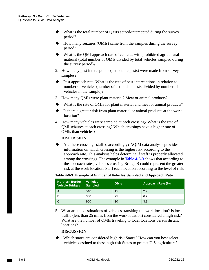- What is the total number of QMIs seized/intercepted during the survey period?
- How many seizures (QMIs) came from the samples during the survey period?
- What is the QMI approach rate of vehicles with prohibited agricultural material (total number of QMIs divided by total vehicles sampled during the survey period)?
- 2. How many pest interceptions (actionable pests) were made from survey samples?
- Pest approach rate: What is the rate of pest interceptions in relation to number of vehicles (number of actionable pests divided by number of vehicles in the sample)?
- 3. How many QMIs were plant material? Meat or animal products?
- What is the rate of QMIs for plant material and meat or animal products?
- Is there a greater risk from plant material or animal products at the work location?
- 4. How many vehicles were sampled at each crossing? What is the rate of QMI seizures at each crossing? Which crossings have a higher rate of QMIs than vehicles?

### **DISCUSSION:**

Are these crossings staffed accordingly? AQIM data analysis provides information on which crossing is the higher risk according to the approach rate. This analysis helps determine if staff is properly allocated among the crossings. The example in [Table 4-6-3](#page-115-0) shows that according to the approach rates, vehicles crossing Bridge B could represent the greater risk at the work location. Staff each location according to the level of risk.

### <span id="page-115-0"></span>**Table 4-6-3 Example of Number of Vehicles Sampled and Approach Rate**

| <b>Northern Border</b><br><b>Vehicle Bridges</b> | <b>Vehicles</b><br><b>Sampled</b> | <b>QMIs</b> | <b>Approach Rate (%)</b> |
|--------------------------------------------------|-----------------------------------|-------------|--------------------------|
| Α                                                | 540                               | 15          | 2.7                      |
| B                                                | 360                               | 25          | 6.9                      |
|                                                  | 900                               | 30          | 3.3                      |

5. What are the destinations of vehicles transiting the work location? Is local traffic (less than 25 miles from the work location) considered a high risk? What are the number of QMIs traveling to local locations versus distant locations?

### **DISCUSSION**:

Which states are considered high risk States? How can you best select vehicles destined to these high risk States to protect U.S. agriculture?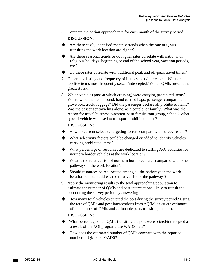- 6. Compare the **action** approach rate for each month of the survey period. **DISCUSSION**:
- Are there easily identified monthly trends when the rate of QMIs transiting the work location are higher?
- Are there seasonal trends or do higher rates correlate with national or religious holidays, beginning or end of the school year, vacation periods, etc.?
- Do these rates correlate with traditional peak and off-peak travel times?
- 7. Generate a listing and frequency of items seized/intercepted. What are the top five items most frequently seized/intercepted? Which QMIs present the greatest risk?
- 8. Which vehicles (and at which crossing) were carrying prohibited items? Where were the items found, hand carried bags, passenger compartment, glove box, truck, luggage? Did the passenger declare all prohibited items? Was the passenger traveling alone, as a couple, or family? What was the reason for travel business, vacation, visit family, tour group, school? What type of vehicle was used to transport prohibited items?

### **DISCUSSION:**

- $\blacklozenge$  How do current selective targeting factors compare with survey results?
- What selectivity factors could be changed or added to identify vehicles carrying prohibited items?
- What percentage of resources are dedicated to staffing AQI activities for northern border vehicles at the work location?
- What is the relative risk of northern border vehicles compared with other pathways in the work location?
- Should resources be reallocated among all the pathways in the work location to better address the relative risk of the pathways?
- 9. Apply the monitoring results to the total approaching population to estimate the number of QMIs and pest interceptions likely to transit the port during the survey period by answering:
- How many total vehicles entered the port during the survey period? Using the rate of QMIs and pest interceptions from AQIM, calculate estimates of the number of QMIs and actionable pests transiting the port.

### **DISCUSSION:**

- What percentage of all QMIs transiting the port were seized/intercepted as a result of the AQI program, use WADS data?
- How does the estimated number of QMIs compare with the reported number of QMIs on WADS?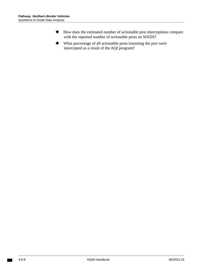- How does the estimated number of actionable pest interceptions compare with the reported number of actionable pests on WADS?
- What percentage of all actionable pests transiting the port were intercepted as a result of the AQI program?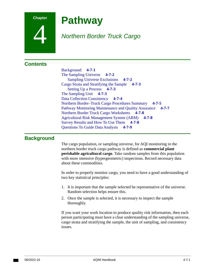

4

# **Pathway**

## *Northern Border Truck Cargo*

## **Contents**

[Background](#page-118-0) **4-7-1**  [The Sampling Universe](#page-119-0) **4-7-2**  [Sampling Universe Exclusions](#page-119-1) **4-7-2**  [Cargo Strata and Stratifying the Sample](#page-120-0) **4-7-3**  [Setting Up a Process](#page-120-2) **4-7-3**  [The Sampling Unit](#page-120-1) **4-7-3**  [Data Collection Consistency](#page-121-0) **4-7-4**  [Northern Border–Truck Cargo Procedures Summary](#page-122-0) **4-7-5**  [Pathway Monitoring Maintenance and Quality Assurance](#page-124-0) **4-7-7**  [Northern Border Truck Cargo Worksheets](#page-125-0) **4-7-8**  [Agricultural Risk Management System \(ARM\)](#page-125-1) **4-7-8**  [Survey Results and How To Use Them](#page-125-2) **4-7-8**  [Questions To Guide Data Analysis](#page-126-0) **4-7-9** 

## <span id="page-118-0"></span>**Background**

The cargo population, or sampling universe, for AQI monitoring in the northern border truck cargo pathway is defined as **commercial plant perishable agricultural cargo**. Take random samples from this population with more intensive (hypergeometric) inspections. Record necessary data about these commodities.

In order to properly monitor cargo, you need to have a good understanding of two key statistical principles:

- 1. It is important that the sample selected be representative of the universe. Random selection helps ensure this.
- 2. Once the sample is selected, it is necessary to inspect the sample thoroughly.

If you want your work location to produce quality risk information, then each person participating must have a clear understanding of the sampling universe, cargo strata and stratifying the sample, the unit of sampling, and consistency issues.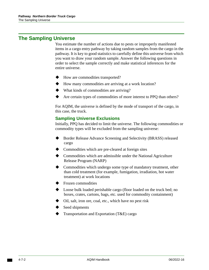## <span id="page-119-0"></span>**The Sampling Universe**

You estimate the number of actions due to pests or improperly manifested items in a cargo entry pathway by taking random samples from the cargo in the pathway. It is key to good statistics to carefully define this universe from which you want to draw your random sample. Answer the following questions in order to select the sample correctly and make statistical inferences for the entire universe.

- How are commodities transported?
- How many commodities are arriving at a work location?
- What kinds of commodities are arriving?
- Are certain types of commodities of more interest to PPQ than others?

For AQIM, the universe is defined by the mode of transport of the cargo, in this case, the truck.

### <span id="page-119-1"></span>**Sampling Universe Exclusions**

Initially, PPQ has decided to limit the universe. The following commodities or commodity types will be excluded from the sampling universe:

- Border Release Advance Screening and Selectivity (BRASS) released cargo
- Commodities which are pre-cleared at foreign sites
- Commodities which are admissible under the National Agriculture Release Program (NARP)
- Commodities which undergo some type of mandatory treatment, other than cold treatment (for example, fumigation, irradiation, hot water treatment) at work locations
- Frozen commodities
- Loose bulk loaded perishable cargo (floor loaded on the truck bed; no boxes, crates, cartons, bags, etc. used for commodity containment)
- Oil, salt, iron ore, coal, etc., which have no pest risk
- Seed shipments
- Transportation and Exportation (T&E) cargo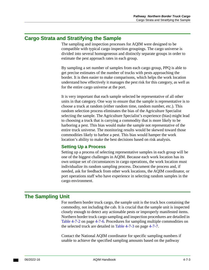## <span id="page-120-0"></span>**Cargo Strata and Stratifying the Sample**

The sampling and inspection processes for AQIM were designed to be compatible with typical cargo inspection groupings. The cargo universe is divided into several homogeneous and distinctly separate groups in order to estimate the pest approach rates in each group.

By sampling a set number of samples from each cargo group, PPQ is able to get precise estimates of the number of trucks with pests approaching the border. It is then easier to make comparisons, which helps the work location understand how effectively it manages the pest risk for this category, as well as for the entire cargo universe at the port.

It is very important that each sample selected be representative of all other units in that category. One way to ensure that the sample is representative is to choose a truck at random (either random time, random number, etc.). This random selection process eliminates the bias of the Agriculture Specialist selecting the sample. The Agriculture Specialist's experience (bias) might lead to choosing a truck that is carrying a commodity that is more likely to be harboring a pest. This bias would make the sample not representative of the entire truck universe. The monitoring results would be skewed toward those commodities likely to harbor a pest. This bias would hamper the work location's ability to make the best decisions based on risk analysis.

### <span id="page-120-2"></span>**Setting Up a Process**

Setting up a process of selecting representative samples in each group will be one of the biggest challenges in AQIM. Because each work location has its own unique set of circumstances in cargo operations, the work location must individualize its random sampling process. Document the process and, if needed, ask for feedback from other work locations, the AQIM coordinator, or port operations staff who have experience in selecting random samples in the cargo environment.

### <span id="page-120-1"></span>**The Sampling Unit**

For northern border truck cargo, the sample unit is the truck box containing the commodity, not including the cab. It is crucial that the sample unit is inspected closely enough to detect any actionable pests or improperly manifested items. Northern border truck cargo sampling and inspection procedures are detailed in [Table 4-7-2 on page 4-7-6](#page-123-0). Procedures for sampling multiple commodities on the selected truck are detailed in [Table 4-7-3 on page 4-7-7.](#page-124-1)

Contact the National AQIM coordinator for specific sampling numbers if unable to achieve the specified sampling amounts based on the pathway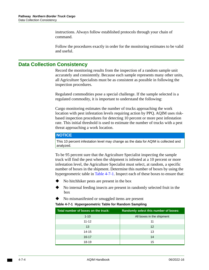instructions. Always follow established protocols through your chain of command.

Follow the procedures exactly in order for the monitoring estimates to be valid and useful.

### <span id="page-121-0"></span>**Data Collection Consistency**

Record the monitoring results from the inspection of a random sample unit accurately and consistently. Because each sample represents many other units, all Agriculture Specialists must be as consistent as possible in following the inspection procedures.

Regulated commodities pose a special challenge. If the sample selected is a regulated commodity, it is important to understand the following:

Cargo monitoring estimates the number of trucks approaching the work location with pest infestation levels requiring action by PPQ. AQIM uses riskbased inspection procedures for detecting 10 percent or more pest infestation rate. This initial threshold is used to estimate the number of trucks with a pest threat approaching a work location.

### **NOTICE**

This 10 percent infestation level may change as the data for AQIM is collected and analyzed.

To be 95 percent sure that the Agriculture Specialist inspecting the sample truck will find the pest when the shipment is infested at a 10 percent or more infestation level, the Agriculture Specialist must select, at random, a specific number of boxes in the shipment. Determine this number of boxes by using the hypergeometric table in [Table 4-7-1.](#page-121-1) Inspect each of these boxes to ensure that:

- No hitchhiker pests are present in the box
- No internal feeding insects are present in randomly selected fruit in the box
- No mismanifested or smuggled items are present

<span id="page-121-1"></span>

|  | Table 4-7-1 Hypergeometric Table for Random Sampling |  |  |  |
|--|------------------------------------------------------|--|--|--|
|--|------------------------------------------------------|--|--|--|

| Total number of boxes on the truck: | Randomly select this number of boxes: |
|-------------------------------------|---------------------------------------|
| $1 - 10$                            | All boxes in the shipment             |
| $11 - 12$                           | 11                                    |
| 13                                  | 12                                    |
| 14-15                               | 13                                    |
| $16 - 17$                           | 14                                    |
| 18-19                               | 15                                    |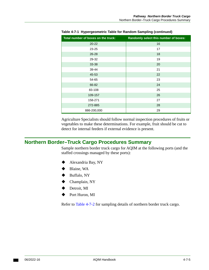| Total number of boxes on the truck: | Randomly select this number of boxes: |
|-------------------------------------|---------------------------------------|
| $20 - 22$                           | 16                                    |
| 23-25                               | 17                                    |
| 26-28                               | 18                                    |
| 29-32                               | 19                                    |
| 33-38                               | 20                                    |
| 39-44                               | 21                                    |
| 45-53                               | 22                                    |
| 54-65                               | 23                                    |
| 66-82                               | 24                                    |
| 83-108                              | 25                                    |
| 109-157                             | 26                                    |
| 158-271                             | 27                                    |
| 272-885                             | 28                                    |
| 886-200,000                         | 29                                    |

**Table 4-7-1 Hypergeometric Table for Random Sampling (continued)** 

Agriculture Specialists should follow normal inspection procedures of fruits or vegetables to make these determinations. For example, fruit should be cut to detect for internal feeders if external evidence is present.

### <span id="page-122-0"></span>**Northern Border–Truck Cargo Procedures Summary**

Sample northern border truck cargo for AQIM at the following ports (and the staffed crossings managed by these ports):

- Alexandria Bay, NY
- Blaine, WA
- Buffalo, NY
- Champlain, NY
- Detroit, MI
- Port Huron, MI

Refer to [Table 4-7-2](#page-123-0) for sampling details of northern border truck cargo.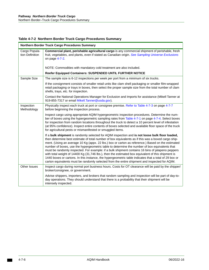| Northern Border Truck Cargo Procedures Summary |                                                                                                                                                                                                                                                                                                                                                                                                                                                                                                                                                                                                                                                                                                                                                                                                                                 |  |
|------------------------------------------------|---------------------------------------------------------------------------------------------------------------------------------------------------------------------------------------------------------------------------------------------------------------------------------------------------------------------------------------------------------------------------------------------------------------------------------------------------------------------------------------------------------------------------------------------------------------------------------------------------------------------------------------------------------------------------------------------------------------------------------------------------------------------------------------------------------------------------------|--|
| Cargo Popula-<br>tion Definition               | Commercial plant, perishable agricultural cargo is any commercial shipment of perishable, fresh<br>fruit, vegetables, and plants, even if stated as Canadian origin. See Sampling Universe Exclusions<br>on page 4-7-2.                                                                                                                                                                                                                                                                                                                                                                                                                                                                                                                                                                                                         |  |
|                                                | NOTE: Commodities with mandatory cold treatment are also included.                                                                                                                                                                                                                                                                                                                                                                                                                                                                                                                                                                                                                                                                                                                                                              |  |
|                                                | Reefer Equipped Containers: SUSPENDED UNTIL FURTHER NOTICE                                                                                                                                                                                                                                                                                                                                                                                                                                                                                                                                                                                                                                                                                                                                                                      |  |
| Sample Size                                    | The sample size is 6-12 inspections per week per port from a minimum of six trucks.                                                                                                                                                                                                                                                                                                                                                                                                                                                                                                                                                                                                                                                                                                                                             |  |
|                                                | If the consignment consists of smaller retail units like clam shell packaging or smaller film-wrapped<br>retail packaging or trays in boxes, then select the proper sample size from the total number of clam<br>shells, trays, etc. for inspection.                                                                                                                                                                                                                                                                                                                                                                                                                                                                                                                                                                            |  |
|                                                | Contact the National Operations Manager for Exclusion and Imports for assistance (Mikell Tanner at<br>919-855-7317 or email Mikell. Tanner@usda.gov).                                                                                                                                                                                                                                                                                                                                                                                                                                                                                                                                                                                                                                                                           |  |
| Inspection<br>Methodology                      | Physically inspect each truck at port or consignee premise. Refer to Table 4-7-3 on page 4-7-7<br>before beginning the inspection process.                                                                                                                                                                                                                                                                                                                                                                                                                                                                                                                                                                                                                                                                                      |  |
|                                                | Inspect cargo using appropriate AQIM hypergeometric inspection procedures. Determine the num-<br>ber of boxes using the hypergeometric sampling rates from Table 4-7-1 on page 4-7-4. Select boxes<br>for inspection from random locations throughout the truck to detect a 10 percent level of infestation<br>(at 95% confidence). Inspect entire contents of boxes selected and available floor space of the truck<br>for agricultural pests or mismanifested or smuggled items.                                                                                                                                                                                                                                                                                                                                              |  |
|                                                | If a bulk shipment is randomly selected for AQIM inspection and is not loose bulk floor loaded,<br>then determine best estimate of total number of box equivalents as if this was a boxed cargo ship-<br>ment. (Using an average 10 Kg (appx. 22 lbs.) box or carton as reference.) Based on the estimated<br>number of boxes, use the hypergeometric table to determine the number of box equivalents that<br>must be randomly inspected. For example: if a bulk shipment contains 16 bins of jalapeno peppers<br>with total weight of 14400 Kg (31,746 lbs.), then the estimated box equivalent of this shipment is<br>1440 boxes or cartons. In this instance, the hypergeometric table indicates that a total of 29 box or<br>carton equivalents must be randomly selected from the entire shipment and inspected for AQIM. |  |
| Other Issues                                   | Inspect cargo during normal port business hours. Costs for OT clearance will be paid by the shipper/<br>broker/consignee, or government.                                                                                                                                                                                                                                                                                                                                                                                                                                                                                                                                                                                                                                                                                        |  |
|                                                | Advise shippers, importers, and brokers that random sampling and inspection will be part of day-to-<br>day operations. They should understand that there is a probability that their shipment will be<br>intensely inspected.                                                                                                                                                                                                                                                                                                                                                                                                                                                                                                                                                                                                   |  |

### <span id="page-123-0"></span>**Table 4-7-2 Northern Border Truck Cargo Procedures Summary**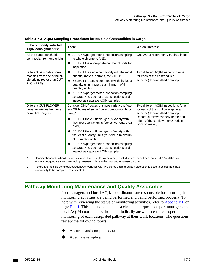| If the randomly selected<br><b>AQIM consignment is:</b>                  | Then:                                                                                                                        | <b>Which Creates:</b>                                                                                         |
|--------------------------------------------------------------------------|------------------------------------------------------------------------------------------------------------------------------|---------------------------------------------------------------------------------------------------------------|
| All the same perishable<br>commodity from one origin                     | APPLY hypergeometric inspection sampling<br>to whole shipment, AND;                                                          | One AQIM record for ARM data input                                                                            |
|                                                                          | SELECT the appropriate number of units for<br>inspection                                                                     |                                                                                                               |
| Different perishable com-<br>modities from one or multi-                 | SELECT the single commodity with the most<br>quantity (boxes, cartons, etc.) AND;                                            | Two different AQIM inspection (one<br>for each of the commodities                                             |
| ple origins (other than CUT<br><b>FLOWERS)</b>                           | SELECT the single commodity with the least<br>quantity units (must be a minimum of 5<br>quantity units)                      | selected) for one ARM data input                                                                              |
|                                                                          | APPLY hypergeometric inspection sampling<br>separately to each of these selections and<br>inspect as separate AQIM samples   |                                                                                                               |
| Different CUT FLOWER<br>genera/varieties from one<br>or multiple origins | Consider ONLY boxes of single variety cut flow-<br>ers OR boxes of same flower composition bou-<br>quets <sup>1</sup> :      | Two different AQIM inspections (one<br>for each of the cut flower genera<br>selected) for one ARM data input. |
|                                                                          | SELECT the cut flower genus/variety with<br>the most quantity units (boxes, cartons, etc.)<br>AND;                           | Record cut flower variety name and<br>origin of the cut flower (NOT origin of<br>flight or vessel)            |
|                                                                          | SELECT the cut flower genus/variety with<br>the least quantity units (must be a minimum<br>of 5 quantity units) <sup>2</sup> |                                                                                                               |
|                                                                          | APPLY hypergeometric inspection sampling<br>separately to each of these selections and<br>inspect as separate AQIM samples   |                                                                                                               |

<span id="page-124-1"></span>**Table 4-7-3 AQIM Sampling Procedures for Multiple Commodities in Cargo** 

1 Consider bouquets when they consist of 75% of a single flower variety, excluding greenery. For example, if 75% of the flowers in a bouquet are roses (excluding greenery), identify the bouquet as a rose bouquet.

2 If there are multiple commodities/cut flower varieties with five boxes each, then port discretion is used to select the 5 box commodity to be sampled and inspected.

### <span id="page-124-0"></span>**Pathway Monitoring Maintenance and Quality Assurance**

 monitoring activities are being performed and being performed properly. To Port managers and local AQIM coordinators are responsible for ensuring that help with reviewing the status of monitoring activities, refer to Appendix E on [page E-1-1.](#page-170-0) This appendix contains a checklist of questions port managers and local AQIM coordinators should periodically answer to ensure proper monitoring of each designated pathway at their work locations. The questions review the following topics:

- Accurate and complete data
- Adequate sampling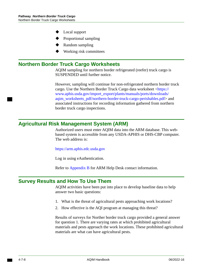- Local support
- Proportional sampling
- Random sampling
- Working risk committees

### <span id="page-125-0"></span>**Northern Border Truck Cargo Worksheets**

AQIM sampling for northern border refrigerated (reefer) truck cargo is SUSPENDED until further notice.

However, sampling will continue for non-refrigerated northern border truck cargo. Use the Northern Border Truck Cargo data worksheet <https:// [www.aphis.usda.gov/import\\_export/plants/manuals/ports/downloads/](https://www.aphis.usda.gov/import_export/plants/manuals/ports/downloads/aqim_worksheets_pdf/northern-border-truck-cargo-perishables.pdf)  [aqim\\_worksheets\\_pdf/northern-border-truck-cargo-perishables.pdf>](https://www.aphis.usda.gov/import_export/plants/manuals/ports/downloads/aqim_worksheets_pdf/northern-border-truck-cargo-perishables.pdf) and associated instructions for recording information gathered from northern border truck cargo inspections.

### <span id="page-125-1"></span>**Agricultural Risk Management System (ARM)**

Authorized users must enter AQIM data into the ARM database. This webbased system is accessible from any USDA-APHIS or DHS-CBP computer. The web address is:

<https://arm.aphis.edc.usda.gov>

Log in using eAuthentication.

Refer to [Appendix B](#page-150-0) for ARM Help Desk contact information.

### <span id="page-125-2"></span>**Survey Results and How To Use Them**

AQIM activities have been put into place to develop baseline data to help answer two basic questions:

- 1. What is the threat of agricultural pests approaching work locations?
- 2. How effective is the AQI program at managing this threat?

Results of surveys for Norther border truck cargo provided a general answer for question 1. There are varying rates at which prohibited agricultural materials and pests approach the work locations. These prohibited agricultural materials are what can have agricultural pests.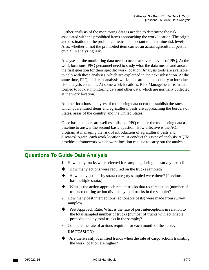Further analysis of the monitoring data is needed to determine the risk associated with the prohibited items approaching the work location. The origin and destination of the prohibited items is important to determine risk levels. Also, whether or not the prohibited item carries an actual agricultural pest is crucial in analyzing risk.

Analyses of the monitoring data need to occur at several levels of PPQ. At the work locations, PPQ personnel need to study what the data means and answer the first question for their specific work location. Analysis tools are available to help with these analyses, which are explained in the next subsection. At the same time, PPQ holds risk analysis workshops around the country to introduce risk analysis concepts. At some work locations, Risk Management Teams are formed to look at monitoring data and other data, which are normally collected at the work location.

At other locations, analyses of monitoring data occur to establish the rates at which quarantined items and agricultural pests are approaching the borders of States, areas of the country, and the United States.

Once baseline rates are well established, PPQ can use the monitoring data as a baseline to answer the second basic question: How effective is the AQI program at managing the risk of introduction of agricultural pests and diseases? Again, each work location must conduct this type of analysis. AQIM provides a framework which work location can use to carry out the analysis.

### <span id="page-126-0"></span>**Questions To Guide Data Analysis**

- 1. How many trucks were selected for sampling during the survey period?
- $\blacklozenge$  How many actions were required on the trucks sampled?
- $\blacklozenge$  How many actions by strata category sampled were there? (Previous data has multiple strata.)
- What is the action approach rate of trucks that require action (number of trucks requiring action divided by total trucks in the sample)?
- 2. How many pest interceptions (actionable pests) were made from survey samples?
- ◆ Pest Approach Rate: What is the rate of pest interceptions in relation to the total sampled number of trucks (number of trucks with actionable pests divided by total trucks in the sample)?
- 3. Compare the rate of actions required for each month of the survey.

### **DISCUSSION:**

Are there easily identified trends when the rate of cargo actions transiting the work location are higher?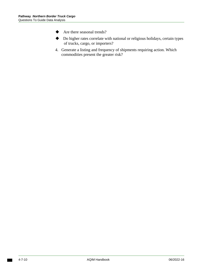- Are there seasonal trends?
- Do higher rates correlate with national or religious holidays, certain types of trucks, cargo, or importers?
- 4. Generate a listing and frequency of shipments requiring action. Which commodities present the greater risk?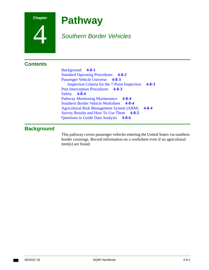

4

# **Pathway**

## *Southern Border Vehicles*

## **Contents**

[Background](#page-128-0) **4-8-1**  [Standard Operating Procedures](#page-129-0) **4-8-2**  [Passenger Vehicle Universe](#page-130-0) **4-8-3**  [Inspection Criteria for the 7-Point Inspection](#page-130-2)  [Pest Interception Procedures](#page-130-1) **4-8-3**  [Safety](#page-131-0) **4-8-4**  [Pathway Monitoring Maintenance](#page-131-1) **4-8-4**  [Southern Border Vehicle Worksheet](#page-131-2) **4-8-4 4-8-3**  [Agricultural Risk Management System \(ARM\)](#page-131-3)  [Survey Results and How To Use Them](#page-132-0) **4-8-5**  [Questions to Guide Data Analysis](#page-133-0) **4-8-6 4-8-4** 

## <span id="page-128-0"></span>**Background**

This pathway covers passenger vehicles entering the United States via southern border crossings. Record information on a worksheet even if no agricultural item(s) are found.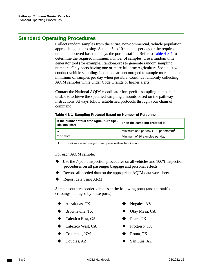## <span id="page-129-0"></span>**Standard Operating Procedures**

Collect random samples from the entire, non-commercial, vehicle population approaching the crossing. Sample 5 to 10 samples per day or the required number approved based on days the port is staffed. Refer to [Table 4-8-1](#page-129-1) to determine the required minimum number of samples. Use a random time generator tool (for example, [Random.org\)](https://Random.org) to generate random sampling numbers. Only ports having one or more full time Agriculture Specialist will conduct vehicle sampling. Locations are encouraged to sample more than the minimum of samples per day when possible. Continue randomly collecting AQIM samples while under Code Orange or higher alerts.

Contact the National AQIM coordinator for specific sampling numbers if unable to achieve the specified sampling amounts based on the pathway instructions. Always follow established protocols through your chain of command.

<span id="page-129-1"></span>

| If the number of full time Agriculture Spe-<br>cialists is/are: | Then the sampling protocol is:                    |
|-----------------------------------------------------------------|---------------------------------------------------|
|                                                                 | Minimum of 5 per day (100 per month) <sup>1</sup> |
| 2 or more                                                       | Minimum of 10 samples per day <sup>1</sup>        |

1 Locations are encouraged to sample more than the minimum.

### For each AQIM sample:

- Use the 7-point inspection procedures on all vehicles and 100% inspection procedures on all passenger baggage and personal effects.
- Record all needed data on the appropriate AQIM data worksheet.
- Report data using ARM.

Sample southern border vehicles at the following ports (and the staffed crossings managed by these ports):

- Anzalduas, TX  $\bullet$  Nogales, AZ
- Brownsville, TX → Otay Mesa, CA
- Calexico East, CA → Pharr, TX
- Calexico West, CA → Progreso, TX
- $\text{Columbus, NM} \qquad \qquad \text{Roma, TX}$
- Douglas, AZ  $\bullet$  San Luis, AZ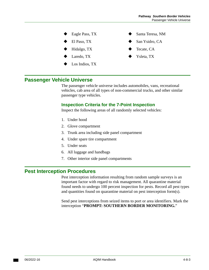- Eagle Pass, TX  $\bullet$  Santa Teresa, NM
- 
- 
- 
- Los Indios, TX
- 
- $E1$  Paso, TX  $\bullet$  San Ysidro, CA
- Hidalgo, TX **CA** Tecate, CA
- Laredo, TX  $\blacklozenge$  Ysleta, TX

### <span id="page-130-0"></span>**Passenger Vehicle Universe**

The passenger vehicle universe includes automobiles, vans, recreational vehicles, cab area of all types of non-commercial trucks, and other similar passenger type vehicles.

### <span id="page-130-2"></span>**Inspection Criteria for the 7-Point Inspection**

Inspect the following areas of all randomly selected vehicles:

- 1. Under hood
- 2. Glove compartment
- 3. Trunk area including side panel compartment
- 4. Under spare tire compartment
- 5. Under seats
- 6. All luggage and handbags
- 7. Other interior side panel compartments

### <span id="page-130-1"></span>**Pest Interception Procedures**

Pest interception information resulting from random sample surveys is an important factor with regard to risk management. All quarantine material found needs to undergo 100 percent inspection for pests. Record all pest types and quantities found on quarantine material on pest interception form(s).

Send pest interceptions from seized items to port or area identifiers. Mark the interception "**PROMPT: SOUTHERN BORDER MONITORING.**"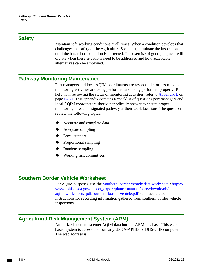## <span id="page-131-0"></span>**Safety**

Maintain safe working conditions at all times. When a condition develops that challenges the safety of the Agriculture Specialist, terminate the inspection until the hazardous condition is corrected. The exercise of good judgment will dictate when these situations need to be addressed and how acceptable alternatives can be employed.

### <span id="page-131-1"></span>**Pathway Monitoring Maintenance**

 monitoring activities are being performed and being performed properly. To Port managers and local AQIM coordinators are responsible for ensuring that help with reviewing the status of monitoring activities, refer to Appendix E on [page E-1-1.](#page-170-0) This appendix contains a checklist of questions port managers and local AQIM coordinators should periodically answer to ensure proper monitoring of each designated pathway at their work locations. The questions review the following topics:

- Accurate and complete data
- Adequate sampling
- ◆ Local support
- Proportional sampling
- Random sampling
- Working risk committees

## <span id="page-131-2"></span>**Southern Border Vehicle Worksheet**

For AQIM purposes, use the [Southern Border vehicle data worksheet <](http://www.aphis.usda.gov/import_export/plants/manuals/ports/downloads/aqim_worksheets_pdf/southern-border-vehicle.pdf)[https://](https://www.aphis.usda.gov/import_export/plants/manuals/ports/downloads/aqim_worksheets_pdf/southern-border-vehicle.pdf)  [www.aphis.usda.gov/import\\_export/plants/manuals/ports/downloads/](https://www.aphis.usda.gov/import_export/plants/manuals/ports/downloads/aqim_worksheets_pdf/southern-border-vehicle.pdf)  [aqim\\_worksheets\\_pdf/southern-border-vehicle.pdf](https://www.aphis.usda.gov/import_export/plants/manuals/ports/downloads/aqim_worksheets_pdf/southern-border-vehicle.pdf)> and associated instructions for recording information gathered from southern border vehicle inspections.

### <span id="page-131-3"></span>**Agricultural Risk Management System (ARM)**

Authorized users must enter AQIM data into the ARM database. This webbased system is accessible from any USDA-APHIS or DHS-CBP computer. The web address is: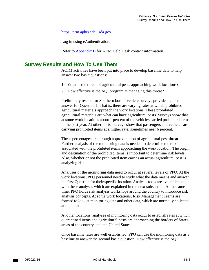<https://arm.aphis.edc.usda.gov>

Log in using eAuthentication.

Refer to [Appendix B](#page-150-0) for ARM Help Desk contact information.

### <span id="page-132-0"></span>**Survey Results and How To Use Them**

AQIM activities have been put into place to develop baseline data to help answer two basic questions:

- 1. What is the threat of agricultural pests approaching work locations?
- 2. How effective is the AQI program at managing this threat?

Preliminary results for Southern border vehicle surveys provide a general answer for Question 1. That is, there are varying rates at which prohibited agricultural materials approach the work locations. These prohibited agricultural materials are what can have agricultural pests. Surveys show that at some work locations about 1 percent of the vehicles carried prohibited items in the past year. At other ports, surveys show that passengers and vehicles are carrying prohibited items at a higher rate, sometimes near 6 percent.

These percentages are a rough approximation of agricultural pest threat. Further analysis of the monitoring data is needed to determine the risk associated with the prohibited items approaching the work location. The origin and destination of the prohibited items is important to determine risk levels. Also, whether or not the prohibited item carries an actual agricultural pest is analyzing risk.

Analyses of the monitoring data need to occur at several levels of PPQ. At the work locations, PPQ personnel need to study what the data means and answer the first Question for their specific location. Analysis tools are available to help with these analyses which are explained in the next subsection. At the same time, PPQ holds risk analysis workshops around the country to introduce risk analysis concepts. At some work locations, Risk Management Teams are formed to look at monitoring data and other data, which are normally collected at the location.

At other locations, analyses of monitoring data occur to establish rates at which quarantined items and agricultural pests are approaching the borders of States, areas of the country, and the United States.

Once baseline rates are well established, PPQ can use the monitoring data as a baseline to answer the second basic question: How effective is the AQI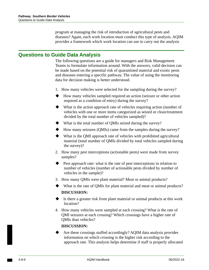program at managing the risk of introduction of agricultural pests and diseases? Again, each work location must conduct this type of analysis. AQIM provides a framework which work location can use to carry out the analysis

### <span id="page-133-0"></span>**Questions to Guide Data Analysis**

The following questions are a guide for managers and Risk Management Teams to formulate information around. With the answers, valid decision can be made based on the potential risk of quarantined material and exotic pests and diseases entering a specific pathway. The value of using the monitoring data for decision making is better understood.

- 1. How many vehicles were selected for the sampling during the survey?
- How many vehicles sampled required an action (seizure or other action required as a condition of entry) during the survey?
- What is the action approach rate of vehicles requiring action (number of vehicles with one or more items categorized as seized or clean/treatment divided by the total number of vehicles sampled)?
- What is the total number of QMIs seized during the survey?
- $\blacklozenge$  How many seizures (OMIs) came from the samples during the survey?
- What is the QMI approach rate of vehicles with prohibited agricultural material (total number of QMIs divided by total vehicles sampled during the survey)?
- 2. How many pest interceptions (actionable pests) were made from survey samples?
- Pest approach rate: what is the rate of pest interceptions in relation to number of vehicles (number of actionable pests divided by number of vehicles in the sample)?
- 3. How many QMIs were plant material? Meat or animal products?
- What is the rate of QMIs for plant material and meat or animal products? **DISCUSSION:**
- Is there a greater risk from plant material or animal products at this work location?
- 4. How many vehicles were sampled at each crossing? What is the rate of QMI seizures at each crossing? Which crossings have a higher rate of QMIs than vehicles?

### **DISCUSSION:**

Are these crossings staffed accordingly? AQIM data analysis provides information on which crossing is the higher risk according to the approach rate. This analysis helps determine if staff is properly allocated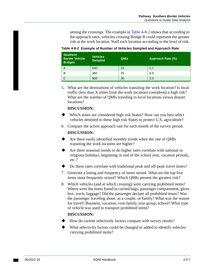among the crossings. The example in [Table 4-8-2](#page-134-0) shows that according to the approach rates, vehicles crossing Bridge B could represent the greater risk at the work location. Staff each location according to the level of risk.

**Southern Border Vehicle Bridges Vehicles Sampled COMIS Approach Rate (%)** A 340 15 2.7 B 360 25 6.9 C 900 30 3.3

<span id="page-134-0"></span>**Table 4-8-2 Example of Number of Vehicles Sampled and Approach Rate** 

5. What are the destinations of vehicles transiting the work location? Is local traffic (less than X miles from the work location) considered a high risk? What are the number of QMIs traveling to local locations versus distant locations?

### **DISCUSSION:**

- Which states are considered high risk States? How can you best select vehicles destined to these high risk States to protect U.S. agriculture?
- 6. Compare the action approach rate for each month of the survey period.

#### **DISCUSSION:**

- Are there easily identified monthly trends when the rate of QMIs transiting the work location are higher?
- Are there seasonal trends or do higher rates correlate with national or religious holidays, beginning or end of the school year, vacation periods, etc.?
- Do these rates correlate with traditional peak and off-peak travel times?
- 7. Generate a listing and frequency of items seized. What are the top five items most frequently seized? Which QMIs present the greatest risk?
- 8. Which vehicles (and at which crossing) were carrying prohibited items? Where were the items found in carried bags, passenger compartment, glove box, truck, luggage? Did the passenger declare all prohibited items? Was the passenger traveling alone, as a couple, or family? What was the reason for travel? Business, vacation, visit family, tour group, school? What type of vehicle was used to transport prohibited items?

### **DISCUSSION:**

- How do current selectively factors compare with survey results?
- What selectivity factors could be changed or added to identify vehicles carrying prohibited items?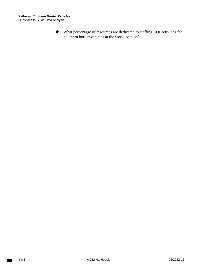What percentage of resources are dedicated to staffing AQI activities for southern border vehicles at the work location?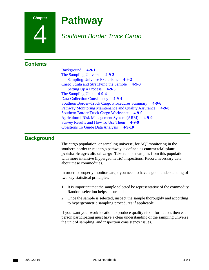

4

# **Pathway**

## *Southern Border Truck Cargo*

## **Contents**

[Background](#page-136-0) **4-9-1**  [The Sampling Universe](#page-137-0) **4-9-2**  [Sampling Universe Exclusions](#page-137-1) **4-9-2**  [Cargo Strata and Stratifying the Sample](#page-138-0) **4-9-3**  [Setting Up a Process](#page-138-1) **4-9-3**  [The Sampling Unit](#page-139-0) **4-9-4**  [Data Collection Consistency](#page-139-1) **4-9-4**  [Southern Border–Truck Cargo Procedures Summary](#page-141-0) **4-9-6**  [Pathway Monitoring Maintenance and Quality Assurance](#page-143-0) **4-9-8**  [Southern Border Truck Cargo Worksheet](#page-144-0) **4-9-9**  [Agricultural Risk Management System \(ARM\)](#page-144-1) **4-9-9**  [Survey Results and How To Use Them](#page-144-2) **4-9-9**  [Questions To Guide Data Analysis](#page-145-0) **4-9-10** 

## <span id="page-136-0"></span>**Background**

The cargo population, or sampling universe, for AQI monitoring in the southern border truck cargo pathway is defined as **commercial plant perishable agricultural cargo**. Take random samples from this population with more intensive (hypergeometric) inspections. Record necessary data about these commodities.

In order to properly monitor cargo, you need to have a good understanding of two key statistical principles:

- 1. It is important that the sample selected be representative of the commodity. Random selection helps ensure this.
- 2. Once the sample is selected, inspect the sample thoroughly and according to hypergeometric sampling procedures if applicable

If you want your work location to produce quality risk information, then each person participating must have a clear understanding of the sampling universe, the unit of sampling, and inspection consistency issues.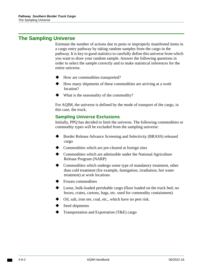## <span id="page-137-0"></span>**The Sampling Universe**

Estimate the number of actions due to pests or improperly manifested items in a cargo entry pathway by taking random samples from the cargo in the pathway. It is key to good statistics to carefully define this universe from which you want to draw your random sample. Answer the following questions in order to select the sample correctly and to make statistical inferences for the entire universe.

- How are commodities transported?
- How many shipments of these commodities are arriving at a work location?
- What is the seasonality of the commodity?

For AQIM, the universe is defined by the mode of transport of the cargo, in this case, the truck.

### <span id="page-137-1"></span>**Sampling Universe Exclusions**

Initially, PPQ has decided to limit the universe. The following commodities or commodity types will be excluded from the sampling universe:

- Border Release Advance Screening and Selectivity (BRASS) released cargo
- Commodities which are pre-cleared at foreign sites
- Commodities which are admissible under the National Agriculture Release Program (NARP)
- Commodities which undergo some type of mandatory treatment, other than cold treatment (for example, fumigation, irradiation, hot water treatment) at work locations
- Frozen commodities
- Loose, bulk-loaded perishable cargo (floor loaded on the truck bed; no boxes, crates, cartons, bags, etc. used for commodity containment)
- Oil, salt, iron ore, coal, etc., which have no pest risk.
- Seed shipments
- Transportation and Exportation (T&E) cargo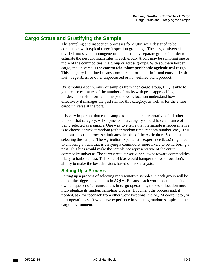## <span id="page-138-0"></span>**Cargo Strata and Stratifying the Sample**

The sampling and inspection processes for AQIM were designed to be compatible with typical cargo inspection groupings. The cargo universe is divided into several homogeneous and distinctly separate groups in order to estimate the pest approach rates in each group. A port may be sampling one or more of the commodities in a group or across groups. With southern border cargo, the universe is the **commercial plant perishable agricultural cargo**. This category is defined as any commercial formal or informal entry of fresh fruit, vegetables, or other unprocessed or non-refined plant product.

By sampling a set number of samples from each cargo group, PPQ is able to get precise estimates of the number of trucks with pests approaching the border. This risk information helps the work location understand how effectively it manages the pest risk for this category, as well as for the entire cargo universe at the port.

It is very important that each sample selected be representative of all other units of that category. All shipments of a category should have a chance of being selected as a sample. One way to ensure that the sample is representative is to choose a truck at random (either random time, random number, etc.). This random selection process eliminates the bias of the Agriculture Specialist selecting the sample. The Agriculture Specialist's experience (bias) might lead to choosing a truck that is carrying a commodity more likely to be harboring a pest. This bias would make the sample not representative of the entire commodity universe. The survey results would be skewed toward commodities likely to harbor a pest. This kind of bias would hamper the work location's ability to make the best decisions based on risk analysis.

### <span id="page-138-1"></span>**Setting Up a Process**

Setting up a process of selecting representative samples in each group will be one of the biggest challenges in AQIM. Because each work location has its own unique set of circumstances in cargo operations, the work location must individualize its random sampling process. Document the process and, if needed, ask for feedback from other work locations, the AQIM coordinator, or port operations staff who have experience in selecting random samples in the cargo environment.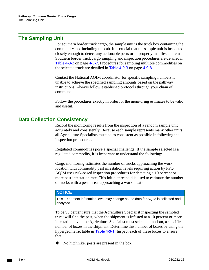## <span id="page-139-0"></span>**The Sampling Unit**

For southern border truck cargo, the sample unit is the truck box containing the commodity, not including the cab. It is crucial that the sample unit is inspected closely enough to detect any actionable pests or improperly manifested items. Southern border truck cargo sampling and inspection procedures are detailed in [Table 4-9-2 on page 4-9-7](#page-142-0). Procedures for sampling multiple commodities on the selected truck are detailed in [Table 4-9-3 on page 4-9-8.](#page-143-1)

Contact the National AQIM coordinator for specific sampling numbers if unable to achieve the specified sampling amounts based on the pathway instructions. Always follow established protocols through your chain of command.

Follow the procedures exactly in order for the monitoring estimates to be valid and useful.

### <span id="page-139-1"></span>**Data Collection Consistency**

Record the monitoring results from the inspection of a random sample unit accurately and consistently. Because each sample represents many other units, all Agriculture Specialists must be as consistent as possible in following the inspection procedures.

Regulated commodities pose a special challenge. If the sample selected is a regulated commodity, it is important to understand the following:

Cargo monitoring estimates the number of trucks approaching the work location with commodity pest infestation levels requiring action by PPQ. AQIM uses risk-based inspection procedures for detecting a 10 percent or more pest infestation rate. This initial threshold is used to estimate the number of trucks with a pest threat approaching a work location.

### **NOTICE**

This 10 percent infestation level may change as the data for AQIM is collected and analyzed.

To be 95 percent sure that the Agriculture Specialist inspecting the sampled truck will find the pest, when the shipment is infested at a 10 percent or more infestation level, the Agriculture Specialist must select, at random, a specific number of boxes in the shipment. Determine this number of boxes by using the hypergeometric table in **[Table 4-9-1](#page-141-1)**. Inspect each of these boxes to ensure that:

 $\blacklozenge$  No hitchhiker pests are present in the box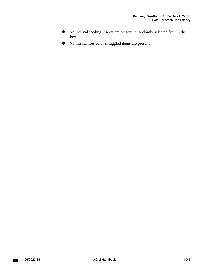- No internal feeding insects are present in randomly selected fruit in the box
- $\blacklozenge$  No mismanifested or smuggled items are present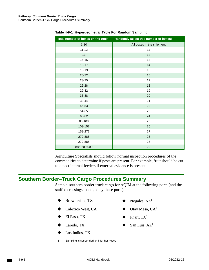| Total number of boxes on the truck: | Randomly select this number of boxes: |
|-------------------------------------|---------------------------------------|
| $1 - 10$                            | All boxes in the shipment             |
| $11 - 12$                           | 11                                    |
| 13                                  | 12                                    |
| $14 - 15$                           | 13                                    |
| $16 - 17$                           | 14                                    |
| 18-19                               | 15                                    |
| 20-22                               | 16                                    |
| 23-25                               | 17                                    |
| 26-28                               | 18                                    |
| 29-32                               | 19                                    |
| 33-38                               | 20                                    |
| 39-44                               | 21                                    |
| 45-53                               | 22                                    |
| 54-65                               | 23                                    |
| 66-82                               | 24                                    |
| 83-108                              | 25                                    |
| 109-157                             | 26                                    |
| 158-271                             | 27                                    |
| 272-885                             | 28                                    |
| 272-885                             | 28                                    |
| 886-200,000                         | 29                                    |

<span id="page-141-1"></span>**Table 4-9-1 Hypergeometric Table For Random Sampling** 

Agriculture Specialists should follow normal inspection procedures of the commodities to determine if pests are present. For example, fruit should be cut to detect internal feeders if external evidence is present.

## <span id="page-141-0"></span>**Southern Border–Truck Cargo Procedures Summary**

Sample southern border truck cargo for AQIM at the following ports (and the staffed crossings managed by these ports):

- Brownsville, TX  $\bullet$  Nogales,  $AZ^1$
- Calexico West,  $CA<sup>1</sup>$   $\qquad \qquad \blacklozenge$  Otay Mesa,  $CA<sup>1</sup>$
- El Paso, TX  $\blacklozenge$  Pharr, TX<sup>1</sup>
- 
- Los Indios, TX
- 1 Sampling is suspended until further notice
- 
- 
- 
- Laredo,  $TX^1$  San Luis,  $AZ^1$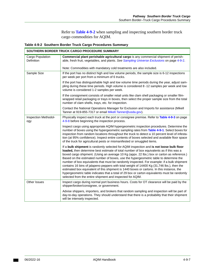Refer to **[Table 4-9-2](#page-142-0)** when sampling and inspecting southern border truck cargo commodities for AQIM.

| SOUTHERN BORDER TRUCK CARGO PROCEDURE SUMMARY |                                                                                                                                                                                                                                                                                                                                                                                                                                                                                                                                                                                                                                                                                                                                                                                                                                  |  |
|-----------------------------------------------|----------------------------------------------------------------------------------------------------------------------------------------------------------------------------------------------------------------------------------------------------------------------------------------------------------------------------------------------------------------------------------------------------------------------------------------------------------------------------------------------------------------------------------------------------------------------------------------------------------------------------------------------------------------------------------------------------------------------------------------------------------------------------------------------------------------------------------|--|
| Cargo Population<br><b>Definition</b>         | Commercial plant perishable agricultural cargo is any commercial shipment of perish-<br>able, fresh fruit, vegetables, and plants. See Sampling Universe Exclusions on page 4-9-2.                                                                                                                                                                                                                                                                                                                                                                                                                                                                                                                                                                                                                                               |  |
|                                               | Note: Commodities with mandatory cold treatments are also included.                                                                                                                                                                                                                                                                                                                                                                                                                                                                                                                                                                                                                                                                                                                                                              |  |
| Sample Size                                   | If the port has no distinct high and low volume periods, the sample size is 6-12 inspections<br>per week per port from a minimum of 6 trucks.                                                                                                                                                                                                                                                                                                                                                                                                                                                                                                                                                                                                                                                                                    |  |
|                                               | If the port has distinguishable high and low volume time periods during the year, adjust sam-<br>pling during these time periods. High volume is considered 8 -12 samples per week and low<br>volume is considered 1-2 samples per week.                                                                                                                                                                                                                                                                                                                                                                                                                                                                                                                                                                                         |  |
|                                               | If the consignment consists of smaller retail units like clam shell packaging or smaller film-<br>wrapped retail packaging or trays in boxes, then select the proper sample size from the total<br>number of clam shells, trays, etc. for inspection.                                                                                                                                                                                                                                                                                                                                                                                                                                                                                                                                                                            |  |
|                                               | Contact the National Operations Manager for Exclusion and Imports for assistance (Mikell<br>Tanner at 919-855-7317 or email Mikell. Tanner@usda.gov).                                                                                                                                                                                                                                                                                                                                                                                                                                                                                                                                                                                                                                                                            |  |
| Inspection Methodol-<br>ogy                   | Physically inspect each truck at the port or consignee premise. Refer to Table 4-9-3 on page<br>4-9-8 before beginning the inspection process.                                                                                                                                                                                                                                                                                                                                                                                                                                                                                                                                                                                                                                                                                   |  |
|                                               | Inspect cargo using appropriate AQIM hypergeometric inspection procedures. Determine the<br>number of boxes using the hypergeometric sampling rates from Table 4-9-1. Select boxes for<br>inspection from random locations throughout the truck to detect a 10 percent level of infesta-<br>tion (at 95% confidence). Inspect entire contents of boxes selected and available floor space<br>of the truck for agricultural pests or mismanifested or smuggled items.                                                                                                                                                                                                                                                                                                                                                             |  |
|                                               | If a bulk shipment is randomly selected for AQIM inspection and is not loose bulk floor<br>loaded, then determine best estimate of total number of box equivalents as if this was a<br>boxed cargo shipment. (Using an average 10 Kg (appx. 22 lbs.) box or carton as reference.)<br>Based on the estimated number of boxes, use the hypergeometric table to determine the<br>number of box equivalents that must be randomly inspected. For example: if a bulk shipment<br>contains 16 bins of jalapeno peppers with total weight of 14400 Kg (31,746 lbs.), then the<br>estimated box equivalent of this shipment is 1440 boxes or cartons. In this instance, the<br>hypergeometric table indicates that a total of 29 box or carton equivalents must be randomly<br>selected from the entire shipment and inspected for AQIM. |  |
| Other Issues                                  | Inspect cargo during normal port business hours. Costs for OT clearance will be paid by the<br>shipper/broker/consignee, or government.                                                                                                                                                                                                                                                                                                                                                                                                                                                                                                                                                                                                                                                                                          |  |
|                                               | Advise shippers, importers, and brokers that random sampling and inspection will be part of<br>day-to-day operations. They should understand that there is a probability that their shipment<br>will be intensely inspected.                                                                                                                                                                                                                                                                                                                                                                                                                                                                                                                                                                                                     |  |

### <span id="page-142-0"></span>**Table 4-9-2 Southern Border Truck Cargo Procedures Summary**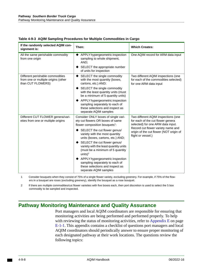| If the randomly selected AQIM con-<br>signment is:                                           | Then:                                                                                                                         | <b>Which Creates:</b>                                                                                                                                                                                                |
|----------------------------------------------------------------------------------------------|-------------------------------------------------------------------------------------------------------------------------------|----------------------------------------------------------------------------------------------------------------------------------------------------------------------------------------------------------------------|
| All the same perishable commodity<br>from one origin                                         | APPLY hypergeometric inspection<br>sampling to whole shipment,<br>AND;                                                        | One AQIM record for ARM data input                                                                                                                                                                                   |
|                                                                                              | SELECT the appropriate number<br>of units for inspection                                                                      |                                                                                                                                                                                                                      |
| Different perishable commodities<br>from one or multiple origins (other<br>than CUT FLOWERS) | SELECT the single commodity<br>with the most quantity (boxes,<br>cartons, etc.) AND;                                          | Two different AQIM inspections (one<br>for each of the commodities selected)<br>for one ARM data input                                                                                                               |
|                                                                                              | SELECT the single commodity<br>with the least quantity units (must<br>be a minimum of 5 quantity units)                       |                                                                                                                                                                                                                      |
|                                                                                              | APPLY hypergeometric inspection<br>sampling separately to each of<br>these selections and inspect as<br>separate AQIM samples |                                                                                                                                                                                                                      |
| Different CUT FLOWER genera/vari-<br>eties from one or multiple origins                      | Consider ONLY boxes of single vari-<br>ety cut flowers OR boxes of same<br>flower composition bouquets <sup>1</sup> :         | Two different AQIM inspections (one<br>for each of the cut flower genera<br>selected) for one ARM data input.<br>Record cut flower variety name and<br>origin of the cut flower (NOT origin of<br>flight or vessel.) |
|                                                                                              | SELECT the cut flower genus/<br>variety with the most quantity<br>units (boxes, cartons, etc.) AND;                           |                                                                                                                                                                                                                      |
|                                                                                              | SELECT the cut flower genus/<br>variety with the least quantity units<br>(must be a minimum of 5 quantity<br>units $)^2$      |                                                                                                                                                                                                                      |
|                                                                                              | APPLY hypergeometric inspection<br>sampling separately to each of<br>these selections and inspect as<br>separate AQIM samples |                                                                                                                                                                                                                      |

#### <span id="page-143-1"></span>**Table 4-9-3 AQIM Sampling Procedures for Multiple Commodities in Cargo**

1 Consider bouquets when they consist of 75% of a single flower variety, excluding greenery. For example, if 75% of the flowers in a bouquet are roses (excluding greenery), identify the bouquet as a rose bouquet.

2 If there are multiple commodities/cut flower varieties with five boxes each, then port discretion is used to select the 5 box commodity to be sampled and inspected.

### <span id="page-143-0"></span>**Pathway Monitoring Maintenance and Quality Assurance**

Port managers and local AQIM coordinators are responsible for ensuring that monitoring activities are being performed and performed properly. To help with reviewing the status of monitoring activities, refer to Appendix  $E$  on page [E-1-1](#page-170-0). This appendix contains a checklist of questions port managers and local AQIM coordinators should periodically answer to ensure proper monitoring of each designated pathway at their work locations. The questions review the following topics: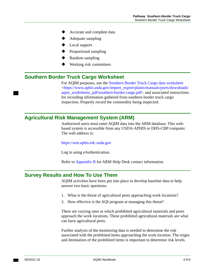- Accurate and complete data
- Adequate sampling
- Local support
- Proportional sampling
- Random sampling
- <span id="page-144-0"></span>Working risk committees

## **Southern Border Truck Cargo Worksheet**

For AQIM purposes, use the [Southern Border Truck Cargo data worksheet](http://www.aphis.usda.gov/import_export/plants/manuals/ports/downloads/aqim_worksheets_pdf/southern-border-cargo.pdf) <[https://www.aphis.usda.gov/import\\_export/plants/manuals/ports/downloads/](https://www.aphis.usda.gov/import_export/plants/manuals/ports/downloads/aqim_worksheets_pdf/southern-border-cargo.pdf)  [aqim\\_worksheets\\_pdf/southern-border-cargo.pdf](https://www.aphis.usda.gov/import_export/plants/manuals/ports/downloads/aqim_worksheets_pdf/southern-border-cargo.pdf)> and associated instructions for recording information gathered from southern border truck cargo inspection. Properly record the commodity being inspected.

## **Agricultural Risk Management System (ARM)**

Authorized users must enter AQIM data into the ARM database. This webbased system is accessible from any USDA-APHIS or DHS-CBP computer. The web address is:

<https://arm.aphis.edc.usda.gov>

Log in using eAuthentication.

Refer to [Appendix B](#page-150-0) for ARM Help Desk contact information.

## **Survey Results and How To Use Them**

AQIM activities have been put into place to develop baseline data to help answer two basic questions:

- 1. What is the threat of agricultural pests approaching work locations?
- 2. How effective is the AQI program at managing this threat?

There are varying rates at which prohibited agricultural materials and pests approach the work locations. These prohibited agricultural materials are what can have agricultural pests.

Further analysis of the monitoring data is needed to determine the risk associated with the prohibited items approaching the work location. The origin and destination of the prohibited items is important to determine risk levels.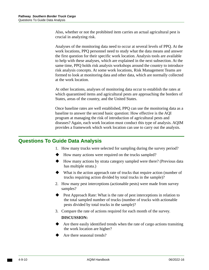Also, whether or not the prohibited item carries an actual agricultural pest is crucial in analyzing risk.

Analyses of the monitoring data need to occur at several levels of PPQ. At the work locations, PPQ personnel need to study what the data means and answer the first question for their specific work location. Analysis tools are available to help with these analyses, which are explained in the next subsection. At the same time, PPQ holds risk analysis workshops around the country to introduce risk analysis concepts. At some work locations, Risk Management Teams are formed to look at monitoring data and other data, which are normally collected at the work location.

At other locations, analyses of monitoring data occur to establish the rates at which quarantined items and agricultural pests are approaching the borders of States, areas of the country, and the United States.

Once baseline rates are well established, PPQ can use the monitoring data as a baseline to answer the second basic question: How effective is the AQI program at managing the risk of introduction of agricultural pests and diseases? Again, each work location must conduct this type of analysis. AQIM provides a framework which work location can use to carry out the analysis.

## **Questions To Guide Data Analysis**

- <span id="page-145-0"></span>1. How many trucks were selected for sampling during the survey period?
- $\blacklozenge$  How many actions were required on the trucks sampled?
- ◆ How many actions by strata category sampled were there? (Previous data has multiple strata.)
- What is the action approach rate of trucks that require action (number of trucks requiring action divided by total trucks in the sample)?
- 2. How many pest interceptions (actionable pests) were made from survey samples?
- ◆ Pest Approach Rate: What is the rate of pest interceptions in relation to the total sampled number of trucks (number of trucks with actionable pests divided by total trucks in the sample)?
- 3. Compare the rate of actions required for each month of the survey.

#### **DISCUSSION:**

- Are there easily identified trends when the rate of cargo actions transiting the work location are higher?
- Are there seasonal trends?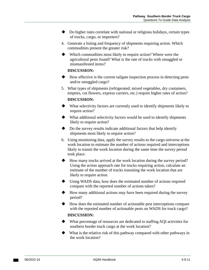- Do higher rates correlate with national or religious holidays, certain types of trucks, cargo, or importers?
- 4. Generate a listing and frequency of shipments requiring action. Which commodities present the greater risk?
- Which commodities most likely to require action? Where were the agricultural pests found? What is the rate of trucks with smuggled or mismanifested items?

#### **DISCUSSION:**

- How effective is the current tailgate inspection process in detecting pests and/or smuggled cargo?
- 5. What types of shipments (refrigerated, mixed vegetables, dry containers, empties, cut flowers, express carriers, etc.) require higher rates of action?

#### **DISCUSSION:**

- What selectivity factors are currently used to identify shipments likely to require action?
- What additional selectivity factors would be used to identify shipments likely to require action?
- Do the survey results indicate additional factors that help identify shipments most likely to require action?
- 6. Using monitoring data, apply the survey results to the cargo universe at the work location to estimate the number of actions required and interceptions likely to transit the work location during the same time the survey period took place.
- How many trucks arrived at the work location during the survey period? Using the action approach rate for trucks requiring action, calculate an estimate of the number of trucks transiting the work location that are likely to require action.
- Using WADS data, how does the estimated number of actions required compare with the reported number of actions taken?
- How many additional actions may have been required during the survey period?
- How does the estimated number of actionable pest interceptions compare with the reported number of actionable pests on WADS for truck cargo?

#### **DISCUSSION:**

- What percentage of resources are dedicated to staffing AQI activities for southern border truck cargo at the work location?
- What is the relative risk of this pathway compared with other pathways in the work location?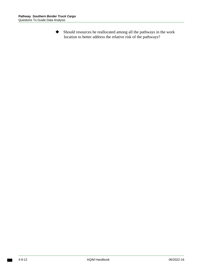Should resources be reallocated among all the pathways in the work location to better address the relative risk of the pathways?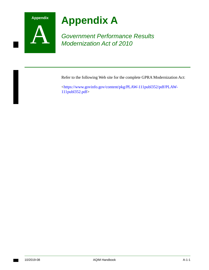

# A **Appendix A**

*Government Performance Results Modernization Act of 2010* 

Refer to the following Web site for the complete GPRA Modernization Act:

<[https://www.govinfo.gov/content/pkg/PLAW-111publ352/pdf/PLAW-](https://www.govinfo.gov/content/pkg/PLAW-111publ352/pdf/PLAW-111publ352.pdf)[111publ352.pdf](https://www.govinfo.gov/content/pkg/PLAW-111publ352/pdf/PLAW-111publ352.pdf)>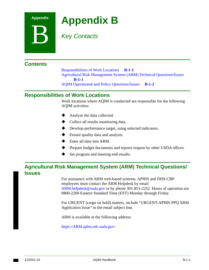# <span id="page-150-0"></span>B **Appendix B**

*Key Contacts* 

# **Contents**

**Appendix** 

[Responsibilities of Work Locations](#page-150-1) **B-1-1**  [Agricultural Risk Management System \(ARM\) Technical Questions/Issues](#page-150-2)  **[B-1-1](#page-150-2)**  [AQIM Operational and Policy Questions/Issues](#page-151-0) **B-1-2** 

## <span id="page-150-1"></span>**Responsibilities of Work Locations**

Work locations where AQIM is conducted are responsible for the following AQIM activities:

- ◆ Analyze the data collected.
- ◆ Collect all results monitoring data.
- Develop performance target, using selected indicators.
- Ensure quality data and analysis.
- Enter all data into ARM.
- **Prepare budget documents and reports request by other USDA offices.**
- Set program and meeting end-results.

# <span id="page-150-2"></span>**Agricultural Risk Management System (ARM) Technical Questions/ Issues**

For assistance with ARM web-based systems, APHIS and DHS-CBP employees must contact the ARM Helpdesk by email [ARM-helpdesk@usda.gov o](mailto:ARM-helpdesk@usda.gov)r by phone 301-851-2252. Hours of operation are 0800-2200 Eastern Standard Time (EST) Monday through Friday.

For URGENT (cargo on hold) matters, include "URGENT-APHIS PPQ ARM Application Issue" in the email subject line.

ARM is available at the following address:

<https://ARM.aphis.edc.usda.gov/>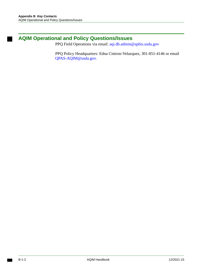# <span id="page-151-0"></span>**AQIM Operational and Policy Questions/Issues**

PPQ Field Operations via email: [aqi.db.admin@aphis.usda.gov](mailto:aqi.db.admin@aphis.usda.gov) 

PPQ Policy Headquarters: Edna Cintron-Velazquez, 301-851-4146 or email [QPAS-AQIM@usda.gov.](mailto:qpas-aqim@usda.gov)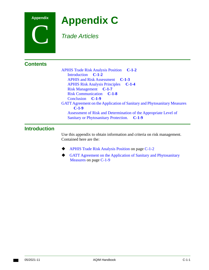# C **Appendix C**

*Trade Articles* 

| <b>Contents</b> |                                                                                 |  |  |  |  |
|-----------------|---------------------------------------------------------------------------------|--|--|--|--|
|                 | <b>APHIS Trade Risk Analysis Position C-1-2</b>                                 |  |  |  |  |
|                 | Introduction C-1-2                                                              |  |  |  |  |
|                 | <b>APHIS</b> and Risk Assessment <b>C-1-3</b>                                   |  |  |  |  |
|                 | <b>APHIS Risk Analysis Principles C-1-4</b>                                     |  |  |  |  |
|                 | <b>Risk Management C-1-7</b>                                                    |  |  |  |  |
|                 | <b>Risk Communication C-1-8</b>                                                 |  |  |  |  |
|                 | Conclusion C-1-9                                                                |  |  |  |  |
|                 | <b>GATT Agreement on the Application of Sanitary and Phytosanitary Measures</b> |  |  |  |  |
|                 | $C-1-9$                                                                         |  |  |  |  |
|                 | Assessment of Risk and Determination of the Appropriate Level of                |  |  |  |  |
|                 | Sanitary or Phytosanitary Protection. C-1-9                                     |  |  |  |  |
|                 |                                                                                 |  |  |  |  |

# **Introduction**

**Appendix** 

Use this appendix to obtain information and criteria on risk management. Contained here are the:

- ◆ [APHIS Trade Risk Analysis Position on page C-1-2](#page-153-0)
- [GATT Agreement on the Application of Sanitary and Phytosanitary](#page-160-1)  Measures on page C-1-9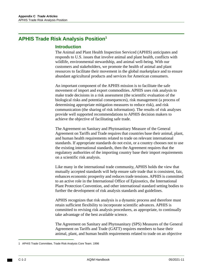# <span id="page-153-0"></span>**APHIS Trade Risk Analysis Position1**

## <span id="page-153-1"></span>**Introduction**

The Animal and Plant Health Inspection Serviced (APHIS) anticipates and responds to U.S. issues that involve animal and plant health, conflicts with wildlife, environmental stewardship, and animal well-being. With our customers and stakeholders, we promote the health of animal and plant resources to facilitate their movement in the global marketplace and to ensure abundant agricultural products and services for American consumers.

An important component of the APHIS mission is to facilitate the safe movement of import and export commodities. APHIS uses risk analysis to make trade decisions in a risk assessment (the scientific evaluation of the biological risks and potential consequences), risk management (a process of determining appropriate mitigation measures to reduce risk), and risk communication (the sharing of risk information). The results of risk analyses provide well supported recommendations to APHIS decision makers to achieve the objective of facilitating safe trade.

The Agreement on Sanitary and Phytosanitary Measure of the General Agreement on Tariffs and Trade requires that countries base their animal, plant, and human health requirements related to trade on relevant international standards. If appropriate standards do not exist, or a country chooses not to use the existing international standards, then the Agreement requires that the regulatory authorities of the importing country base their import requirements on a scientific risk analysis.

Like many in the international trade community, APHIS holds the view that mutually accepted standards will help ensure safe trade that is consistent, fair, enhances economic prosperity and reduces trade tensions. APHIS is committed to an active role in the International Office of Epizootics, the International Plant Protection Convention, and other international standard setting bodies to further the development of risk analysis standards and guidelines.

APHIS recognizes that risk analysis is a dynamic process and therefore must retain sufficient flexibility to incorporate scientific advances. APHIS is committed to revising risk analysis procedures, as appropriate, to continually take advantage of the best available science.

The Agreement on Sanitary and Phytosanitary (SPS) Measures of the General Agreement on Tariffs and Trade (GATT) requires members to base their animal, plant, and human health requirements related to trade on an objective

<sup>1</sup> APHIS Trade Committee, Trade Risk Analysis Core Team. 1996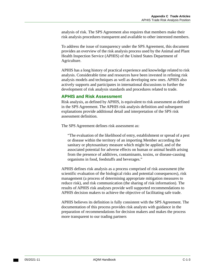analysis of risk. The SPS Agreement also requires that members make their risk analysis procedures transparent and available to other interested members.

To address the issue of transparency under the SPS Agreement, this document provides an overview of the risk analysis process used by the Animal and Plant Health Inspection Service (APHIS) of the United States Department of Agriculture.

APHIS has a long history of practical experience and knowledge related to risk analysis. Considerable time and resources have been invested in refining risk analysis models and techniques as well as developing new ones. APHIS also actively supports and participates in international discussions to further the development of risk analysis standards and procedures related to trade.

### <span id="page-154-0"></span>**APHIS and Risk Assessment**

Risk analysis, as defined by APHIS, is equivalent to risk assessment as defined in the SPS Agreement. The APHIS risk analysis definition and subsequent explanations provide additional detail and interpretation of the SPS risk assessment definition.

The SPS Agreement defines risk assessment as:

"The evaluation of the likelihood of entry, establishment or spread of a pest or disease within the territory of an importing Member according the sanitary or phytosanitary measure which might be applied, and of the associated potential for adverse effects on human or animal health arising from the presence of additives, contaminants, toxins, or disease-causing organisms in food, feedstuffs and beverages."

APHIS defines risk analysis as a process comprised of risk assessment (the scientific evaluation of the biological risks and potential consequences), risk management (a process of determining appropriate mitigation measures to reduce risk), and risk communication (the sharing of risk information). The results of APHIS risk analyses provide well supported recommendations to APHIS decision makers to achieve the objective of facilitating safe trade.

APHIS believes its definition is fully consistent with the SPS Agreement. The documentation of this process provides risk analysts with guidance in the preparation of recommendations for decision makers and makes the process more transparent to our trading partners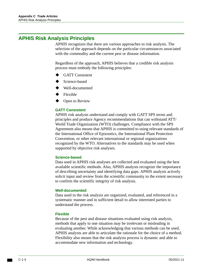# <span id="page-155-0"></span>**APHIS Risk Analysis Principles**

APHIS recognizes that there are various approaches to risk analysis. The selection of the approach depends on the particular circumstances associated with the commodity and the current pest or disease information.

Regardless of the approach, APHIS believes that a credible risk analysis process must embody the following principles:

- GATT Consistent
- Science-based
- Well-documented
- Flexible
- Open to Review

#### **GATT Consistent**

APHIS risk analysts understand and comply with GATT SPS terms and principles and produce Agency recommendations that can withstand ATT/ World Trade Organization (WTO) challenges. Compliance with the SPS Agreement also means that APHIS is committed to using relevant standards of the International Office of Epizootics, the International Plant Protection Convention, or other relevant international or regional organizations recognized by the WTO. Alternatives to the standards may be used when supported by objective risk analyses.

#### **Science-based**

Data used in APHIS risk analyses are collected and evaluated using the best available scientific methods. Also, APHIS analysts recognize the importance of describing uncertainty and identifying data gaps. APHIS analysts actively solicit input and review from the scientific community to the extent necessary to confirm the scientific integrity of risk analysis.

#### **Well-documented**

Data used in the risk analysis are organized, evaluated, and referenced in a systematic manner and in sufficient detail to allow interested parties to understand the process.

#### **Flexible**

Because of the pest and disease situations evaluated using risk analysis, methods that apply to one situation may be irrelevant or misleading in evaluating another. While acknowledging that various methods can be used, APHIS analysts are able to articulate the rationale for the choice of a method. Flexibility also means that the risk analysis process is dynamic and able to accommodate new information and technology.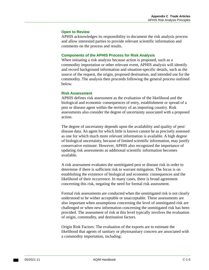#### **Open to Review**

APHIS acknowledges its responsibility to document the risk analysis process and allow interested parties to provide relevant scientific information and comments on the process and results.

#### **Components of the APHIS Process for Risk Analysis**

When initiating a risk analysis because action is proposed, such as a commodity importation or other relevant event, APHIS analysis will identify and record background information and situation-specific details, such as the source of the request, the origin, proposed destination, and intended use for the commodity. The analysis then proceeds following the general process outlined below.

#### **Risk Assessment**

APHIS defines risk assessment as the evaluation of the likelihood and the biological and economic consequences of entry, establishment or spread of a pest or disease agent within the territory of an importing country. Risk assessments also consider the degree of uncertainty associated with a proposed action.

The degree of uncertainty depends upon the availability and quality of pest/ disease data. An agent for which little is known cannot be as precisely assessed as one for which much more relevant information is available. A high degree of biological uncertainty, because of limited scientific information, may justify conservative estimate. However, APHIS also recognized the importance of updating risk assessments as additional scientific information becomes available.

A risk assessment evaluates the unmitigated pest or disease risk in order to determine if there is sufficient risk to warrant mitigation. The focus is on establishing the existence of biological and economic consequences and the likelihood of their occurrence. In many cases, there is broad agreement concerning this risk, negating the need for formal risk assessment.

Formal risk assessments are conducted when the unmitigated risk is not clearly understood to be wither acceptable or unacceptable. These assessments are also important when assumptions concerning the level of unmitigated risk are challenged or when new information concerning the unmitigated risk has been provided. The assessment of risk at this level typically involves the evaluation of origin, commodity, and destination factors.

Origin Risk Factors: The evaluation of the exports are to estimate the likelihood that agents of sanitary or phytosanitary concern are associated with a commodity importation, including: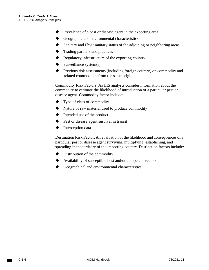- Prevalence of a pest or disease agent in the exporting area
- Geographic and environmental characteristics
- Sanitary and Phytosanitary status of the adjoining or neighboring areas
- Trading partners and practices
- Regulatory infrastructure of the exporting country
- Surveillance system(s)
- Previous risk assessments (including foreign country) on commodity and related commodities from the same origin.

Commodity Risk Factors: APHIS analysts consider information about the commodity to estimate the likelihood of introduction of a particular pest or disease agent. Commodity factor include:

- Type of class of commodity
- $\blacklozenge$  Nature of raw material used to produce commodity
- $\blacklozenge$  Intended use of the product
- Pest or disease agent survival in transit
- Interception data

Destination Risk Factor: An evaluation of the likelihood and consequences of a particular pest or disease agent surviving, multiplying, establishing, and spreading in the territory of the importing country. Destination factors include:

- Distribution of the commodity
- Availability of susceptible host and/or competent vectors
- Geographical and environmental characteristics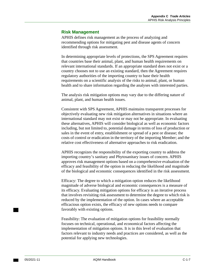## <span id="page-158-0"></span>**Risk Management**

APHIS defines risk management as the process of analyzing and recommending options for mitigating pest and disease agents of concern identified through risk assessment.

In determining appropriate levels of protections, the SPS Agreement requires that countries base their animal, plant, and human health requirements on relevant international standards. If an appropriate standard does not exist or a country chooses not to use an existing standard, then the Agreement requires regulatory authorities of the importing country to base their health requirements on a scientific analysis of the risks to animal, plant, or human health and to share information regarding the analyses with interested parties.

The analysis risk mitigation options may vary due to the differing nature of animal, plant, and human health issues.

Consistent with SPS Agreement, APHIS maintains transparent processes for objectively evaluating new risk mitigation alternatives in situations where an international standard may not exist or may not be appropriate. In evaluating these alternatives, APHIS will consider biological as well as economic factors including, but not limited to, potential damage in terms of loss of production or sales in the event of entry, establishment or spread of a pest or disease; the costs of control or eradication in the territory of the importing Member; and the relative cost effectiveness of alternative approaches to risk eradication.

APHIS recognizes the responsibility of the exporting country to address the importing country's sanitary and Phytosanitary issues of concern. APHIS approves risk management options based on a comprehensive evaluation of the efficacy and feasibility of the option in reducing the likelihood and magnitude of the biological and economic consequences identified in the risk assessment.

Efficacy: The degree to which a mitigation option reduces the likelihood magnitude of adverse biological and economic consequences is a measure of its efficacy. Evaluating mitigation options for efficacy is an iterative process that involves revisiting risk assessment to determine the degree to which risk is reduced by the implementation of the option. In cases where an acceptable efficacious option exists, the efficacy of new options needs to compare favorably with existing options.

Feasibility: The evaluation of mitigation options for feasibility normally focuses on technical, operational, and economical factors affecting the implementation of mitigation options. It is in this level of evaluation that factors relevant to industry needs and practices are considered, as well as the potential for applying new technologies.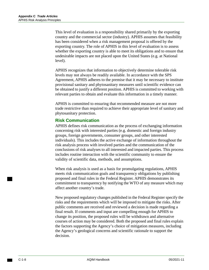This level of evaluation is a responsibility shared primarily by the exporting country and the commercial sector (industry). APHIS assumes that feasibility has been considered when a risk management proposal is offered by the exporting country. The role of APHIS in this level of evaluation is to assess whether the exporting country is able to meet its obligations and to ensure that undesirable impacts are not placed upon the United States (e.g. at National level).

APHIS recognizes that information to objectively determine tolerable risk levels may not always be readily available. In accordance with the SPS Agreement, APHIS adheres to the premise that it may be necessary to institute provisional sanitary and phytosanitary measures until scientific evidence can be obtained to justify a different position. APHIS is committed to working with relevant parties to obtain and evaluate this information in a timely manner.

APHIS is committed to ensuring that recommended measure are not more trade restrictive than required to achieve their appropriate level of sanitary and phytosanitary protection.

## <span id="page-159-0"></span>**Risk Communication**

 conclusions of risk analyses to all interested and impacted parties. This process APHIS defines risk communication as the process of exchanging information concerning risk with interested parties (e.g. domestic and foreign industry groups, foreign governments, consumer groups, and other interested individuals). This includes the active exchange of information throughout the risk analysis process with involved parties and the communication of the includes routine interaction with the scientific community to ensure the validity of scientific data, methods, and assumptions.

When risk analysis is used as a basis for promulgating regulations, APHIS meets risk communication goals and transparency obligations by publishing proposed and final rules in the Federal Register. APHIS demonstrates its commitment to transparency by notifying the WTO of any measure which may affect another country's trade.

New proposed regulatory changes published in the Federal Register specify the risks and the requirements which will be imposed to mitigate the risks. After public comments are received and reviewed a decision is made regarding a final result. If comments and input are compelling enough for APHIS to change its position, the proposed rules will be withdrawn and alternative courses of action may be considered. Both the proposed and final rules explain the factors supporting the Agency's choice of mitigation measures, including the Agency's geological concerns and scientific rationale to support the decision.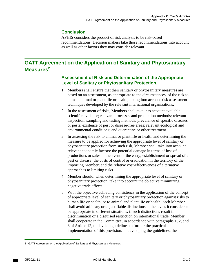## <span id="page-160-0"></span>**Conclusion**

APHIS considers the product of risk analysis to be risk-based recommendations. Decision makers take those recommendations into account as well as other factors they may consider relevant.

# <span id="page-160-1"></span>**GATT Agreement on the Application of Sanitary and Phytosanitary**  Measures<sup>2</sup>

## <span id="page-160-2"></span>**Assessment of Risk and Determination of the Appropriate Level of Sanitary or Phytosanitary Protection.**

- 1. Members shall ensure that their sanitary or phytosanitary measures are based on an assessment, as appropriate to the circumstances, of the risk to human, animal or plant life or health, taking into account risk assessment techniques developed by the relevant international organizations.
- 2. In the assessment of risks, Members shall take into account available scientific evidence; relevant processes and production methods; relevant inspection, sampling and testing methods; prevalence of specific diseases or pests; existence of pest or disease-free areas; relevant ecological and environmental conditions; and quarantine or other treatment.
- 3. In assessing the risk to animal or plant life or health and determining the measure to be applied for achieving the appropriate level of sanitary or phytosanitary protection from such risk, Member shall take into account relevant economic factors: the potential damage in terms of loss of productions or sales in the event of the entry; establishment or spread of a pest or disease; the costs of control or eradication in the territory of the importing Member; and the relative cost-effectiveness of alternative approaches to limiting risks.
- 4. Member should, when determining the appropriate level of sanitary or phytosanitary protection, take into account the objective minimizing negative trade effects.
- 5. With the objective achieving consistency in the application of the concept of appropriate level of sanitary or phytosanitary protection against risks to human life or health, or to animal and plant life or health, each Member shall avoid arbitrary or unjustifiable distinctions in the levels it considers to be appropriate in different situations, if such distinctions result in discrimination or a disguised restriction on international trade. Member shall cooperate in the Committee, in accordance with paragraphs 1, 2, and 3 of Article 12, to develop guidelines to further the practical implementation of this provision. In developing the guidelines, the

<sup>2</sup> GATT Agreement on the Application of Sanitary and Phytosanitary Measures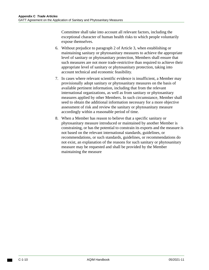Committee shall take into account all relevant factors, including the exceptional character of human health risks to which people voluntarily expose themselves.

- 6. Without prejudice to paragraph 2 of Article 3, when establishing or maintaining sanitary or phytosanitary measures to achieve the appropriate level of sanitary or phytosanitary protection, Members shall ensure that such measures are not more trade-restrictive than required to achieve their appropriate level of sanitary or phytosanitary protection, taking into account technical and economic feasibility.
- 7. In cases where relevant scientific evidence is insufficient, a Member may provisionally adopt sanitary or phytosanitary measures on the basis of available pertinent information, including that from the relevant international organizations, as well as from sanitary or phytosanitary measures applied by other Members. In such circumstance, Member shall seed to obtain the additional information necessary for a more objective assessment of risk and review the sanitary or phytosanitary measure accordingly within a reasonable period of time.
- 8. When a Member has reason to believe that a specific sanitary or phytosanitary measure introduced or maintained by another Member is constraining, or has the potential to constrain its exports and the measure is not based on the relevant international standards, guidelines, or recommendations, or such standards, guidelines, or recommendations do not exist, an explanation of the reasons for such sanitary or phytosanitary measure may be requested and shall be provided by the Member maintaining the measure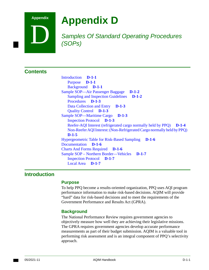# **Appendix**

# **Appendix D**

*Samples Of Standard Operating Procedures (SOPs)* 

## **Contents**

[Introduction](#page-162-0) **D-1-1**  [Purpose](#page-162-1) **D-1-1**  [Background](#page-162-2) **D-1-1**  [Sample SOP—Air Passenger Baggage](#page-163-0) **D-1-2**  [Sampling and Inspection Guidelines](#page-163-1) **D-1-2**  [Procedures](#page-164-3) **D-1-3**  [Data Collection and Entry](#page-164-0) **D-1-3**  [Quality Control](#page-164-1) **D-1-3**  [Sample SOP—Maritime Cargo](#page-164-2) **D-1-3**  [Inspection Protocol](#page-164-4) **D-1-3**  [Reefer-AQI Interest \(refrigerated cargo normally held by PPQ\)](#page-165-0) **D-1-4**  [Non-Reefer AQI Interest: \(Non-Refrigerated Cargo normally held by PPQ\)](#page-166-0)  **[D-1-5](#page-166-0)**  [Hypergeometric Table for Risk-Based Sampling](#page-167-0) **D-1-6**  [Documentation](#page-167-1) **D-1-6**  [Charts And Forms Required](#page-167-2) **D-1-6**  [Sample SOP – Northern Border—Vehicles](#page-168-1) **D-1-7**  [Inspection Protocol](#page-168-0) **D-1-7**  [Local Area](#page-168-2) **D-1-7** 

## <span id="page-162-0"></span>**Introduction**

### <span id="page-162-1"></span>**Purpose**

To help PPQ become a results-oriented organization, PPQ uses AQI program performance information to make risk-based decisions. AQIM will provide "hard" data for risk-based decisions and to meet the requirements of the Government Performance and Results Act (GPRA).

### <span id="page-162-2"></span>**Background**

The National Performance Review requires government agencies to objectively measure how well they are achieving their legislative missions. The GPRA requires government agencies develop accurate performance measurements as part of their budget submission. AQIM is a valuable tool in performing risk assessment and is an integral component of PPQ's selectivity approach.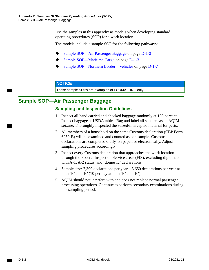Use the samples in this appendix as models when developing standard operating procedures (SOP) for a work location.

The models include a sample SOP for the following pathways:

- [Sample SOP—Air Passenger Baggage on page D-1-2](#page-163-0)
- [Sample SOP—Maritime Cargo on page D-1-3](#page-164-2)
- [Sample SOP Northern Border—Vehicles on page D-1-7](#page-168-1)

### **NOTICE**

These sample SOPs are examples of FORMATTING only.

## <span id="page-163-0"></span>**Sample SOP—Air Passenger Baggage**

## <span id="page-163-1"></span>**Sampling and Inspection Guidelines**

- 1. Inspect all hand carried and checked baggage randomly at 100 percent. Inspect baggage at USDA tables. Bag and label all seizures as an AQIM seizure. Thoroughly inspected the seized/intercepted material for pests.
- 2. All members of a household on the same Customs declaration (CBP Form 6059-B) will be examined and counted as one sample. Customs declarations are completed orally, on paper, or electronically. Adjust sampling procedures accordingly.
- 3. Inspect every Customs declaration that approaches the work location through the Federal Inspection Service areas (FIS), excluding diplomats with A-1, A-2 status, and 'domestic' declarations.
- 4. Sample size: 7,300 declarations per year—3,650 declarations per year at both 'E' and 'B' (10 per day at both 'E' and 'B').
- 5. AQIM should not interfere with and does not replace normal passenger processing operations. Continue to perform secondary examinations during this sampling period.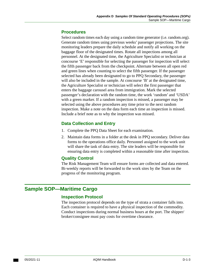## <span id="page-164-3"></span>**Procedures**

Select random times each day using a random time generator (i.e. [random.org](https://random.org)). Generate random times using previous weeks' passenger projections. The site monitoring leaders prepare the daily schedule and notify all working on the baggage floor of the designated times. Rotate all inspections among all personnel. At the designated time, the Agriculture Specialist or technician at concourse 'E' responsible for selecting the passenger for inspection will select the fifth passenger back from the checkpoint. Alternate between all open red and green lines when counting to select the fifth passenger. If the passenger selected has already been designated to go to PPQ Secondary, the passenger will also be included in the sample. At concourse 'B' at the designated time, the Agriculture Specialist or technician will select the first passenger that enters the baggage carousel area from immigration. Mark the selected passenger's declaration with the random time, the work 'random' and 'USDA' with a green marker. If a random inspection is missed, a passenger may be selected using the above procedures any time prior to the next random inspection. Make a note on the data form each time an inspection is missed. Include a brief note as to why the inspection was missed.

## <span id="page-164-0"></span>**Data Collection and Entry**

- 1. Complete the PPQ Data Sheet for each examination.
- 2. Maintain data forms in a folder at the desk in PPQ secondary. Deliver data forms to the operations office daily. Personnel assigned to the work unit will share the task of data entry. The site leaders will be responsible for ensuring data entry is completed within a reasonable time after inspection.

## <span id="page-164-1"></span>**Quality Control**

The Risk Management Team will ensure forms are collected and data entered. Bi-weekly reports will be forwarded to the work sites by the Team on the progress of the monitoring program.

## <span id="page-164-2"></span>**Sample SOP—Maritime Cargo**

## <span id="page-164-4"></span>**Inspection Protocol**

The inspection protocol depends on the type of strata a container falls into. Each container is required to have a physical inspection of the commodity. Conduct inspections during normal business hours at the port. The shipper/ broker/consignee must pay costs for overtime clearance.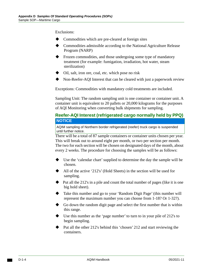Exclusions:

- Commodities which are pre-cleared at foreign sites
- Commodities admissible according to the National Agriculture Release Program (NARP)
- Frozen commodities, and those undergoing some type of mandatory treatment (for example: fumigation, irradiation, hot water, steam sterilization)
- Oil, salt, iron ore, coal, etc. which pose no risk
- Non-Reefer-AQI Interest that can be cleared with just a paperwork review

Exceptions: Commodities with mandatory cold treatments are included.

Sampling Unit: The random sampling unit is one container or container unit. A container unit is equivalent to 20 pallets or 20,000 kilograms for the purposes of AQI Monitoring when converting bulk shipments for sampling.

## <span id="page-165-0"></span>**Reefer-AQI Interest (refrigerated cargo normally held by PPQ) NOTICE**

AQIM sampling of Northern border refrigerated (reefer) truck cargo is suspended until further notice.

There will be a total of 87 sample containers or container units chosen per year. This will break out to around eight per month, or two per section per month. The two for each section will be chosen on designated days of the month, about every 2 weeks. The procedure for choosing the samples will be as follows:

- Use the 'calendar chart' supplied to determine the day the sample will be chosen.
- All of the active '212's' (Hold Sheets) in the section will be used for sampling.
- $\blacklozenge$  Put all the 212's in a pile and count the total number of pages (like it is one big hold sheet).
- Take this number and go to your 'Random Digit Page' (this number will represent the maximum number you can choose from 1-18? Or 1-32?).
- Go down the random digit page and select the first number that is within this range.
- $\blacklozenge$  Use this number as the 'page number' to turn to in your pile of 212's to begin sampling.
- Put all the other 212's behind this 'chosen' 212 and start reviewing the containers.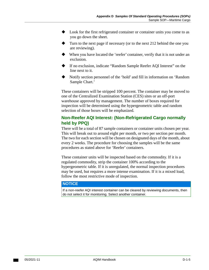- Look for the first refrigerated container or container units you come to as you go down the sheet.
- Turn to the next page if necessary (or to the next 212 behind the one you are reviewing).
- When you have located the 'reefer' container, verify that it is not under an exclusion.
- If no exclusion, indicate "Random Sample Reefer AQI Interest" on the line next to it.
- Notify section personnel of the 'hold' and fill in information on 'Random Sample Chart.'

These containers will be stripped 100 percent. The container may be moved to one of the Centralized Examination Station (CES) sites or an off-port warehouse approved by management. The number of boxes required for inspection will be determined using the hypergeometric table and random selection of those boxes will be emphasized.

## <span id="page-166-0"></span>**Non-Reefer AQI Interest: (Non-Refrigerated Cargo normally held by PPQ)**

There will be a total of 87 sample containers or container units chosen per year. This will break out to around eight per month, or two per section per month. The two for each section will be chosen on designated days of the month, about every 2 weeks. The procedure for choosing the samples will be the same procedures as stated above for 'Reefer' containers.

These container units will be inspected based on the commodity. If it is a regulated commodity, strip the container 100% according to the hypergeometric table. If it is unregulated, the normal inspection procedures may be used, but requires a more intense examination. If it is a mixed load, follow the most restrictive mode of inspection.

## **NOTICE**

If a non-reefer AQI interest container can be cleared by reviewing documents, then do not select it for monitoring. Select another container.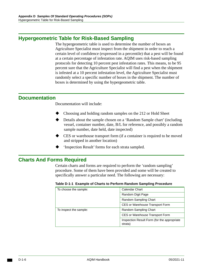# <span id="page-167-0"></span>**Hypergeometric Table for Risk-Based Sampling**

The hypergeometric table is used to determine the number of boxes an Agriculture Specialist must inspect from the shipment in order to reach a certain level of confidence (expressed in a percentile) that a pest will be found at a certain percentage of infestation rate. AQIM uses risk-based sampling protocols for detecting 10 percent pest infestation rates. This means, to be 95 percent sure that the Agriculture Specialist will find a pest when the shipment is infested at a 10 percent infestation level, the Agriculture Specialist must randomly select a specific number of boxes in the shipment. The number of boxes is determined by using the hypergeometric table.

## <span id="page-167-1"></span>**Documentation**

Documentation will include:

- Choosing and holding random samples on the 212 or Hold Sheet
- Details about the sample chosen on a 'Random Sample chart' (including vessel, container number, date, B/L for reference, and possibly a random sample number, date held, date inspected)
- CES or warehouse transport form (if a container is required to be moved and stripped in another location)
- 'Inspection Result' forms for each strata sampled.

## <span id="page-167-2"></span>**Charts And Forms Required**

Certain charts and forms are required to perform the 'random sampling' procedure. Some of them have been provided and some will be created to specifically answer a particular need. The following are necessary:

| To choose the sample:  | <b>Calendar Chart</b>                                  |  |  |  |  |
|------------------------|--------------------------------------------------------|--|--|--|--|
|                        | Random Digit Page                                      |  |  |  |  |
|                        | Random Sampling Chart                                  |  |  |  |  |
|                        | CES or Warehouse Transport Form                        |  |  |  |  |
| To inspect the sample: | Random Sampling Chart                                  |  |  |  |  |
|                        | CES or Warehouse Transport Form                        |  |  |  |  |
|                        | Inspection Result Form (for the appropriate<br>strata) |  |  |  |  |

#### **Table D-1-1 Example of Charts to Perform Random Sampling Procedure**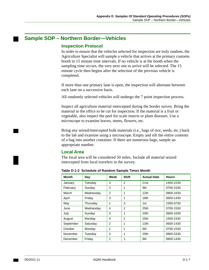# <span id="page-168-1"></span>**Sample SOP – Northern Border—Vehicles**

## <span id="page-168-0"></span>**Inspection Protocol**

In order to ensure that the vehicles selected for inspection are truly random, the Agriculture Specialist will sample a vehicle that arrives at the primary customs booth in 15 minute time intervals. If no vehicle is at the booth when the sampling time occurs, the very next one to arrive will be selected. The 15 minute cycle then begins after the selection of the previous vehicle is completed.

If more than one primary lane is open, the inspection will alternate between each lane on a successive basis.

All randomly selected vehicles will undergo the 7 point inspection process.

Inspect all agriculture material intercepted during the border survey. Bring the material to the office to be cut for inspection. If the material is a fruit or vegetable, also inspect the peel for scale insects or plant diseases. Use a microscope to examine leaves, stems, flowers, etc.

Bring any seized/intercepted bulk materials (i.e., bags of rice, seeds, etc.) back to the lab and examine using a microscope. Empty and sift the entire contents of a bag into another container. If there are numerous bags, sample an appropriate number.

### <span id="page-168-2"></span>**Local Area**

The local area will be considered 50 miles. Include all material seized/ intercepted from local travelers in the survey.

| <b>Month</b> | Day       | Week           | <b>Shift</b>   | <b>Actual Date</b> | <b>Hours</b> |
|--------------|-----------|----------------|----------------|--------------------|--------------|
| January      | Tuesday   | 3              | $\mathfrak{p}$ | 21st               | 1400-2230    |
| February     | Sunday    | $\overline{2}$ | 1              | 9th                | 0700-1530    |
| March        | Wednesday | $\overline{2}$ | 1              | 12 <sub>th</sub>   | 0800-1630    |
| April        | Friday    | 3              | 1              | 18th               | 0600-1430    |
| May          | Thursday  | 1              | 3              | 1st                | 2300-0730    |
| June         | Wednesday | 4              | $\overline{2}$ | 25th               | 0700-1530    |
| July         | Sunday    | 3              | 1              | 20th               | 0800-1630    |
| August       | Monday    | 4              | $\mathfrak{p}$ | 25th               | 1500-2330    |
| September    | Saturday  | 2              | 1              | 13th               | 0600-1430    |
| October      | Monday    | 1              | 1              | 6th                | 0700-1530    |
| November     | Tuesday   | 4              | 1              | 25th               | 0800-1630    |
| December     | Friday    | 1              | 1              | 6th                | 0600-1430    |

**Table D-1-2 Schedule of Random Sample Times Month**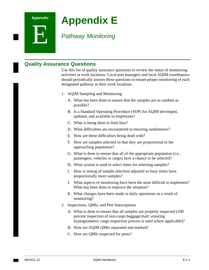# **Appendix E**

# *Pathway Monitoring*

## **Quality Assurance Questions**

**Appendix** 

E

Use this list of quality assurance questions to review the status of monitoring activities at work locations. Local port managers and local AQIM coordinators should periodically answer these questions to ensure proper monitoring of each designated pathway at their work locations.

- 1. AQIM Sampling and Monitoring
	- A. What has been done to ensure that the samples are as random as possible?
	- B. Is a Standard Operating Procedure (SOP) for AQIM developed, updated, and available to employees?
	- C. What is being done to limit bias?
	- D. What difficulties are encountered in ensuring randomness?
	- E. How are these difficulties being dealt with?
	- F. How are samples selected so that they are proportional to the approaching population?
	- G. What is done to ensure that all of the appropriate population (i.e., passengers, vehicles or cargo) have a chance to be selected?
	- H. What system is used to select times for selecting samples?
	- I. How is timing of sample selection adjusted so busy times have proportionally more samples?
	- J. What aspects of monitoring have been the most difficult to implement? What has been done to improve the situation?
	- K. What changes have been made in daily operations as a result of monitoring?
- 2. Inspections, QMIs, and Pest Interceptions
	- A. What is done to ensure that all samples are properly inspected (100 percent inspection of non-cargo baggage/mail; ensuring hypergeometric cargo inspection process is used where applicable)?
	- B. How are AQIM QMIs separated and marked?
	- C. How are QMIs inspected for pests?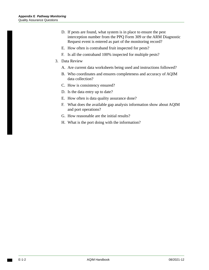- D. If pests are found, what system is in place to ensure the pest interception number from the PPQ Form 309 or the ARM Diagnostic Request event is entered as part of the monitoring record?
- E. How often is contraband fruit inspected for pests?
- F. Is all the contraband 100% inspected for multiple pests?
- 3. Data Review
	- A. Are current data worksheets being used and instructions followed?
	- B. Who coordinates and ensures completeness and accuracy of AQIM data collection?
	- C. How is consistency ensured?
	- D. Is the data entry up to date?
	- E. How often is data quality assurance done?
	- F. What does the available gap analysis information show about AQIM and port operations?
	- G. How reasonable are the initial results?
	- H. What is the port doing with the information?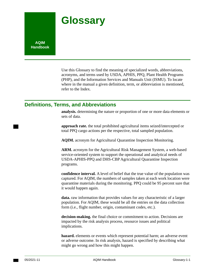# **Glossary**

Use this Glossary to find the meaning of specialized words, abbreviations, acronyms, and terms used by USDA, APHIS, PPQ, Plant Health Programs (PHP), and the Information Services and Manuals Unit (ISMU). To locate where in the manual a given definition, term, or abbreviation is mentioned, refer to the Index.

# **Definitions, Terms, and Abbreviations**

<span id="page-172-0"></span>**analysis.** determining the nature or proportion of one or more data elements or sets of data.

<span id="page-172-1"></span>**approach rate.** the total prohibited agricultural items seized/intercepted or total PPQ cargo actions per the respective, total sampled population.

**AQIM.** acronym for Agricultural Quarantine Inspection Monitoring.

**ARM.** acronym for the Agricultural Risk Management System, a web-based service-oriented system to support the operational and analytical needs of USDA-APHIS-PPQ and DHS-CBP Agricultural Quarantine Inspection programs.

<span id="page-172-2"></span>**confidence interval.** A level of belief that the true value of the population was captured. For AQIM, the numbers of samples taken at each work location were quarantine materials during the monitoring. PPQ could be 95 percent sure that it would happen again.

<span id="page-172-3"></span>**data.** raw information that provides values for any characteristic of a larger population. For AQIM, these would be all the entries on the data collection form (i.e., flight number, origin, contaminant codes, etc.).

<span id="page-172-4"></span>**decision-making.** the final choice or commitment to action. Decisions are impacted by the risk analysis process, resource issues and political implications.

<span id="page-172-5"></span>**hazard.** elements or events which represent potential harm; an adverse event or adverse outcome. In risk analysis, hazard is specified by describing what might go wrong and how this might happen.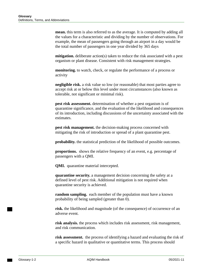<span id="page-173-0"></span>**mean.** this term is also referred to as the average. It is computed by adding all the values for a characteristic and dividing by the number of observations. For example, the mean of passengers going through an airport in a day would be the total number of passengers in one year divided by 365 days

<span id="page-173-1"></span>**mitigation.** deliberate action(s) taken to reduce the risk associated with a pest organism or plant disease. Consistent with risk management strategies.

<span id="page-173-2"></span>**monitoring.** to watch, check, or regulate the performance of a process or activity

<span id="page-173-3"></span>**negligible risk.** a risk value so low (or reasonable) that most parties agree to accept risk at or below this level under most circumstances (also known as tolerable, not significant or minimal risk).

<span id="page-173-4"></span>**pest risk assessment.** determination of whether a pest organism is of quarantine significance, and the evaluation of the likelihood and consequences of its introduction, including discussions of the uncertainty associated with the estimates.

<span id="page-173-5"></span>**pest risk management.** the decision-making process concerned with mitigating the risk of introduction or spread of a plant quarantine pest.

<span id="page-173-6"></span>**probability.** the statistical prediction of the likelihood of possible outcomes.

<span id="page-173-7"></span>**proportions.** shows the relative frequency of an event, e.g. percentage of passengers with a QMI.

<span id="page-173-8"></span>**QMI.** quarantine material intercepted.

<span id="page-173-9"></span>**quarantine security.** a management decision concerning the safety at a defined level of pest risk. Additional mitigation is not required when quarantine security is achieved.

<span id="page-173-10"></span>**random sampling.** each member of the population must have a known probability of being sampled (greater than 0).

<span id="page-173-11"></span>**risk.** the likelihood and magnitude (of the consequence) of occurrence of an adverse event.

<span id="page-173-12"></span>**risk analysis.** the process which includes risk assessment, risk management, and risk communication.

<span id="page-173-13"></span>**risk assessment.** the process of identifying a hazard and evaluating the risk of a specific hazard in qualitative or quantitative terms. This process should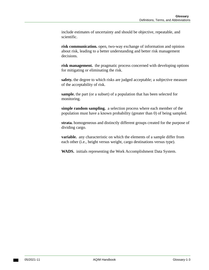include estimates of uncertainty and should be objective, repeatable, and scientific.

<span id="page-174-0"></span>**risk communication.** open, two-way exchange of information and opinion about risk, leading to a better understanding and better risk management decisions.

<span id="page-174-1"></span>**risk management.** the pragmatic process concerned with developing options for mitigating or eliminating the risk.

<span id="page-174-2"></span>**safety.** the degree to which risks are judged acceptable; a subjective measure of the acceptability of risk.

<span id="page-174-3"></span>**sample.** the part (or a subset) of a population that has been selected for monitoring.

**simple random sampling.** a selection process where each member of the population must have a known probability (greater than 0) of being sampled.

<span id="page-174-4"></span>**strata.** homogeneous and distinctly different groups created for the purpose of dividing cargo.

<span id="page-174-5"></span>**variable.** any characteristic on which the elements of a sample differ from each other (i.e., height versus weight, cargo destinations versus type).

<span id="page-174-6"></span>**WADS.** initials representing the Work Accomplishment Data System.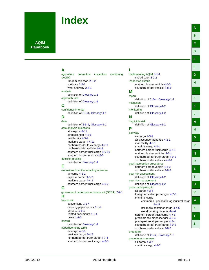#### **AQIM Handbook**

## <span id="page-176-0"></span>**A**

<span id="page-176-1"></span>agriculture quarantine inspection monitoring (AQIM) random selection [2-5-2](#page-37-0)  statistics [2-5-1](#page-36-0)  what and why [2-4-1](#page-32-0)  analysis definition of [Glossary-1-1](#page-172-0)  approach rate definition of [Glossary-1-1](#page-172-1)  **C**  confidence interval definition of [2-5-3](#page-38-0), [Glossary-1-1](#page-172-2)  **D**  data definition of [2-5-3](#page-38-1), [Glossary-1-1](#page-172-3)  data analysis questions air cargo [4-3-11](#page-90-0)  air passenger [4-2-6](#page-77-0)  mail facility [4-5-4](#page-107-0)  maritime cargo [4-4-11](#page-102-0)  northern border truck cargo [4-7-9](#page-126-0)  northern border vehicle [4-6-5](#page-114-0)  southern border truck cargo [4-9-10](#page-145-0)  southern border vehicle [4-8-6](#page-133-0) 

#### <span id="page-176-2"></span>decision-making definition of [Glossary-1-1](#page-172-4)

#### <span id="page-176-3"></span>**E**

exclusions fro[m the sampling universe](#page-81-0)  air cargo 4-3-2 express carrier [4-5-2](#page-105-0)  maritime cargo [4-4-2](#page-93-0)  southern border truck cargo [4-9-2](#page-137-0) 

### <span id="page-176-4"></span>**G**

<span id="page-176-5"></span>government performance results act (GPRA) [2-2-1](#page-20-0)  **H**  handbook conventions [1-1-4](#page-11-0)  ordering paper copies [1-1-9](#page-16-0)  purpose [1-1-1](#page-8-0)  related documents [1-1-4](#page-11-1)  users [1-1-3](#page-10-0)  hazard definition of [Glossary-1-1](#page-172-5)  hypergeometric table air cargo [4-3-5](#page-84-0)  maritime cargo [4-4-5](#page-96-0)  northern border truck cargo [4-7-4](#page-121-0)  southern border truck cargo [4-9-6](#page-141-0) 

## <span id="page-176-6"></span>**I**

<span id="page-176-9"></span><span id="page-176-8"></span><span id="page-176-7"></span>implementing AQIM [3-1-1](#page-62-0)  checklist for [3-2-2](#page-67-0)  inspection criteria northern border vehicle [4-6-3](#page-112-0)  southern border vehicle [4-8-3](#page-130-0)  **M**  mean definition of [2-5-4](#page-39-0), [Glossary-1-2](#page-173-0)  mitigation definition of [Glossary-1-2](#page-173-1)  monitoring definition of [Glossary-1-2](#page-173-2)  **N**  negligible risk definition of [Glossary-1-2](#page-173-3)  **P**  pathway air cargo [4-3-1](#page-80-0)  air passenger baggage [4-2-1](#page-72-0)  mail facility [4-5-1](#page-104-0)  maritime cargo [4-4-1](#page-92-0)  northern border truck cargo [4-7-1](#page-118-0)  northern border vehicles [4-6-1](#page-110-0)  southern border truck cargo [4-9-1](#page-136-0)  southern border vehicles [4-8-1](#page-128-0)  pest interception procedures northern border vehicle [4-6-3](#page-112-1)  southern border vehicle [4-8-3](#page-130-1)  pest risk assessment definition of [Glossary-1-2](#page-173-4)  pest risk management definition of [Glossary-1-2](#page-173-5)  ports participating in air cargo [4-3-6](#page-85-0)  foreign arrival air passenger [4-2-3](#page-74-0)  maritime cargo commercial perishable agricultural cargo [4-4-5](#page-96-1)  Italian tile container cargo [4-4-6](#page-97-0)  wood packing material [4-4-6](#page-97-1)  northern border truck cargo [4-7-5](#page-122-0)  preclearance air passenger [4-2-4](#page-75-0)  predeparture air passenger [4-2-4](#page-75-1)  southern border truck cargo [4-9-6](#page-141-1)  southern border vehicle [4-8-2](#page-129-0)  probability definition of [2-5-4](#page-39-1), [Glossary-1-2](#page-173-6)  procedures summary air cargo [4-3-7](#page-86-0) 

maritime cargo [4-4-7](#page-98-0) 

**[A](#page-176-0)** 

**[B](#page-176-1)** 

**[C](#page-176-1)** 

**[D](#page-176-2)** 

**[E](#page-176-3)** 

**[F](#page-176-4)** 

**[G](#page-176-4)** 

**[H](#page-176-5)** 

**[I](#page-176-6)** 

**[J](#page-176-7)** 

**[K](#page-176-7)** 

**[L](#page-176-7)** 

**[M](#page-176-7)** 

**[N](#page-176-8)** 

**[O](#page-176-9)** 

**[P](#page-176-9)** 

**[Q](#page-177-0)** 

**[R](#page-177-1)** 

**[S](#page-177-2)** 

**[T](#page-177-3)** 

**[U](#page-177-3)** 

**[V](#page-177-4)** 

**[W](#page-177-5)** 

**X** 

**Y** 

**Z**